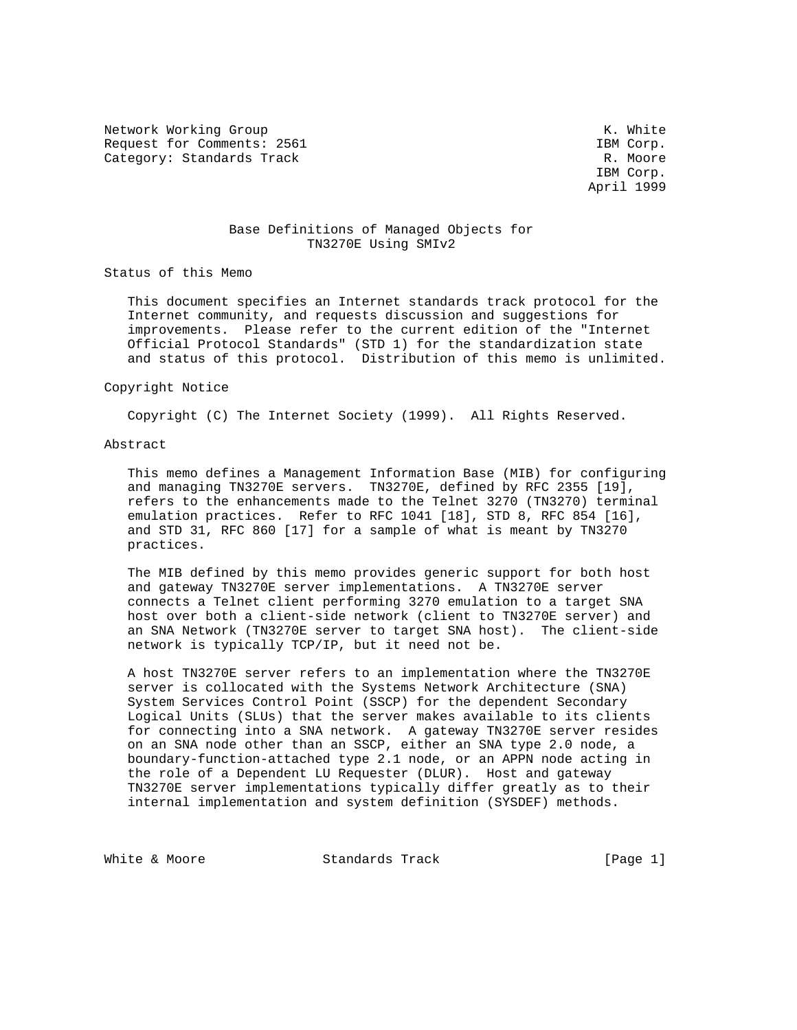Network Working Group Network White Request for Comments: 2561 IBM Corp. Category: Standards Track R. Moore

 IBM Corp. April 1999

## Base Definitions of Managed Objects for TN3270E Using SMIv2

Status of this Memo

 This document specifies an Internet standards track protocol for the Internet community, and requests discussion and suggestions for improvements. Please refer to the current edition of the "Internet Official Protocol Standards" (STD 1) for the standardization state and status of this protocol. Distribution of this memo is unlimited.

#### Copyright Notice

Copyright (C) The Internet Society (1999). All Rights Reserved.

#### Abstract

 This memo defines a Management Information Base (MIB) for configuring and managing TN3270E servers. TN3270E, defined by RFC 2355 [19], refers to the enhancements made to the Telnet 3270 (TN3270) terminal emulation practices. Refer to RFC 1041 [18], STD 8, RFC 854 [16], and STD 31, RFC 860 [17] for a sample of what is meant by TN3270 practices.

 The MIB defined by this memo provides generic support for both host and gateway TN3270E server implementations. A TN3270E server connects a Telnet client performing 3270 emulation to a target SNA host over both a client-side network (client to TN3270E server) and an SNA Network (TN3270E server to target SNA host). The client-side network is typically TCP/IP, but it need not be.

 A host TN3270E server refers to an implementation where the TN3270E server is collocated with the Systems Network Architecture (SNA) System Services Control Point (SSCP) for the dependent Secondary Logical Units (SLUs) that the server makes available to its clients for connecting into a SNA network. A gateway TN3270E server resides on an SNA node other than an SSCP, either an SNA type 2.0 node, a boundary-function-attached type 2.1 node, or an APPN node acting in the role of a Dependent LU Requester (DLUR). Host and gateway TN3270E server implementations typically differ greatly as to their internal implementation and system definition (SYSDEF) methods.

White & Moore **Standards Track** [Page 1]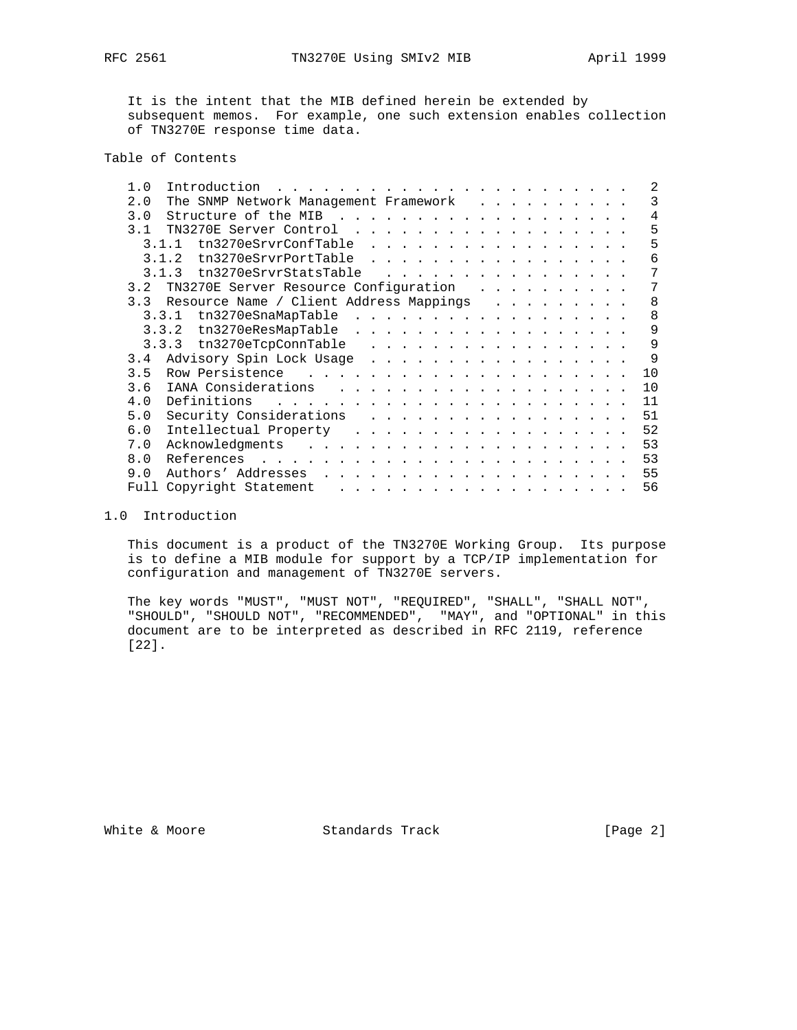It is the intent that the MIB defined herein be extended by subsequent memos. For example, one such extension enables collection of TN3270E response time data.

# Table of Contents

| 1.0<br>Introduction                                                                                                                                                                                                                                                                                      | $\mathfrak{D}$ |
|----------------------------------------------------------------------------------------------------------------------------------------------------------------------------------------------------------------------------------------------------------------------------------------------------------|----------------|
| The SNMP Network Management Framework<br>2.0<br>$\mathbf{r}$ , and $\mathbf{r}$ , and $\mathbf{r}$ , and $\mathbf{r}$                                                                                                                                                                                    | 3              |
| Structure of the MIB<br>3.0<br>$\mathbf{r}$ , $\mathbf{r}$ , $\mathbf{r}$ , $\mathbf{r}$ , $\mathbf{r}$ , $\mathbf{r}$                                                                                                                                                                                   | 4              |
| 3.1<br>TN3270E Server Control<br>$\frac{1}{2}$ , $\frac{1}{2}$ , $\frac{1}{2}$ , $\frac{1}{2}$ , $\frac{1}{2}$ , $\frac{1}{2}$ , $\frac{1}{2}$ , $\frac{1}{2}$ , $\frac{1}{2}$ , $\frac{1}{2}$ , $\frac{1}{2}$ , $\frac{1}{2}$                                                                           | 5              |
| tn3270eSrvrConfTable<br>3.1.1<br>$\mathbf{a}$ , and a set of the set of the set of the set of the set of the set of the set of the set of the set of the set of the set of the set of the set of the set of the set of the set of the set of the set of the set of                                       | 5              |
| tn3270eSrvrPortTable<br>3 1 2<br>$\sim$ $\sim$ $\sim$ $\sim$ $\sim$<br>$\mathbf{r}$ . The set of the set of the set of the set of the set of the set of the set of the set of the set of the set of the set of the set of the set of the set of the set of the set of the set of the set of the set of t | 6              |
| tn3270eSrvrStatsTable<br>3.1.3                                                                                                                                                                                                                                                                           | 7              |
| TN3270E Server Resource Configuration<br>3.2<br>.                                                                                                                                                                                                                                                        | 7              |
| Resource Name / Client Address Mappings<br>3.3                                                                                                                                                                                                                                                           | 8              |
| tn3270eSnaMapTable<br>3.3.1<br>$\frac{1}{2}$                                                                                                                                                                                                                                                             | 8              |
| tn3270eResMapTable<br>3.3.2<br>.                                                                                                                                                                                                                                                                         | 9              |
| 3.3.3 tn3270eTcpConnTable<br>.                                                                                                                                                                                                                                                                           | 9              |
| Advisory Spin Lock Usage<br>3.4<br><u>in the series of the series of the series of the series of the series of the series of the series of the series of the series of the series of the series of the series of the series of the series of the series of the seri</u>                                  | 9              |
| 3.5<br>Row Persistence                                                                                                                                                                                                                                                                                   | 10             |
| IANA Considerations<br>3.6<br>.                                                                                                                                                                                                                                                                          | 10             |
| Definitions<br>4.0<br>$\mathbf{r}$ , and $\mathbf{r}$ , and $\mathbf{r}$ , and $\mathbf{r}$ , and $\mathbf{r}$<br>$\mathbf{r}$ , $\mathbf{r}$ , $\mathbf{r}$ , $\mathbf{r}$ , $\mathbf{r}$ , $\mathbf{r}$ , $\mathbf{r}$                                                                                 | 11             |
| Security Considerations<br>5.0<br>.                                                                                                                                                                                                                                                                      | 51             |
| 6.0<br>Intellectual Property<br>$\sim$                                                                                                                                                                                                                                                                   | 52             |
| Acknowledgments<br>7.0<br>$\mathbf{r}$ and $\mathbf{r}$ and $\mathbf{r}$ and $\mathbf{r}$ and $\mathbf{r}$<br>$\mathbf{r}$ and $\mathbf{r}$ and $\mathbf{r}$ and $\mathbf{r}$ and $\mathbf{r}$                                                                                                           | 53             |
| 8.0<br>References<br><u>and the second contract of the second contract of the second contract of the second contract of the second contract of the second contract of the second contract of the second contract of the second contract of the second</u><br>$\cdots$                                    | 53             |
| 9.0<br>Authors' Addresses<br>$\mathbf{r}$ , $\mathbf{r}$ , $\mathbf{r}$ , $\mathbf{r}$ , $\mathbf{r}$ , $\mathbf{r}$<br>$\mathbf{r}$ , $\mathbf{r}$ , $\mathbf{r}$ , $\mathbf{r}$ , $\mathbf{r}$ , $\mathbf{r}$ , $\mathbf{r}$ , $\mathbf{r}$                                                            | 55             |
| Copyright Statement<br>Full<br>and the state of the state of the<br>$\mathbf{r}$ , $\mathbf{r}$ , $\mathbf{r}$ , $\mathbf{r}$ , $\mathbf{r}$ , $\mathbf{r}$ , $\mathbf{r}$                                                                                                                               | 56             |
|                                                                                                                                                                                                                                                                                                          |                |

## 1.0 Introduction

 This document is a product of the TN3270E Working Group. Its purpose is to define a MIB module for support by a TCP/IP implementation for configuration and management of TN3270E servers.

 The key words "MUST", "MUST NOT", "REQUIRED", "SHALL", "SHALL NOT", "SHOULD", "SHOULD NOT", "RECOMMENDED", "MAY", and "OPTIONAL" in this document are to be interpreted as described in RFC 2119, reference [22].

White & Moore **Standards Track** [Page 2]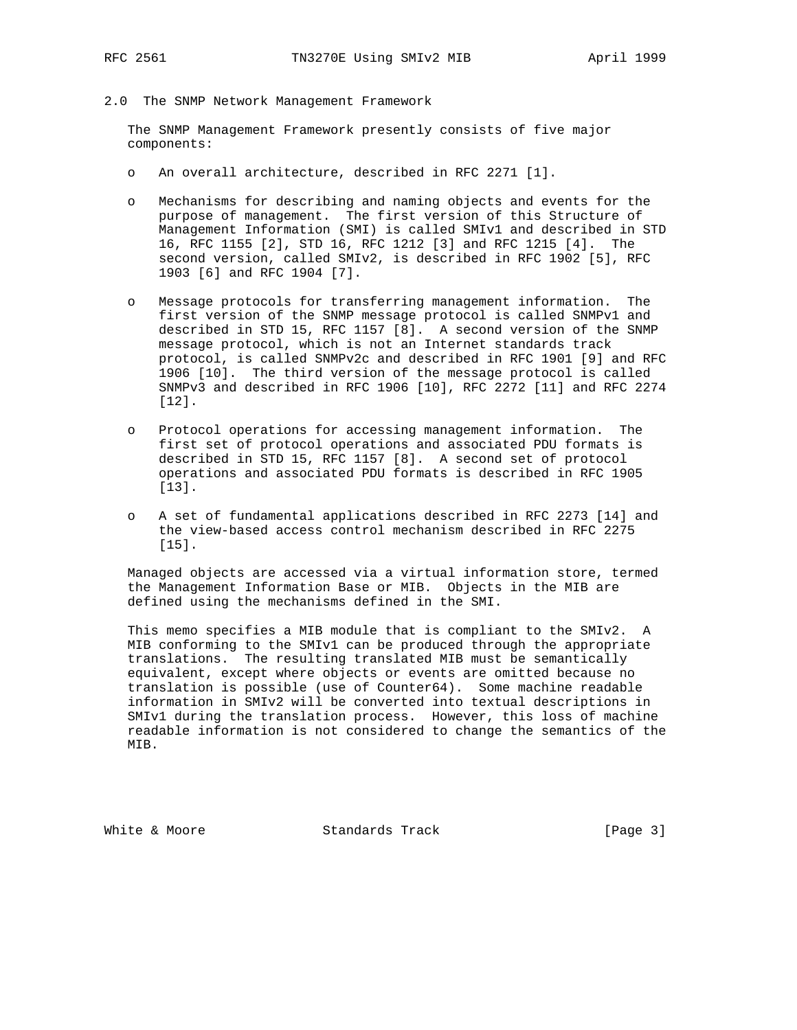- 
- 2.0 The SNMP Network Management Framework

 The SNMP Management Framework presently consists of five major components:

- o An overall architecture, described in RFC 2271 [1].
- o Mechanisms for describing and naming objects and events for the purpose of management. The first version of this Structure of Management Information (SMI) is called SMIv1 and described in STD 16, RFC 1155 [2], STD 16, RFC 1212 [3] and RFC 1215 [4]. The second version, called SMIv2, is described in RFC 1902 [5], RFC 1903 [6] and RFC 1904 [7].
- o Message protocols for transferring management information. The first version of the SNMP message protocol is called SNMPv1 and described in STD 15, RFC 1157 [8]. A second version of the SNMP message protocol, which is not an Internet standards track protocol, is called SNMPv2c and described in RFC 1901 [9] and RFC 1906 [10]. The third version of the message protocol is called SNMPv3 and described in RFC 1906 [10], RFC 2272 [11] and RFC 2274 [12].
- o Protocol operations for accessing management information. The first set of protocol operations and associated PDU formats is described in STD 15, RFC 1157 [8]. A second set of protocol operations and associated PDU formats is described in RFC 1905 [13].
- o A set of fundamental applications described in RFC 2273 [14] and the view-based access control mechanism described in RFC 2275 [15].

 Managed objects are accessed via a virtual information store, termed the Management Information Base or MIB. Objects in the MIB are defined using the mechanisms defined in the SMI.

 This memo specifies a MIB module that is compliant to the SMIv2. A MIB conforming to the SMIv1 can be produced through the appropriate translations. The resulting translated MIB must be semantically equivalent, except where objects or events are omitted because no translation is possible (use of Counter64). Some machine readable information in SMIv2 will be converted into textual descriptions in SMIv1 during the translation process. However, this loss of machine readable information is not considered to change the semantics of the MIB.

White & Moore Standards Track [Page 3]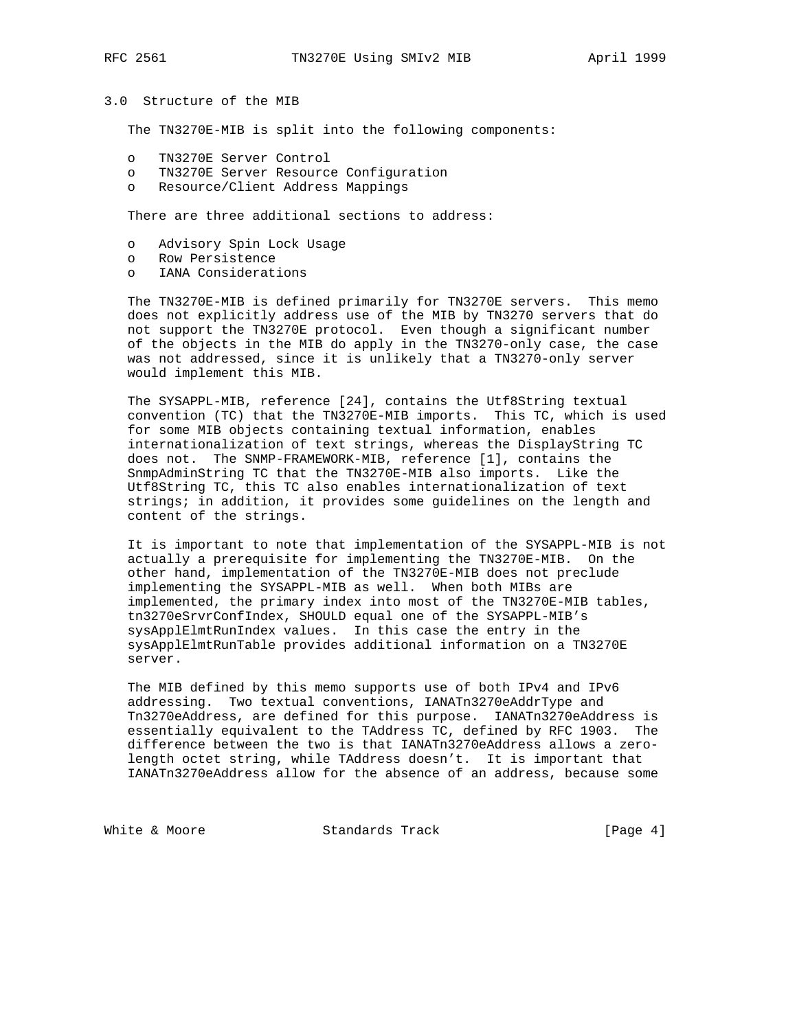## 3.0 Structure of the MIB

The TN3270E-MIB is split into the following components:

- o TN3270E Server Control
- o TN3270E Server Resource Configuration
- o Resource/Client Address Mappings

There are three additional sections to address:

- o Advisory Spin Lock Usage
- o Row Persistence
- o IANA Considerations

 The TN3270E-MIB is defined primarily for TN3270E servers. This memo does not explicitly address use of the MIB by TN3270 servers that do not support the TN3270E protocol. Even though a significant number of the objects in the MIB do apply in the TN3270-only case, the case was not addressed, since it is unlikely that a TN3270-only server would implement this MIB.

 The SYSAPPL-MIB, reference [24], contains the Utf8String textual convention (TC) that the TN3270E-MIB imports. This TC, which is used for some MIB objects containing textual information, enables internationalization of text strings, whereas the DisplayString TC does not. The SNMP-FRAMEWORK-MIB, reference [1], contains the SnmpAdminString TC that the TN3270E-MIB also imports. Like the Utf8String TC, this TC also enables internationalization of text strings; in addition, it provides some guidelines on the length and content of the strings.

 It is important to note that implementation of the SYSAPPL-MIB is not actually a prerequisite for implementing the TN3270E-MIB. On the other hand, implementation of the TN3270E-MIB does not preclude implementing the SYSAPPL-MIB as well. When both MIBs are implemented, the primary index into most of the TN3270E-MIB tables, tn3270eSrvrConfIndex, SHOULD equal one of the SYSAPPL-MIB's sysApplElmtRunIndex values. In this case the entry in the sysApplElmtRunTable provides additional information on a TN3270E server.

 The MIB defined by this memo supports use of both IPv4 and IPv6 addressing. Two textual conventions, IANATn3270eAddrType and Tn3270eAddress, are defined for this purpose. IANATn3270eAddress is essentially equivalent to the TAddress TC, defined by RFC 1903. The difference between the two is that IANATn3270eAddress allows a zero length octet string, while TAddress doesn't. It is important that IANATn3270eAddress allow for the absence of an address, because some

White & Moore **Standards Track** [Page 4]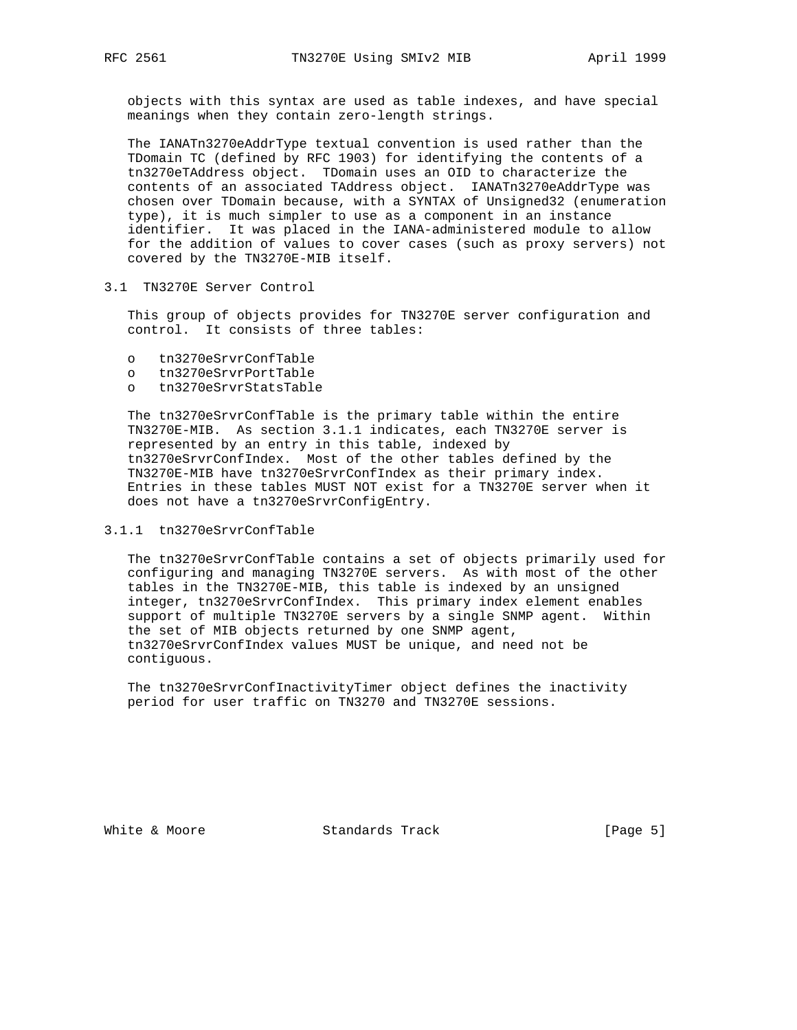objects with this syntax are used as table indexes, and have special meanings when they contain zero-length strings.

 The IANATn3270eAddrType textual convention is used rather than the TDomain TC (defined by RFC 1903) for identifying the contents of a tn3270eTAddress object. TDomain uses an OID to characterize the contents of an associated TAddress object. IANATn3270eAddrType was chosen over TDomain because, with a SYNTAX of Unsigned32 (enumeration type), it is much simpler to use as a component in an instance identifier. It was placed in the IANA-administered module to allow for the addition of values to cover cases (such as proxy servers) not covered by the TN3270E-MIB itself.

#### 3.1 TN3270E Server Control

 This group of objects provides for TN3270E server configuration and control. It consists of three tables:

- o tn3270eSrvrConfTable
- o tn3270eSrvrPortTable
- o tn3270eSrvrStatsTable

 The tn3270eSrvrConfTable is the primary table within the entire TN3270E-MIB. As section 3.1.1 indicates, each TN3270E server is represented by an entry in this table, indexed by tn3270eSrvrConfIndex. Most of the other tables defined by the TN3270E-MIB have tn3270eSrvrConfIndex as their primary index. Entries in these tables MUST NOT exist for a TN3270E server when it does not have a tn3270eSrvrConfigEntry.

#### 3.1.1 tn3270eSrvrConfTable

 The tn3270eSrvrConfTable contains a set of objects primarily used for configuring and managing TN3270E servers. As with most of the other tables in the TN3270E-MIB, this table is indexed by an unsigned integer, tn3270eSrvrConfIndex. This primary index element enables support of multiple TN3270E servers by a single SNMP agent. Within the set of MIB objects returned by one SNMP agent, tn3270eSrvrConfIndex values MUST be unique, and need not be contiguous.

 The tn3270eSrvrConfInactivityTimer object defines the inactivity period for user traffic on TN3270 and TN3270E sessions.

White & Moore **Standards Track** [Page 5]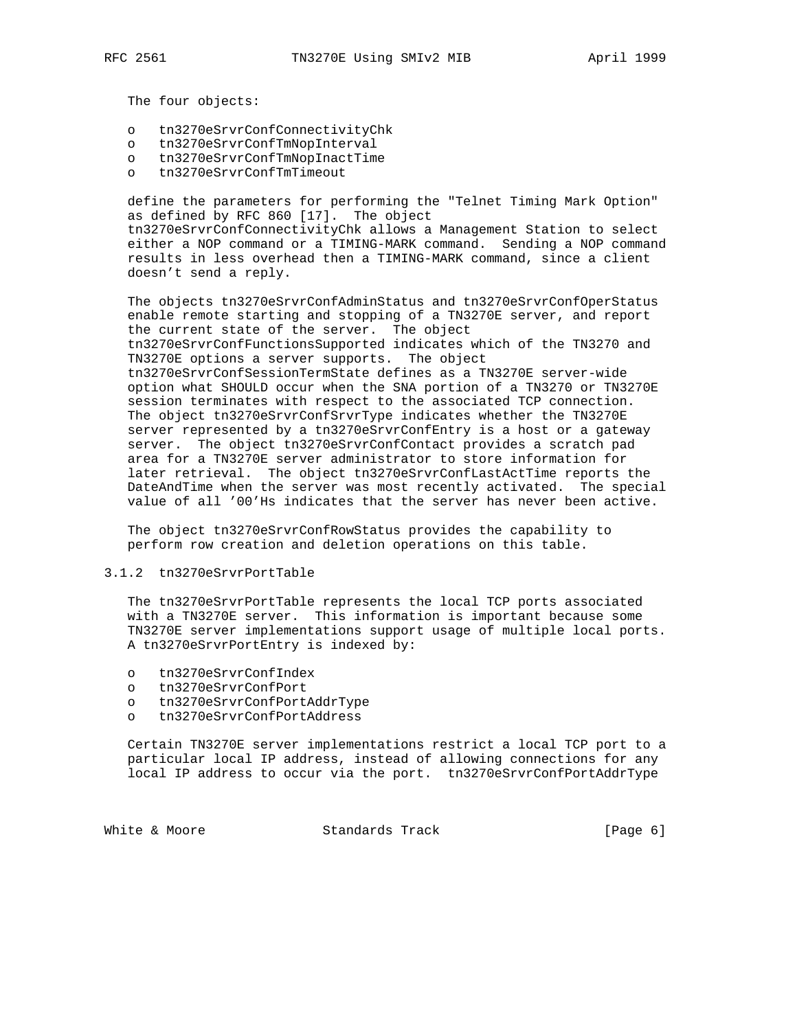The four objects:

- o tn3270eSrvrConfConnectivityChk
- o tn3270eSrvrConfTmNopInterval
- o tn3270eSrvrConfTmNopInactTime
- o tn3270eSrvrConfTmTimeout

 define the parameters for performing the "Telnet Timing Mark Option" as defined by RFC 860 [17]. The object tn3270eSrvrConfConnectivityChk allows a Management Station to select either a NOP command or a TIMING-MARK command. Sending a NOP command results in less overhead then a TIMING-MARK command, since a client doesn't send a reply.

 The objects tn3270eSrvrConfAdminStatus and tn3270eSrvrConfOperStatus enable remote starting and stopping of a TN3270E server, and report the current state of the server. The object tn3270eSrvrConfFunctionsSupported indicates which of the TN3270 and TN3270E options a server supports. The object tn3270eSrvrConfSessionTermState defines as a TN3270E server-wide option what SHOULD occur when the SNA portion of a TN3270 or TN3270E session terminates with respect to the associated TCP connection. The object tn3270eSrvrConfSrvrType indicates whether the TN3270E server represented by a tn3270eSrvrConfEntry is a host or a gateway server. The object tn3270eSrvrConfContact provides a scratch pad area for a TN3270E server administrator to store information for later retrieval. The object tn3270eSrvrConfLastActTime reports the DateAndTime when the server was most recently activated. The special value of all '00'Hs indicates that the server has never been active.

 The object tn3270eSrvrConfRowStatus provides the capability to perform row creation and deletion operations on this table.

#### 3.1.2 tn3270eSrvrPortTable

 The tn3270eSrvrPortTable represents the local TCP ports associated with a TN3270E server. This information is important because some TN3270E server implementations support usage of multiple local ports. A tn3270eSrvrPortEntry is indexed by:

- o tn3270eSrvrConfIndex
- o tn3270eSrvrConfPort
- o tn3270eSrvrConfPortAddrType
- o tn3270eSrvrConfPortAddress

 Certain TN3270E server implementations restrict a local TCP port to a particular local IP address, instead of allowing connections for any local IP address to occur via the port. tn3270eSrvrConfPortAddrType

White & Moore **Standards Track** [Page 6]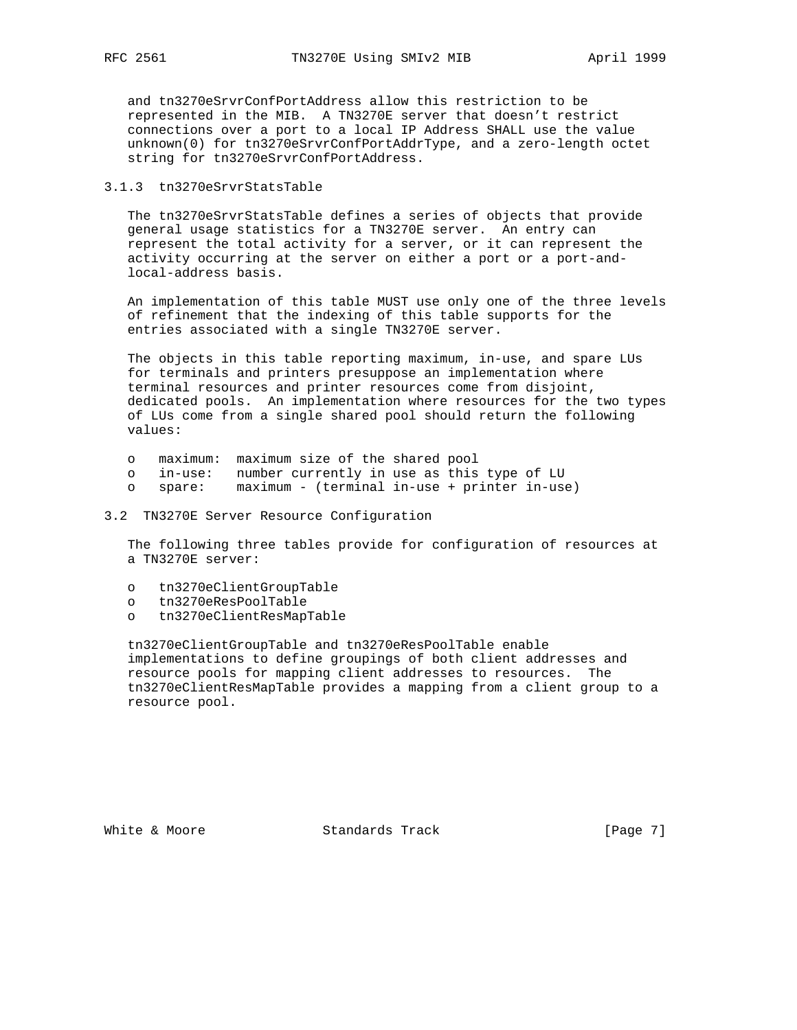and tn3270eSrvrConfPortAddress allow this restriction to be represented in the MIB. A TN3270E server that doesn't restrict connections over a port to a local IP Address SHALL use the value unknown(0) for tn3270eSrvrConfPortAddrType, and a zero-length octet string for tn3270eSrvrConfPortAddress.

#### 3.1.3 tn3270eSrvrStatsTable

 The tn3270eSrvrStatsTable defines a series of objects that provide general usage statistics for a TN3270E server. An entry can represent the total activity for a server, or it can represent the activity occurring at the server on either a port or a port-and local-address basis.

 An implementation of this table MUST use only one of the three levels of refinement that the indexing of this table supports for the entries associated with a single TN3270E server.

 The objects in this table reporting maximum, in-use, and spare LUs for terminals and printers presuppose an implementation where terminal resources and printer resources come from disjoint, dedicated pools. An implementation where resources for the two types of LUs come from a single shared pool should return the following values:

- o maximum: maximum size of the shared pool
- o in-use: number currently in use as this type of LU
- o spare: maximum (terminal in-use + printer in-use)
- 3.2 TN3270E Server Resource Configuration

 The following three tables provide for configuration of resources at a TN3270E server:

- o tn3270eClientGroupTable
- o tn3270eResPoolTable
- o tn3270eClientResMapTable

 tn3270eClientGroupTable and tn3270eResPoolTable enable implementations to define groupings of both client addresses and resource pools for mapping client addresses to resources. The tn3270eClientResMapTable provides a mapping from a client group to a resource pool.

White & Moore **Standards Track** [Page 7]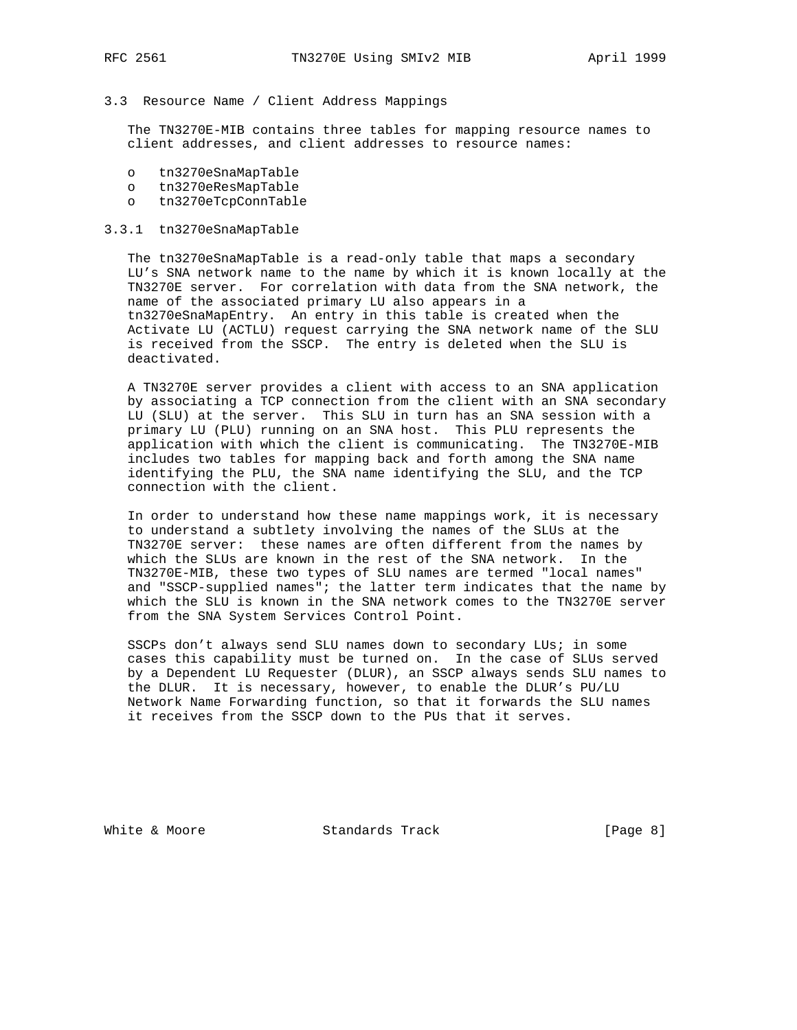#### 3.3 Resource Name / Client Address Mappings

 The TN3270E-MIB contains three tables for mapping resource names to client addresses, and client addresses to resource names:

- o tn3270eSnaMapTable
- o tn3270eResMapTable
- o tn3270eTcpConnTable

#### 3.3.1 tn3270eSnaMapTable

 The tn3270eSnaMapTable is a read-only table that maps a secondary LU's SNA network name to the name by which it is known locally at the TN3270E server. For correlation with data from the SNA network, the name of the associated primary LU also appears in a tn3270eSnaMapEntry. An entry in this table is created when the Activate LU (ACTLU) request carrying the SNA network name of the SLU is received from the SSCP. The entry is deleted when the SLU is deactivated.

 A TN3270E server provides a client with access to an SNA application by associating a TCP connection from the client with an SNA secondary LU (SLU) at the server. This SLU in turn has an SNA session with a primary LU (PLU) running on an SNA host. This PLU represents the application with which the client is communicating. The TN3270E-MIB includes two tables for mapping back and forth among the SNA name identifying the PLU, the SNA name identifying the SLU, and the TCP connection with the client.

 In order to understand how these name mappings work, it is necessary to understand a subtlety involving the names of the SLUs at the TN3270E server: these names are often different from the names by which the SLUs are known in the rest of the SNA network. In the TN3270E-MIB, these two types of SLU names are termed "local names" and "SSCP-supplied names"; the latter term indicates that the name by which the SLU is known in the SNA network comes to the TN3270E server from the SNA System Services Control Point.

 SSCPs don't always send SLU names down to secondary LUs; in some cases this capability must be turned on. In the case of SLUs served by a Dependent LU Requester (DLUR), an SSCP always sends SLU names to the DLUR. It is necessary, however, to enable the DLUR's PU/LU Network Name Forwarding function, so that it forwards the SLU names it receives from the SSCP down to the PUs that it serves.

White & Moore Standards Track [Page 8]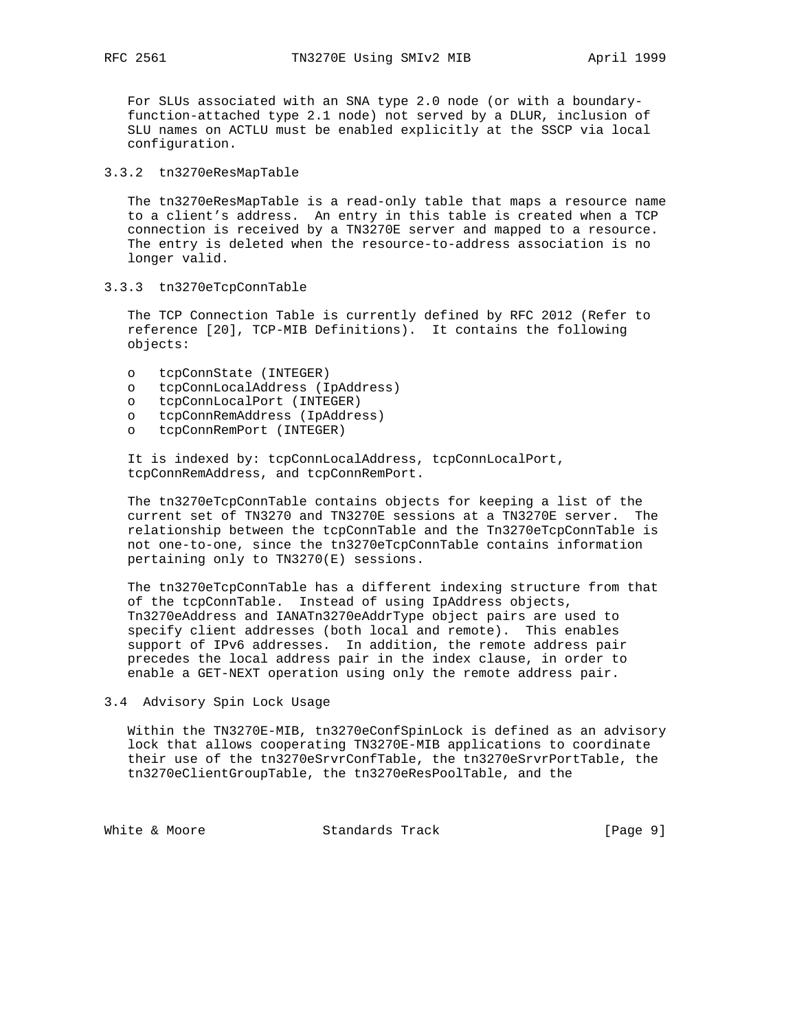For SLUs associated with an SNA type 2.0 node (or with a boundary function-attached type 2.1 node) not served by a DLUR, inclusion of SLU names on ACTLU must be enabled explicitly at the SSCP via local configuration.

#### 3.3.2 tn3270eResMapTable

 The tn3270eResMapTable is a read-only table that maps a resource name to a client's address. An entry in this table is created when a TCP connection is received by a TN3270E server and mapped to a resource. The entry is deleted when the resource-to-address association is no longer valid.

3.3.3 tn3270eTcpConnTable

 The TCP Connection Table is currently defined by RFC 2012 (Refer to reference [20], TCP-MIB Definitions). It contains the following objects:

- o tcpConnState (INTEGER)
- o tcpConnLocalAddress (IpAddress)
- o tcpConnLocalPort (INTEGER)
- o tcpConnRemAddress (IpAddress)
- o tcpConnRemPort (INTEGER)

 It is indexed by: tcpConnLocalAddress, tcpConnLocalPort, tcpConnRemAddress, and tcpConnRemPort.

 The tn3270eTcpConnTable contains objects for keeping a list of the current set of TN3270 and TN3270E sessions at a TN3270E server. The relationship between the tcpConnTable and the Tn3270eTcpConnTable is not one-to-one, since the tn3270eTcpConnTable contains information pertaining only to TN3270(E) sessions.

 The tn3270eTcpConnTable has a different indexing structure from that of the tcpConnTable. Instead of using IpAddress objects, Tn3270eAddress and IANATn3270eAddrType object pairs are used to specify client addresses (both local and remote). This enables support of IPv6 addresses. In addition, the remote address pair precedes the local address pair in the index clause, in order to enable a GET-NEXT operation using only the remote address pair.

3.4 Advisory Spin Lock Usage

 Within the TN3270E-MIB, tn3270eConfSpinLock is defined as an advisory lock that allows cooperating TN3270E-MIB applications to coordinate their use of the tn3270eSrvrConfTable, the tn3270eSrvrPortTable, the tn3270eClientGroupTable, the tn3270eResPoolTable, and the

White & Moore **Standards Track** [Page 9]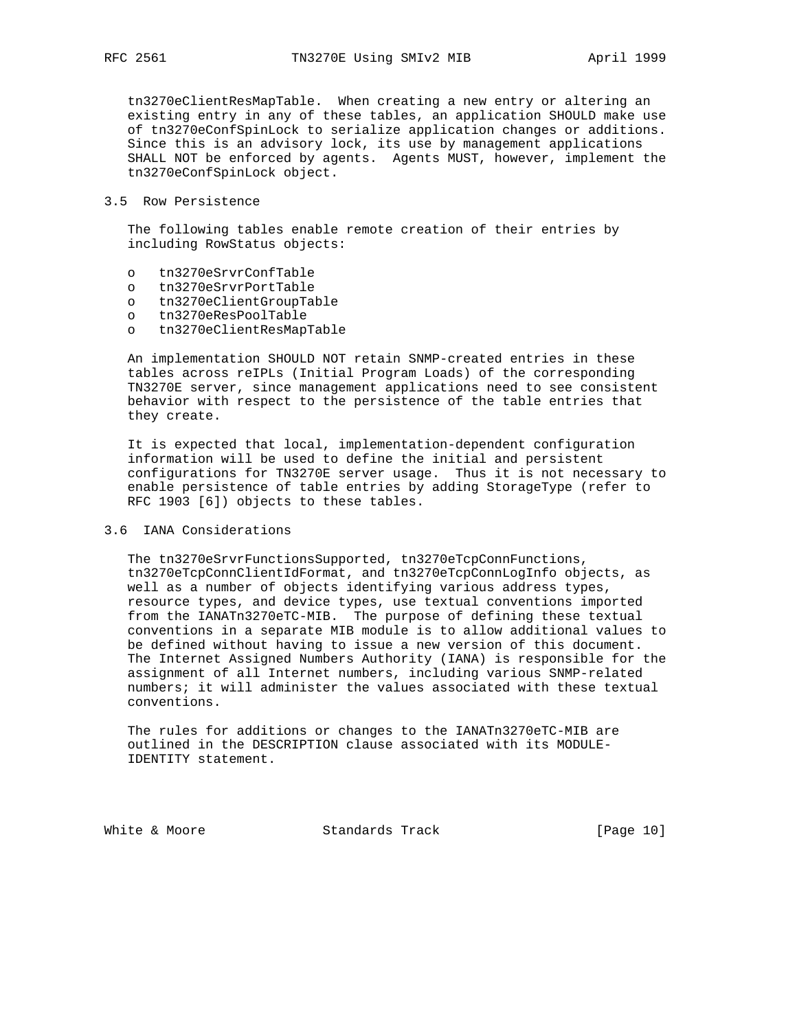tn3270eClientResMapTable. When creating a new entry or altering an existing entry in any of these tables, an application SHOULD make use of tn3270eConfSpinLock to serialize application changes or additions. Since this is an advisory lock, its use by management applications SHALL NOT be enforced by agents. Agents MUST, however, implement the tn3270eConfSpinLock object.

#### 3.5 Row Persistence

 The following tables enable remote creation of their entries by including RowStatus objects:

- o tn3270eSrvrConfTable
- o tn3270eSrvrPortTable
- o tn3270eClientGroupTable
- o tn3270eResPoolTable
- o tn3270eClientResMapTable

 An implementation SHOULD NOT retain SNMP-created entries in these tables across reIPLs (Initial Program Loads) of the corresponding TN3270E server, since management applications need to see consistent behavior with respect to the persistence of the table entries that they create.

 It is expected that local, implementation-dependent configuration information will be used to define the initial and persistent configurations for TN3270E server usage. Thus it is not necessary to enable persistence of table entries by adding StorageType (refer to RFC 1903 [6]) objects to these tables.

# 3.6 IANA Considerations

 The tn3270eSrvrFunctionsSupported, tn3270eTcpConnFunctions, tn3270eTcpConnClientIdFormat, and tn3270eTcpConnLogInfo objects, as well as a number of objects identifying various address types, resource types, and device types, use textual conventions imported from the IANATn3270eTC-MIB. The purpose of defining these textual conventions in a separate MIB module is to allow additional values to be defined without having to issue a new version of this document. The Internet Assigned Numbers Authority (IANA) is responsible for the assignment of all Internet numbers, including various SNMP-related numbers; it will administer the values associated with these textual conventions.

 The rules for additions or changes to the IANATn3270eTC-MIB are outlined in the DESCRIPTION clause associated with its MODULE- IDENTITY statement.

White & Moore Standards Track [Page 10]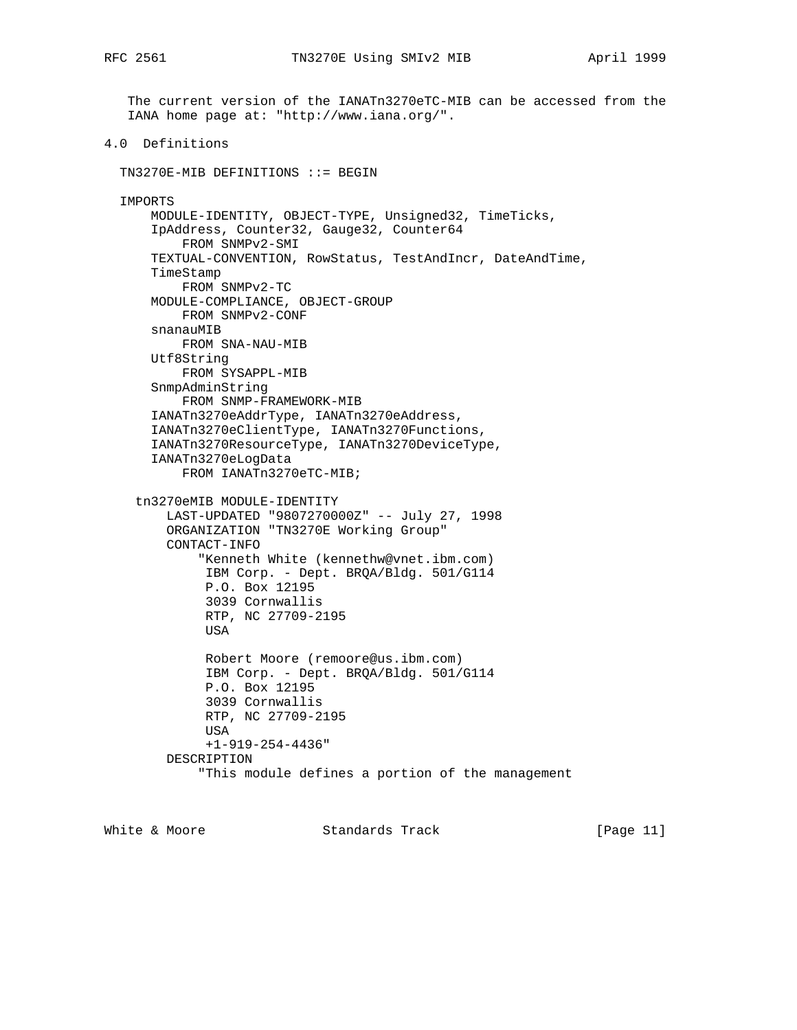The current version of the IANATn3270eTC-MIB can be accessed from the IANA home page at: "http://www.iana.org/".

4.0 Definitions

TN3270E-MIB DEFINITIONS ::= BEGIN

```
 IMPORTS
```

```
 MODULE-IDENTITY, OBJECT-TYPE, Unsigned32, TimeTicks,
   IpAddress, Counter32, Gauge32, Counter64
      FROM SNMPv2-SMI
  TEXTUAL-CONVENTION, RowStatus, TestAndIncr, DateAndTime,
  TimeStamp
      FROM SNMPv2-TC
  MODULE-COMPLIANCE, OBJECT-GROUP
      FROM SNMPv2-CONF
   snanauMIB
      FROM SNA-NAU-MIB
  Utf8String
      FROM SYSAPPL-MIB
   SnmpAdminString
      FROM SNMP-FRAMEWORK-MIB
   IANATn3270eAddrType, IANATn3270eAddress,
  IANATn3270eClientType, IANATn3270Functions,
   IANATn3270ResourceType, IANATn3270DeviceType,
   IANATn3270eLogData
       FROM IANATn3270eTC-MIB;
 tn3270eMIB MODULE-IDENTITY
     LAST-UPDATED "9807270000Z" -- July 27, 1998
     ORGANIZATION "TN3270E Working Group"
     CONTACT-INFO
         "Kenneth White (kennethw@vnet.ibm.com)
         IBM Corp. - Dept. BRQA/Bldg. 501/G114
          P.O. Box 12195
          3039 Cornwallis
          RTP, NC 27709-2195
          USA
          Robert Moore (remoore@us.ibm.com)
          IBM Corp. - Dept. BRQA/Bldg. 501/G114
          P.O. Box 12195
          3039 Cornwallis
          RTP, NC 27709-2195
         USA
          +1-919-254-4436"
     DESCRIPTION
         "This module defines a portion of the management
```
White & Moore **Standards Track** [Page 11]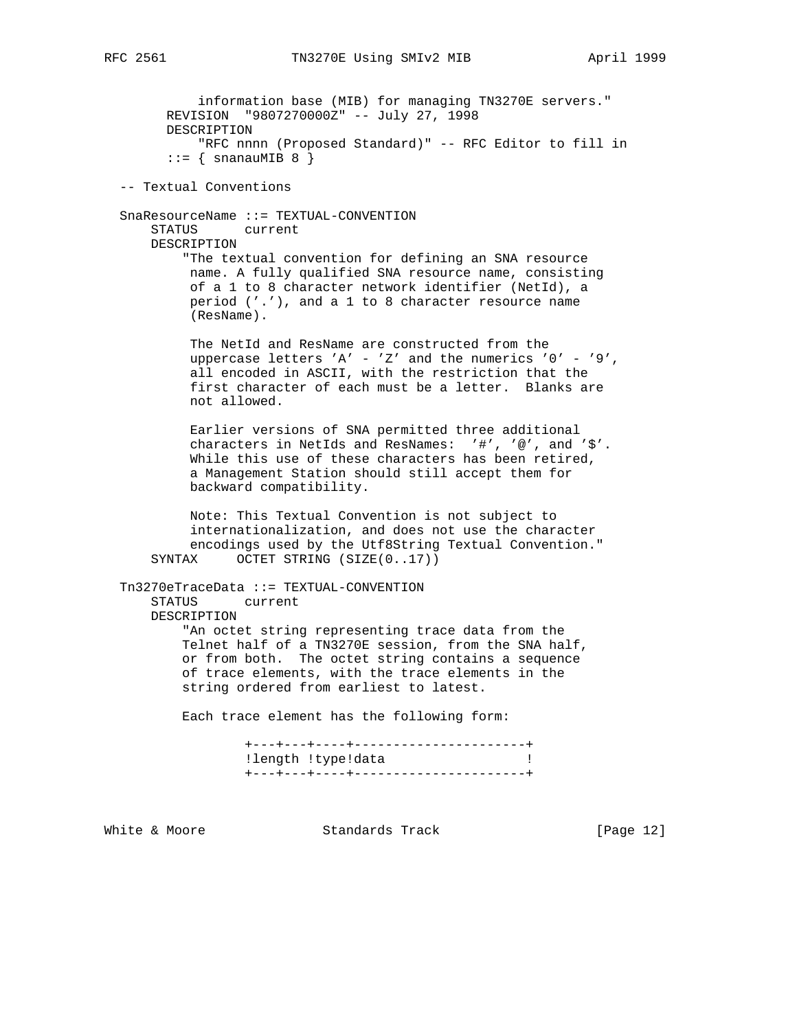information base (MIB) for managing TN3270E servers." REVISION "9807270000Z" -- July 27, 1998 DESCRIPTION "RFC nnnn (Proposed Standard)" -- RFC Editor to fill in  $::=$  { snanauMIB 8 } -- Textual Conventions SnaResourceName ::= TEXTUAL-CONVENTION STATUS current DESCRIPTION "The textual convention for defining an SNA resource name. A fully qualified SNA resource name, consisting of a 1 to 8 character network identifier (NetId), a period ('.'), and a 1 to 8 character resource name (ResName). The NetId and ResName are constructed from the uppercase letters 'A' - 'Z' and the numerics '0' - '9', all encoded in ASCII, with the restriction that the first character of each must be a letter. Blanks are not allowed. Earlier versions of SNA permitted three additional characters in NetIds and ResNames: '#', '@', and '\$'. While this use of these characters has been retired, a Management Station should still accept them for backward compatibility. Note: This Textual Convention is not subject to internationalization, and does not use the character encodings used by the Utf8String Textual Convention." SYNTAX OCTET STRING (SIZE(0..17)) Tn3270eTraceData ::= TEXTUAL-CONVENTION STATUS current DESCRIPTION "An octet string representing trace data from the Telnet half of a TN3270E session, from the SNA half, or from both. The octet string contains a sequence of trace elements, with the trace elements in the string ordered from earliest to latest. Each trace element has the following form: +---+---+----+----------------------+ !length !type!data ! +---+---+----+----------------------+

White & Moore **Standards Track** [Page 12]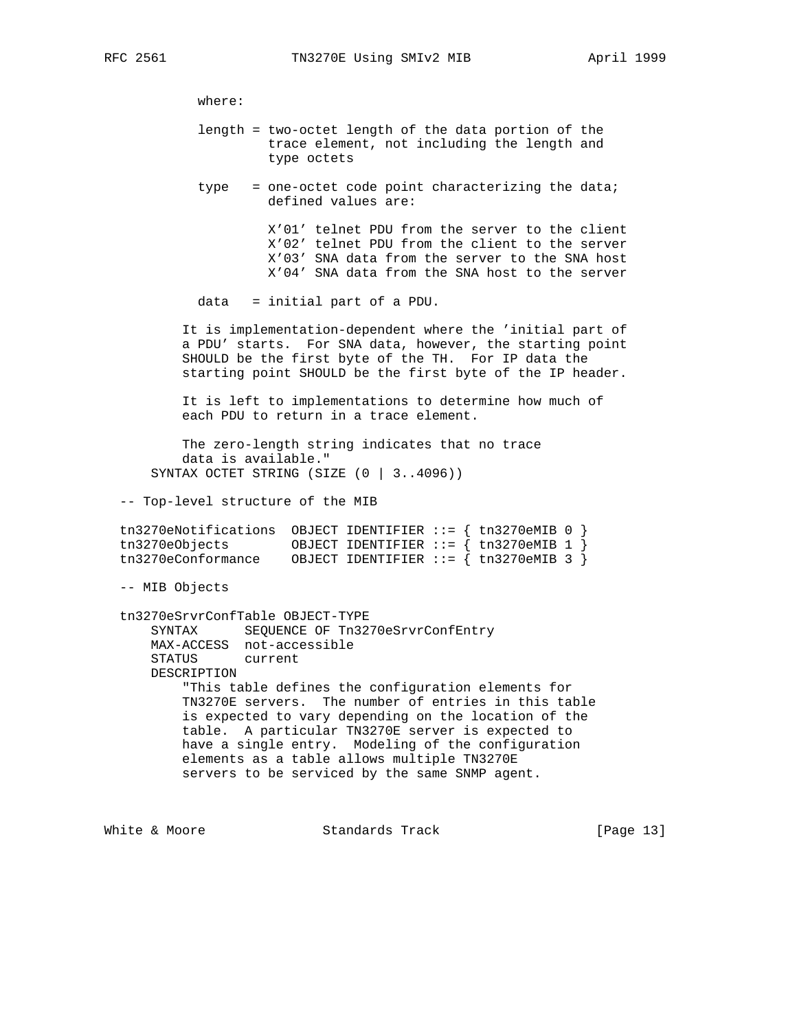where:

- length = two-octet length of the data portion of the trace element, not including the length and type octets
- type = one-octet code point characterizing the data; defined values are:

 X'01' telnet PDU from the server to the client X'02' telnet PDU from the client to the server X'03' SNA data from the server to the SNA host X'04' SNA data from the SNA host to the server

data = initial part of a PDU.

 It is implementation-dependent where the 'initial part of a PDU' starts. For SNA data, however, the starting point SHOULD be the first byte of the TH. For IP data the starting point SHOULD be the first byte of the IP header.

 It is left to implementations to determine how much of each PDU to return in a trace element.

 The zero-length string indicates that no trace data is available." SYNTAX OCTET STRING (SIZE (0 | 3..4096))

-- Top-level structure of the MIB

| tn3270eNotifications OBJECT IDENTIFIER ::= $\{$ tn3270eMIB 0 $\}$ |  |                                          |
|-------------------------------------------------------------------|--|------------------------------------------|
| tn3270eObjects                                                    |  | OBJECT IDENTIFIER ::= $\{tn3270eMIB 1\}$ |
| tn3270eConformance                                                |  | OBJECT IDENTIFIER $::=$ { tn3270eMIB 3 } |

-- MIB Objects

 tn3270eSrvrConfTable OBJECT-TYPE SYNTAX SEQUENCE OF Tn3270eSrvrConfEntry MAX-ACCESS not-accessible STATUS current DESCRIPTION "This table defines the configuration elements for TN3270E servers. The number of entries in this table is expected to vary depending on the location of the table. A particular TN3270E server is expected to have a single entry. Modeling of the configuration elements as a table allows multiple TN3270E servers to be serviced by the same SNMP agent.

White & Moore **Standards Track** [Page 13]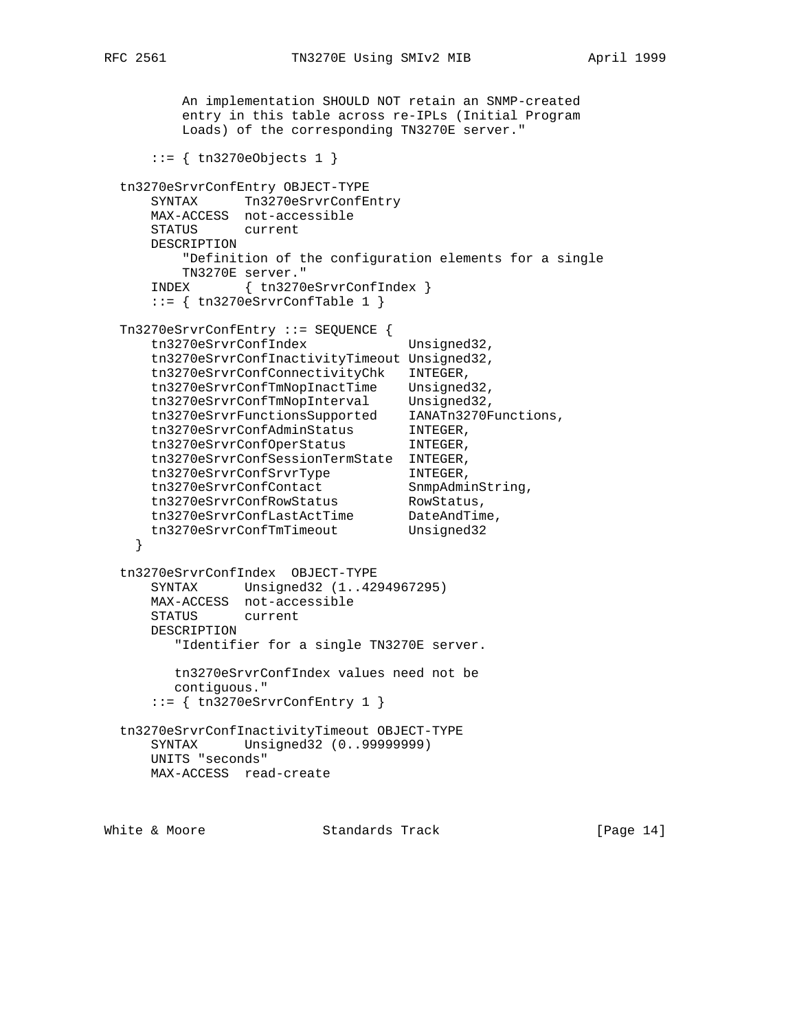An implementation SHOULD NOT retain an SNMP-created entry in this table across re-IPLs (Initial Program Loads) of the corresponding TN3270E server."  $::=$  { tn3270eObjects 1 } tn3270eSrvrConfEntry OBJECT-TYPE SYNTAX Tn3270eSrvrConfEntry MAX-ACCESS not-accessible STATUS current DESCRIPTION "Definition of the configuration elements for a single TN3270E server." INDEX { tn3270eSrvrConfIndex } ::= { tn3270eSrvrConfTable 1 } Tn3270eSrvrConfEntry ::= SEQUENCE { tn3270eSrvrConfIndex Unsigned32, tn3270eSrvrConfInactivityTimeout Unsigned32, tn3270eSrvrConfConnectivityChk INTEGER, tn3270eSrvrConfTmNopInactTime Unsigned32, tn3270eSrvrConfTmNopInterval Unsigned32, tn3270eSrvrFunctionsSupported IANATn3270Functions, tn3270eSrvrConfAdminStatus INTEGER, tn3270eSrvrConfOperStatus INTEGER, tn3270eSrvrConfSessionTermState INTEGER, tn3270eSrvrConfSrvrType INTEGER, tn3270eSrvrConfContact SnmpAdminString, tn3270eSrvrConfRowStatus RowStatus, tn3270eSrvrConfLastActTime DateAndTime, tn3270eSrvrConfTmTimeout Unsigned32 } tn3270eSrvrConfIndex OBJECT-TYPE SYNTAX Unsigned32 (1..4294967295) MAX-ACCESS not-accessible STATUS current DESCRIPTION "Identifier for a single TN3270E server. tn3270eSrvrConfIndex values need not be contiguous." ::= { tn3270eSrvrConfEntry 1 } tn3270eSrvrConfInactivityTimeout OBJECT-TYPE SYNTAX Unsigned32 (0..99999999) UNITS "seconds" MAX-ACCESS read-create

White & Moore Standards Track [Page 14]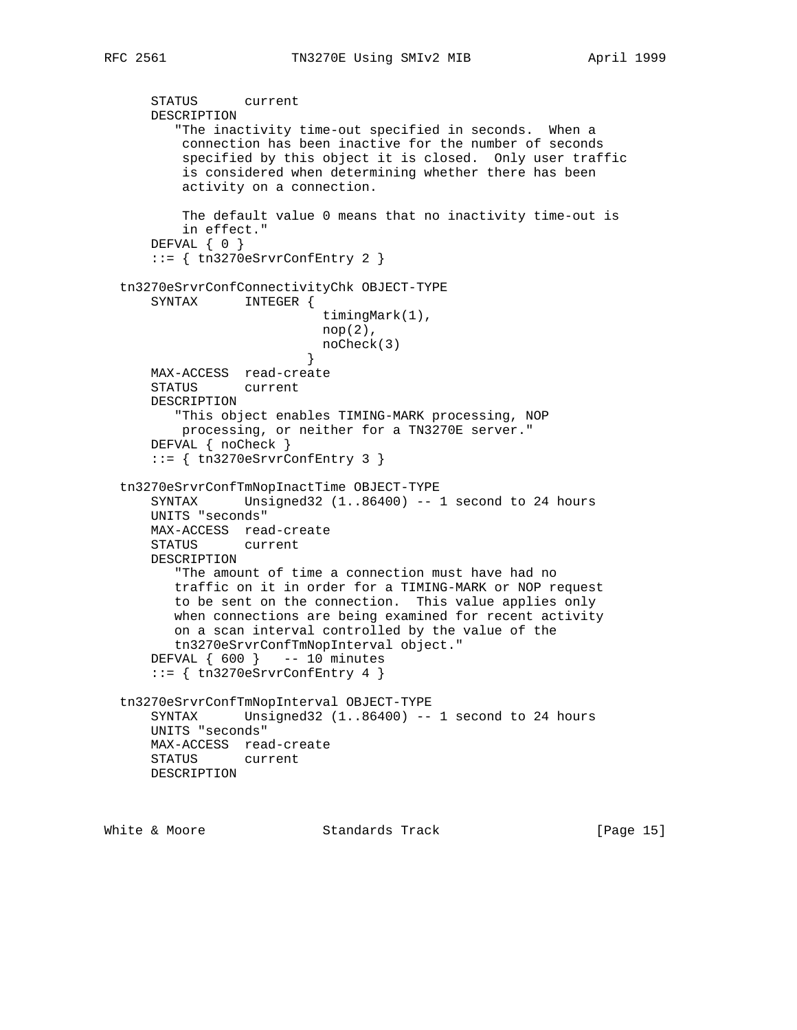STATUS current DESCRIPTION "The inactivity time-out specified in seconds. When a connection has been inactive for the number of seconds specified by this object it is closed. Only user traffic is considered when determining whether there has been activity on a connection. The default value 0 means that no inactivity time-out is in effect." DEFVAL { 0 } ::= { tn3270eSrvrConfEntry 2 } tn3270eSrvrConfConnectivityChk OBJECT-TYPE SYNTAX INTEGER { timingMark(1), nop(2), noCheck(3) } MAX-ACCESS read-create STATUS current DESCRIPTION "This object enables TIMING-MARK processing, NOP processing, or neither for a TN3270E server." DEFVAL { noCheck }  $::=$  { tn3270eSrvrConfEntry 3 } tn3270eSrvrConfTmNopInactTime OBJECT-TYPE SYNTAX Unsigned32 (1..86400) -- 1 second to 24 hours UNITS "seconds" MAX-ACCESS read-create STATUS current DESCRIPTION "The amount of time a connection must have had no traffic on it in order for a TIMING-MARK or NOP request to be sent on the connection. This value applies only when connections are being examined for recent activity on a scan interval controlled by the value of the tn3270eSrvrConfTmNopInterval object." DEFVAL { 600 } -- 10 minutes ::= { tn3270eSrvrConfEntry 4 } tn3270eSrvrConfTmNopInterval OBJECT-TYPE SYNTAX Unsigned32 (1..86400) -- 1 second to 24 hours UNITS "seconds" MAX-ACCESS read-create STATUS current DESCRIPTION

White & Moore **Standards Track** [Page 15]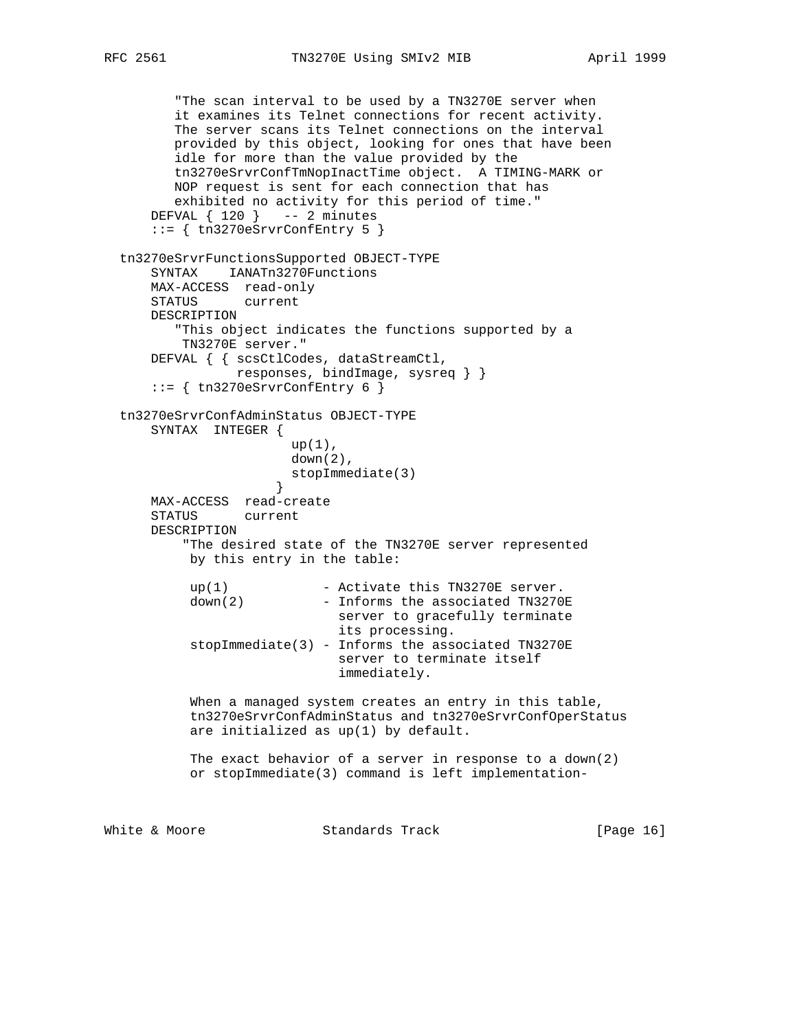"The scan interval to be used by a TN3270E server when it examines its Telnet connections for recent activity. The server scans its Telnet connections on the interval provided by this object, looking for ones that have been idle for more than the value provided by the tn3270eSrvrConfTmNopInactTime object. A TIMING-MARK or NOP request is sent for each connection that has exhibited no activity for this period of time." DEFVAL  $\{ 120 \}$  -- 2 minutes ::= { tn3270eSrvrConfEntry 5 } tn3270eSrvrFunctionsSupported OBJECT-TYPE SYNTAX IANATn3270Functions MAX-ACCESS read-only STATUS current DESCRIPTION "This object indicates the functions supported by a TN3270E server." DEFVAL { { scsCtlCodes, dataStreamCtl, responses, bindImage, sysreq } }  $::=$  { tn3270eSrvrConfEntry 6 } tn3270eSrvrConfAdminStatus OBJECT-TYPE SYNTAX INTEGER { up(1), down(2), stopImmediate(3) } MAX-ACCESS read-create STATUS current DESCRIPTION "The desired state of the TN3270E server represented by this entry in the table:  $up(1)$  - Activate this TN3270E server. down(2) - Informs the associated TN3270E server to gracefully terminate its processing.  $stopImage(3)$  - Informs the associated TN3270E server to terminate itself immediately. When a managed system creates an entry in this table, tn3270eSrvrConfAdminStatus and tn3270eSrvrConfOperStatus are initialized as up(1) by default. The exact behavior of a server in response to a down(2) or stopImmediate(3) command is left implementation-White & Moore **Standards Track** [Page 16]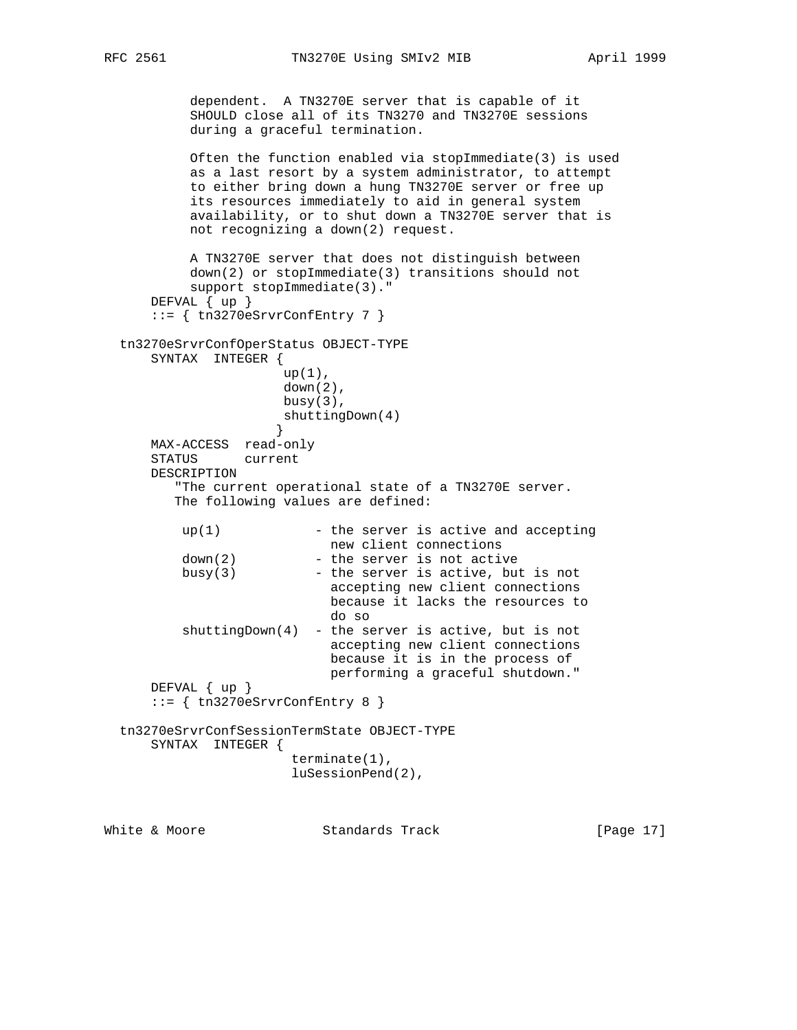```
RFC 2561 TN3270E Using SMIv2 MIB April 1999
```
 dependent. A TN3270E server that is capable of it SHOULD close all of its TN3270 and TN3270E sessions during a graceful termination.

```
 Often the function enabled via stopImmediate(3) is used
 as a last resort by a system administrator, to attempt
 to either bring down a hung TN3270E server or free up
 its resources immediately to aid in general system
 availability, or to shut down a TN3270E server that is
 not recognizing a down(2) request.
```

```
 A TN3270E server that does not distinguish between
           down(2) or stopImmediate(3) transitions should not
           support stopImmediate(3)."
      DEFVAL { up }
      ::= { tn3270eSrvrConfEntry 7 }
  tn3270eSrvrConfOperStatus OBJECT-TYPE
      SYNTAX INTEGER {
                      up(1),
                       down(2),
                      busy(3),
                     shuttingDown(4)<br>}
 }
      MAX-ACCESS read-only
      STATUS current
      DESCRIPTION
         "The current operational state of a TN3270E server.
         The following values are defined:
         up(1) - the server is active and accepting
                           new client connections
         down(2) - the server is not active
         busy(3) - the server is active, but is not
                            accepting new client connections
                            because it lacks the resources to
                            do so
         shuttingDown(4) - the server is active, but is not
                             accepting new client connections
                             because it is in the process of
                            performing a graceful shutdown."
      DEFVAL { up }
      ::= { tn3270eSrvrConfEntry 8 }
  tn3270eSrvrConfSessionTermState OBJECT-TYPE
      SYNTAX INTEGER {
                        terminate(1),
                        luSessionPend(2),
```
White & Moore **Standards Track** [Page 17]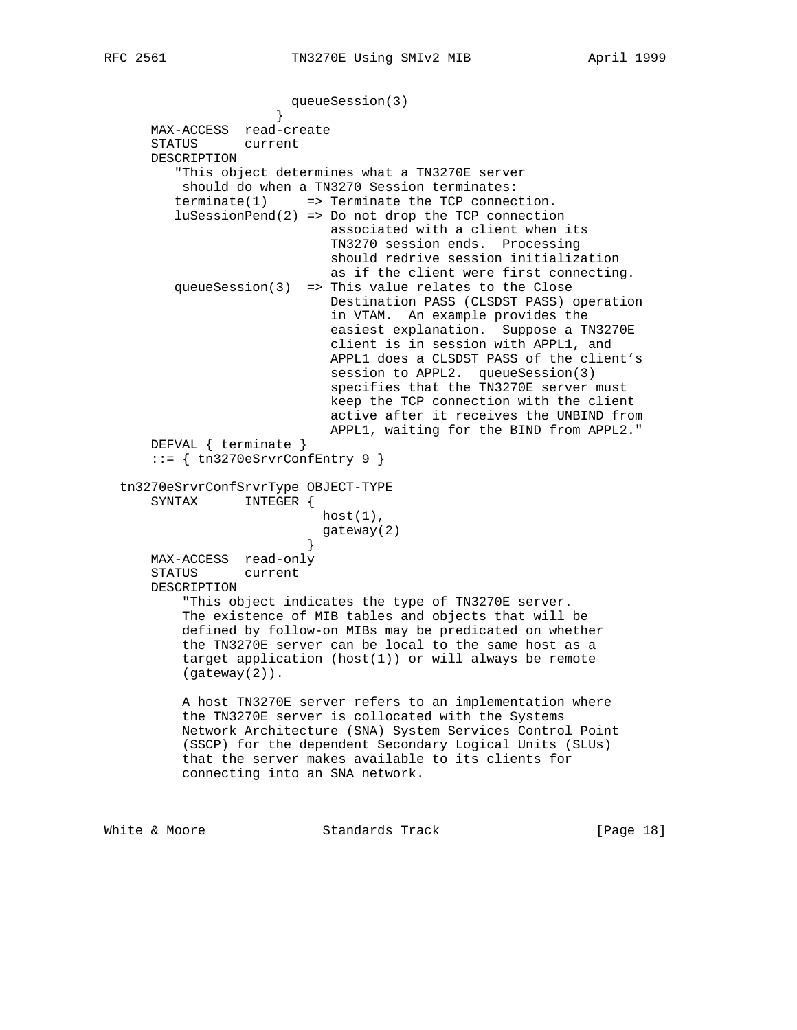```
queueSession(3)<br>}
 }
      MAX-ACCESS read-create
      STATUS current
      DESCRIPTION
         "This object determines what a TN3270E server
          should do when a TN3270 Session terminates:
        \text{terminate}(1) \implies \text{Terminate} \text{ the TCP connection.}luSessionPend(2) => Do not drop the TCP connection
                             associated with a client when its
                             TN3270 session ends. Processing
                             should redrive session initialization
                             as if the client were first connecting.
         queueSession(3) => This value relates to the Close
                             Destination PASS (CLSDST PASS) operation
                             in VTAM. An example provides the
                             easiest explanation. Suppose a TN3270E
                             client is in session with APPL1, and
                             APPL1 does a CLSDST PASS of the client's
                            session to APPL2. queueSession(3)
                             specifies that the TN3270E server must
                             keep the TCP connection with the client
                             active after it receives the UNBIND from
                             APPL1, waiting for the BIND from APPL2."
      DEFVAL { terminate }
     ::= { tn3270eSrvrConfEntry 9 }
  tn3270eSrvrConfSrvrType OBJECT-TYPE
      SYNTAX INTEGER {
                           host(1),
                            gateway(2)
 }
      MAX-ACCESS read-only
      STATUS current
      DESCRIPTION
           "This object indicates the type of TN3270E server.
          The existence of MIB tables and objects that will be
          defined by follow-on MIBs may be predicated on whether
          the TN3270E server can be local to the same host as a
          target application (host(1)) or will always be remote
          (gateway(2)).
          A host TN3270E server refers to an implementation where
          the TN3270E server is collocated with the Systems
          Network Architecture (SNA) System Services Control Point
          (SSCP) for the dependent Secondary Logical Units (SLUs)
          that the server makes available to its clients for
          connecting into an SNA network.
```
White & Moore **Standards Track** [Page 18]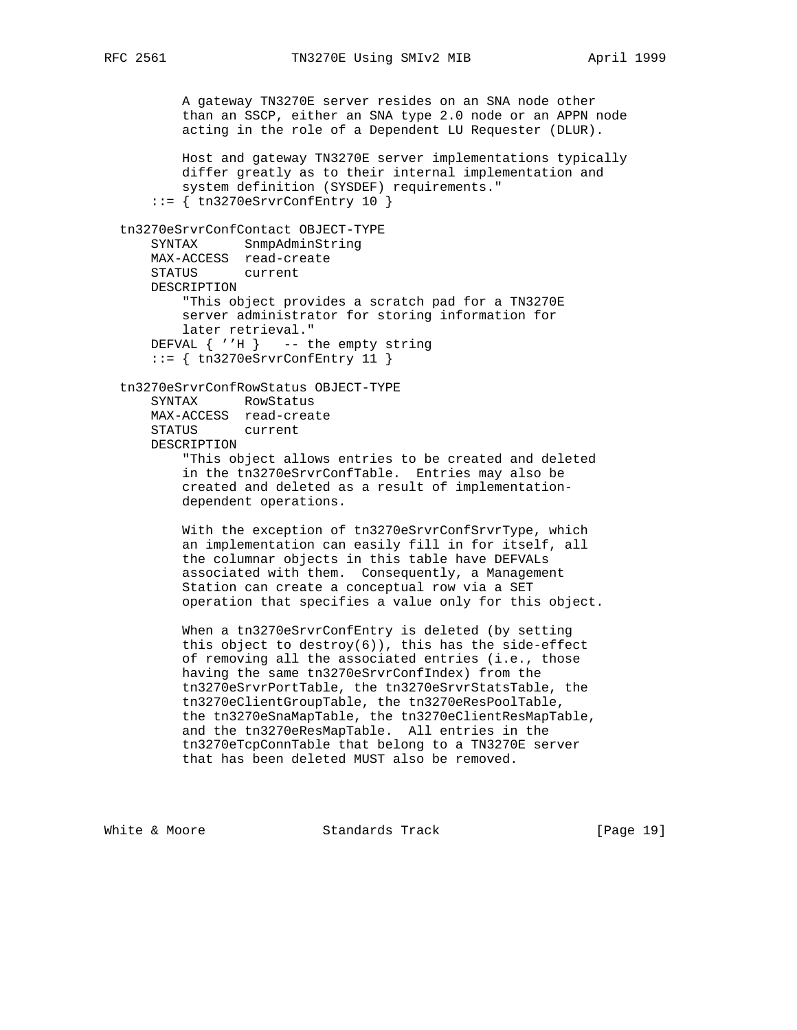A gateway TN3270E server resides on an SNA node other than an SSCP, either an SNA type 2.0 node or an APPN node acting in the role of a Dependent LU Requester (DLUR).

 Host and gateway TN3270E server implementations typically differ greatly as to their internal implementation and system definition (SYSDEF) requirements."  $::=$  { tn3270eSrvrConfEntry 10 }

```
 tn3270eSrvrConfContact OBJECT-TYPE
     SYNTAX SnmpAdminString
    MAX-ACCESS read-create
    STATUS current
    DESCRIPTION
         "This object provides a scratch pad for a TN3270E
        server administrator for storing information for
        later retrieval."
   DEFVAL \{ 'H \} -- the empty string
     ::= { tn3270eSrvrConfEntry 11 }
```
tn3270eSrvrConfRowStatus OBJECT-TYPE

 SYNTAX RowStatus MAX-ACCESS read-create STATUS current DESCRIPTION "This object allows entries to be created and deleted in the tn3270eSrvrConfTable. Entries may also be created and deleted as a result of implementation dependent operations.

 With the exception of tn3270eSrvrConfSrvrType, which an implementation can easily fill in for itself, all the columnar objects in this table have DEFVALs associated with them. Consequently, a Management Station can create a conceptual row via a SET operation that specifies a value only for this object.

 When a tn3270eSrvrConfEntry is deleted (by setting this object to destroy $(6)$ ), this has the side-effect of removing all the associated entries (i.e., those having the same tn3270eSrvrConfIndex) from the tn3270eSrvrPortTable, the tn3270eSrvrStatsTable, the tn3270eClientGroupTable, the tn3270eResPoolTable, the tn3270eSnaMapTable, the tn3270eClientResMapTable, and the tn3270eResMapTable. All entries in the tn3270eTcpConnTable that belong to a TN3270E server that has been deleted MUST also be removed.

White & Moore Standards Track [Page 19]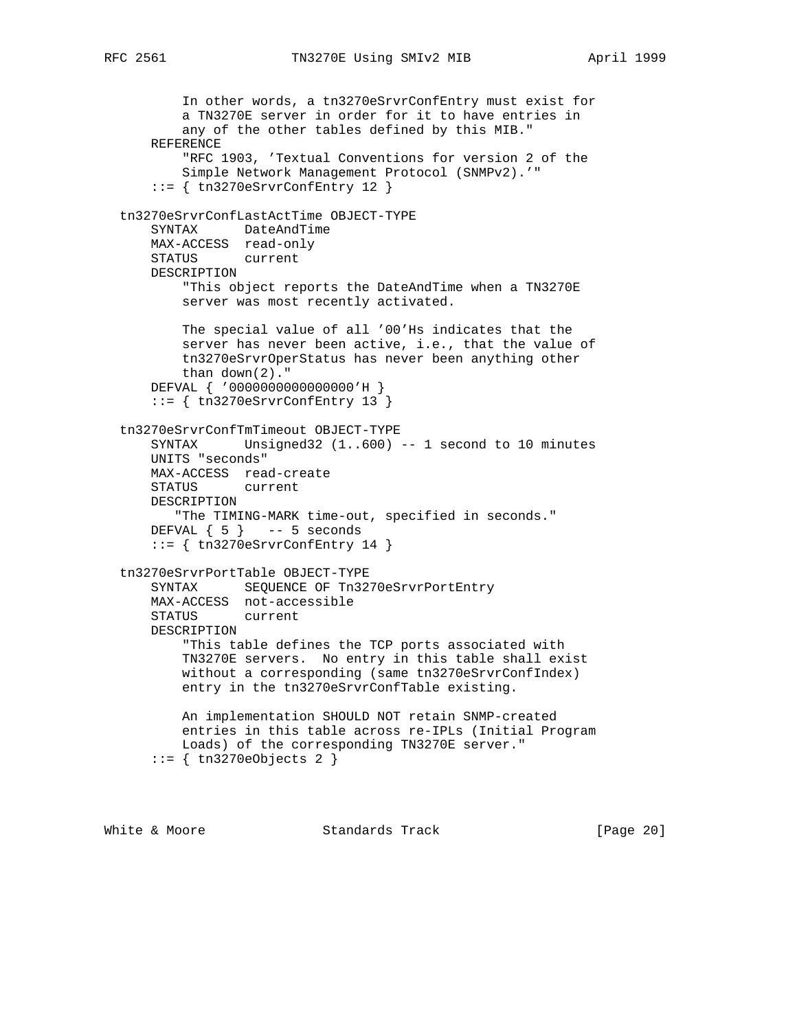```
RFC 2561 TN3270E Using SMIv2 MIB April 1999
```
 In other words, a tn3270eSrvrConfEntry must exist for a TN3270E server in order for it to have entries in any of the other tables defined by this MIB." REFERENCE "RFC 1903, 'Textual Conventions for version 2 of the Simple Network Management Protocol (SNMPv2).'" ::= { tn3270eSrvrConfEntry 12 } tn3270eSrvrConfLastActTime OBJECT-TYPE SYNTAX DateAndTime MAX-ACCESS read-only STATUS current DESCRIPTION "This object reports the DateAndTime when a TN3270E server was most recently activated. The special value of all '00'Hs indicates that the server has never been active, i.e., that the value of tn3270eSrvrOperStatus has never been anything other than down(2)." DEFVAL { '0000000000000000'H } ::= { tn3270eSrvrConfEntry 13 } tn3270eSrvrConfTmTimeout OBJECT-TYPE SYNTAX Unsigned32 (1..600) -- 1 second to 10 minutes UNITS "seconds" MAX-ACCESS read-create STATUS current DESCRIPTION "The TIMING-MARK time-out, specified in seconds." DEFVAL  $\{5\}$  -- 5 seconds  $::=$  { tn3270eSrvrConfEntry 14 } tn3270eSrvrPortTable OBJECT-TYPE SYNTAX SEQUENCE OF Tn3270eSrvrPortEntry MAX-ACCESS not-accessible STATUS current DESCRIPTION "This table defines the TCP ports associated with TN3270E servers. No entry in this table shall exist without a corresponding (same tn3270eSrvrConfIndex) entry in the tn3270eSrvrConfTable existing. An implementation SHOULD NOT retain SNMP-created entries in this table across re-IPLs (Initial Program Loads) of the corresponding TN3270E server." ::= { tn3270eObjects 2 }

White & Moore **Standards Track** [Page 20]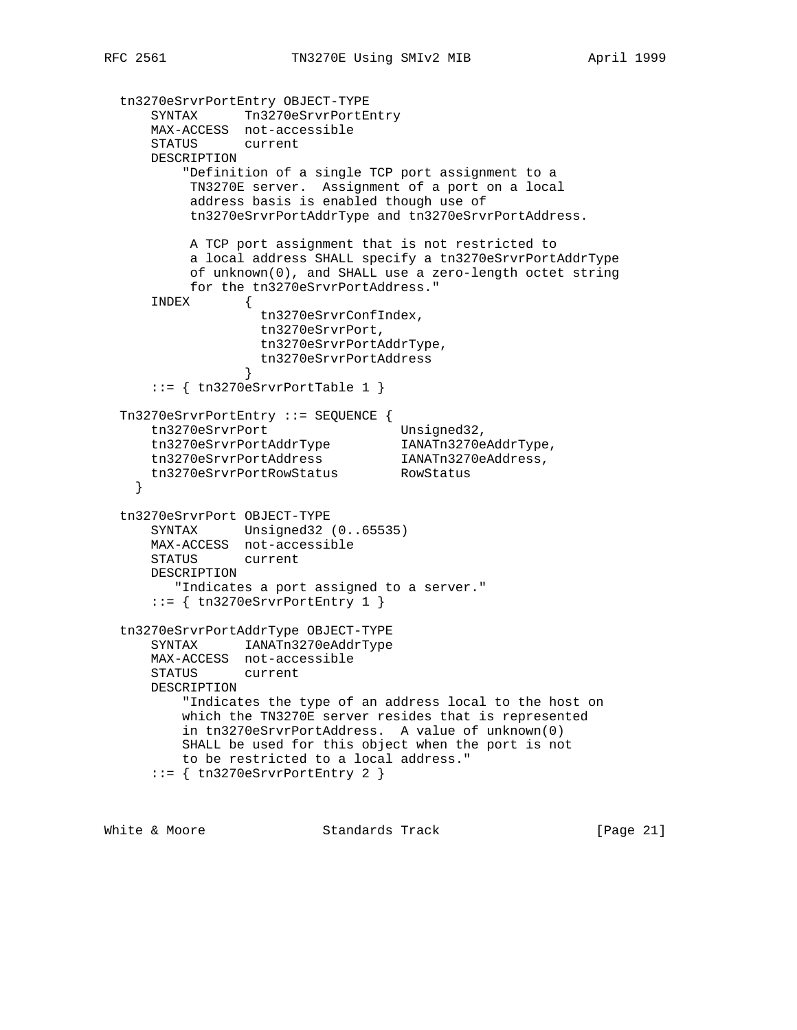```
 tn3270eSrvrPortEntry OBJECT-TYPE
 SYNTAX Tn3270eSrvrPortEntry
 MAX-ACCESS not-accessible
      STATUS current
      DESCRIPTION
          "Definition of a single TCP port assignment to a
          TN3270E server. Assignment of a port on a local
           address basis is enabled though use of
           tn3270eSrvrPortAddrType and tn3270eSrvrPortAddress.
           A TCP port assignment that is not restricted to
           a local address SHALL specify a tn3270eSrvrPortAddrType
           of unknown(0), and SHALL use a zero-length octet string
           for the tn3270eSrvrPortAddress."
      INDEX {
                   tn3270eSrvrConfIndex,
                   tn3270eSrvrPort,
                   tn3270eSrvrPortAddrType,
                   tn3270eSrvrPortAddress
 }
      ::= { tn3270eSrvrPortTable 1 }
  Tn3270eSrvrPortEntry ::= SEQUENCE {
tn3270eSrvrPort Unsigned32,
 tn3270eSrvrPortAddrType IANATn3270eAddrType,
 tn3270eSrvrPortAddress IANATn3270eAddress,
 tn3270eSrvrPortRowStatus RowStatus
    }
  tn3270eSrvrPort OBJECT-TYPE
      SYNTAX Unsigned32 (0..65535)
      MAX-ACCESS not-accessible
      STATUS current
      DESCRIPTION
         "Indicates a port assigned to a server."
     ::= { tn3270eSrvrPortEntry 1 }
  tn3270eSrvrPortAddrType OBJECT-TYPE
      SYNTAX IANATn3270eAddrType
      MAX-ACCESS not-accessible
     STATUS
      DESCRIPTION
          "Indicates the type of an address local to the host on
          which the TN3270E server resides that is represented
          in tn3270eSrvrPortAddress. A value of unknown(0)
          SHALL be used for this object when the port is not
          to be restricted to a local address."
      ::= { tn3270eSrvrPortEntry 2 }
```
White & Moore **Standards Track** [Page 21]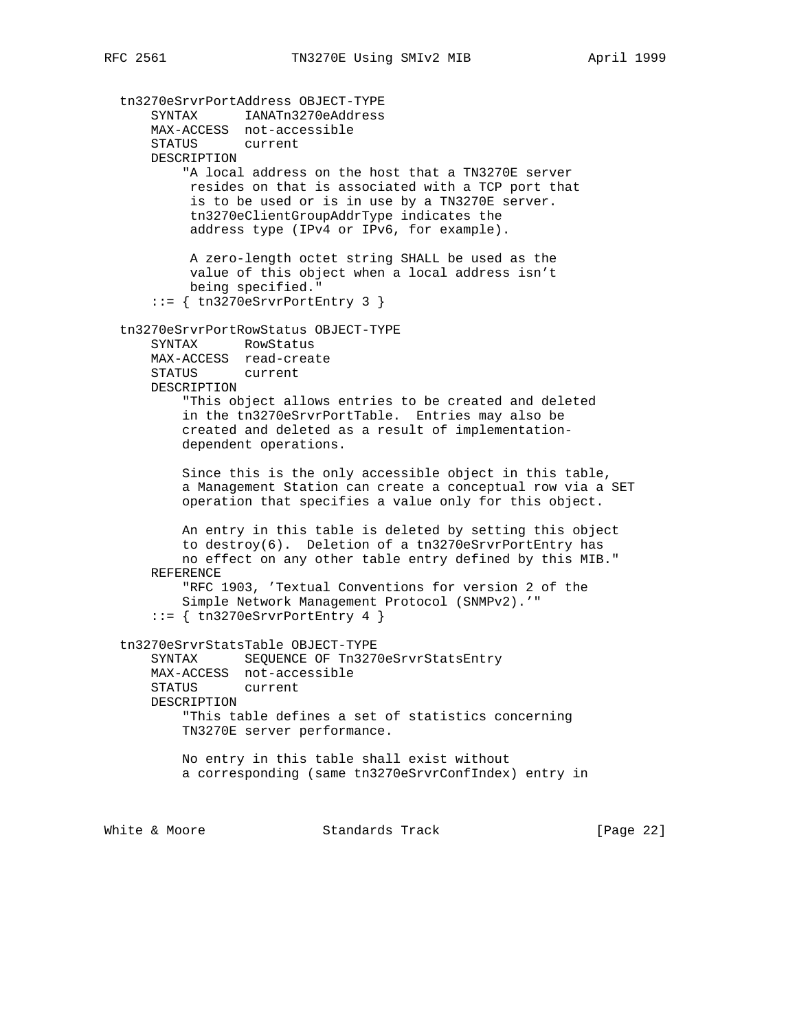tn3270eSrvrPortAddress OBJECT-TYPE SYNTAX IANATn3270eAddress MAX-ACCESS not-accessible STATUS current DESCRIPTION "A local address on the host that a TN3270E server resides on that is associated with a TCP port that is to be used or is in use by a TN3270E server. tn3270eClientGroupAddrType indicates the address type (IPv4 or IPv6, for example). A zero-length octet string SHALL be used as the value of this object when a local address isn't being specified." ::= { tn3270eSrvrPortEntry 3 } tn3270eSrvrPortRowStatus OBJECT-TYPE SYNTAX RowStatus MAX-ACCESS read-create STATUS current DESCRIPTION "This object allows entries to be created and deleted in the tn3270eSrvrPortTable. Entries may also be created and deleted as a result of implementation dependent operations. Since this is the only accessible object in this table, a Management Station can create a conceptual row via a SET operation that specifies a value only for this object. An entry in this table is deleted by setting this object to destroy(6). Deletion of a tn3270eSrvrPortEntry has no effect on any other table entry defined by this MIB." REFERENCE "RFC 1903, 'Textual Conventions for version 2 of the Simple Network Management Protocol (SNMPv2).'" ::= { tn3270eSrvrPortEntry 4 } tn3270eSrvrStatsTable OBJECT-TYPE SYNTAX SEQUENCE OF Tn3270eSrvrStatsEntry MAX-ACCESS not-accessible STATUS current DESCRIPTION "This table defines a set of statistics concerning TN3270E server performance. No entry in this table shall exist without a corresponding (same tn3270eSrvrConfIndex) entry in White & Moore **Standards Track** [Page 22]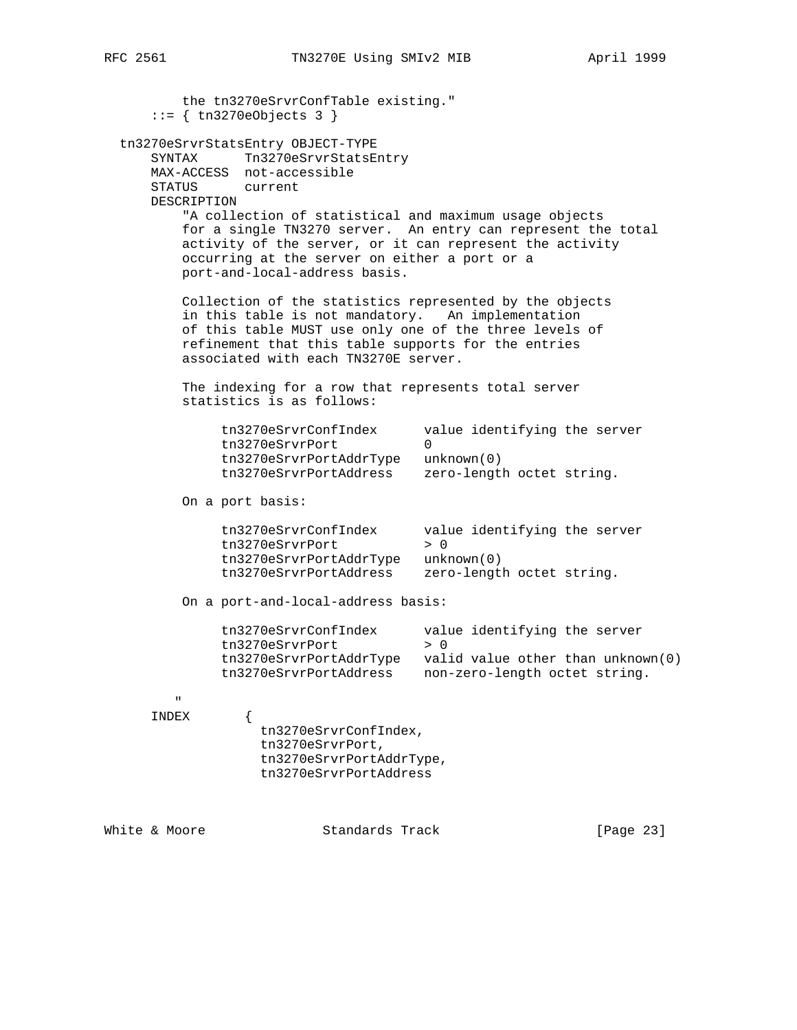| ∠ ∪ ∪ ⊥ | ᆂᇇᇰᇰᅵᇅ |
|---------|--------|
|         |        |
|         |        |
|         |        |
|         |        |

 the tn3270eSrvrConfTable existing." ::= { tn3270eObjects 3 } tn3270eSrvrStatsEntry OBJECT-TYPE SYNTAX Tn3270eSrvrStatsEntry MAX-ACCESS not-accessible STATUS current DESCRIPTION "A collection of statistical and maximum usage objects for a single TN3270 server. An entry can represent the total activity of the server, or it can represent the activity occurring at the server on either a port or a port-and-local-address basis. Collection of the statistics represented by the objects in this table is not mandatory. An implementation of this table MUST use only one of the three levels of refinement that this table supports for the entries associated with each TN3270E server. The indexing for a row that represents total server statistics is as follows: tn3270eSrvrConfIndex value identifying the server<br>tn3270eSrvrPort 0 tn3270eSrvrPort tn3270eSrvrPortAddrType unknown(0) tn3270eSrvrPortAddress zero-length octet string. On a port basis: tn3270eSrvrConfIndex value identifying the server tn3270eSrvrPort > 0 tn3270eSrvrPortAddrType unknown(0) tn3270eSrvrPortAddress zero-length octet string. On a port-and-local-address basis: tn3270eSrvrConfIndex value identifying the server tn3270eSrvrPort > 0 tn3270eSrvrPortAddrType valid value other than unknown(0) tn3270eSrvrPortAddress non-zero-length octet string. " INDEX { tn3270eSrvrConfIndex, tn3270eSrvrPort, tn3270eSrvrPortAddrType, tn3270eSrvrPortAddress

White & Moore **Standards Track** [Page 23]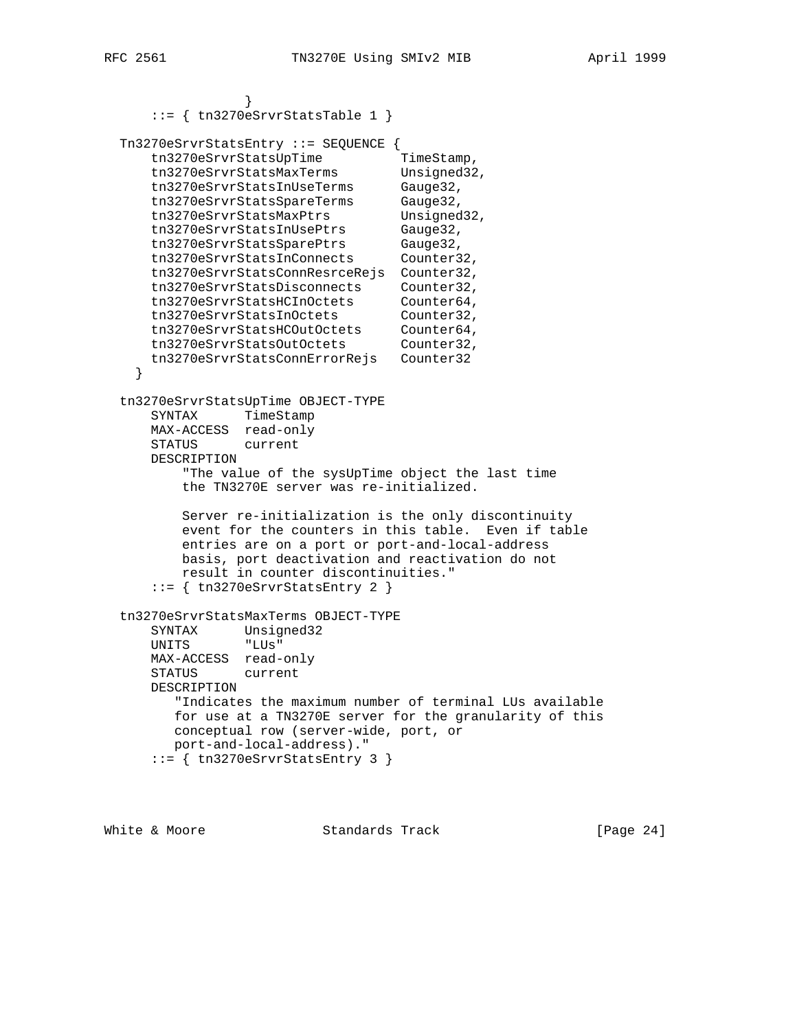```
 }
    ::= { tn3270eSrvrStatsTable 1 }
```

```
 Tn3270eSrvrStatsEntry ::= SEQUENCE {
tn3270eSrvrStatsUpTime TimeStamp,
tn3270eSrvrStatsMaxTerms Unsigned32,
 tn3270eSrvrStatsInUseTerms Gauge32,
 tn3270eSrvrStatsSpareTerms Gauge32,
tn3270eSrvrStatsMaxPtrs Unsigned32,
 tn3270eSrvrStatsInUsePtrs Gauge32,
 tn3270eSrvrStatsSparePtrs Gauge32,
 tn3270eSrvrStatsInConnects Counter32,
 tn3270eSrvrStatsConnResrceRejs Counter32,
 tn3270eSrvrStatsDisconnects Counter32,
 tn3270eSrvrStatsHCInOctets Counter64,
 tn3270eSrvrStatsInOctets Counter32,
 tn3270eSrvrStatsHCOutOctets Counter64,
 tn3270eSrvrStatsOutOctets Counter32,
     tn3270eSrvrStatsConnErrorRejs Counter32
    }
  tn3270eSrvrStatsUpTime OBJECT-TYPE
     SYNTAX TimeStamp
     MAX-ACCESS read-only
     STATUS current
```
 DESCRIPTION "The value of the sysUpTime object the last time the TN3270E server was re-initialized.

```
 Server re-initialization is the only discontinuity
    event for the counters in this table. Even if table
    entries are on a port or port-and-local-address
    basis, port deactivation and reactivation do not
    result in counter discontinuities."
::= { tn3270eSrvrStatsEntry 2 }
```

```
 tn3270eSrvrStatsMaxTerms OBJECT-TYPE
 SYNTAX Unsigned32
 UNITS "LUs"
      MAX-ACCESS read-only
      STATUS current
      DESCRIPTION
         "Indicates the maximum number of terminal LUs available
        for use at a TN3270E server for the granularity of this
        conceptual row (server-wide, port, or
        port-and-local-address)."
     ::= { tn3270eSrvrStatsEntry 3 }
```
White & Moore Standards Track [Page 24]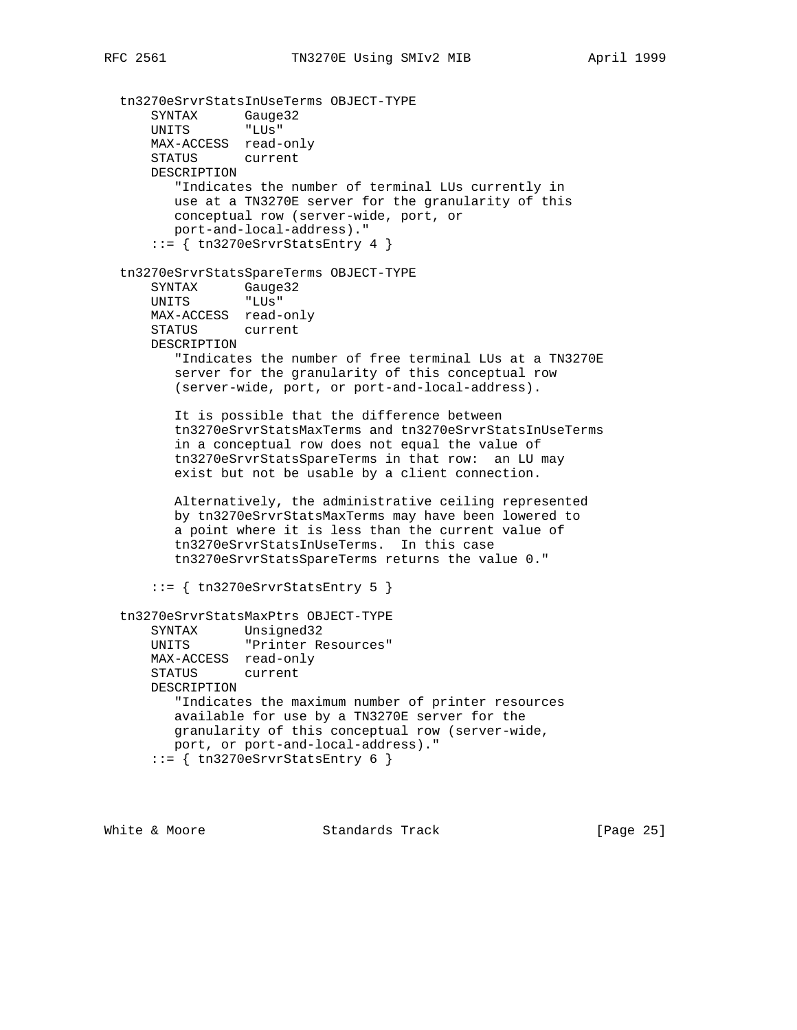tn3270eSrvrStatsInUseTerms OBJECT-TYPE SYNTAX Gauge32 UNITS "LUs" MAX-ACCESS read-only STATUS current DESCRIPTION "Indicates the number of terminal LUs currently in use at a TN3270E server for the granularity of this conceptual row (server-wide, port, or port-and-local-address)."  $::=$  { tn3270eSrvrStatsEntry 4 } tn3270eSrvrStatsSpareTerms OBJECT-TYPE SYNTAX Gauge32 UNITS "LUs" MAX-ACCESS read-only STATUS current DESCRIPTION "Indicates the number of free terminal LUs at a TN3270E server for the granularity of this conceptual row (server-wide, port, or port-and-local-address). It is possible that the difference between tn3270eSrvrStatsMaxTerms and tn3270eSrvrStatsInUseTerms in a conceptual row does not equal the value of tn3270eSrvrStatsSpareTerms in that row: an LU may exist but not be usable by a client connection. Alternatively, the administrative ceiling represented by tn3270eSrvrStatsMaxTerms may have been lowered to a point where it is less than the current value of tn3270eSrvrStatsInUseTerms. In this case tn3270eSrvrStatsSpareTerms returns the value 0." ::= { tn3270eSrvrStatsEntry 5 } tn3270eSrvrStatsMaxPtrs OBJECT-TYPE SYNTAX Unsigned32 UNITS "Printer Resources" MAX-ACCESS read-only STATUS current DESCRIPTION "Indicates the maximum number of printer resources

 available for use by a TN3270E server for the granularity of this conceptual row (server-wide, port, or port-and-local-address)."  $::=$  { tn3270eSrvrStatsEntry 6 }

White & Moore **Standards Track** [Page 25]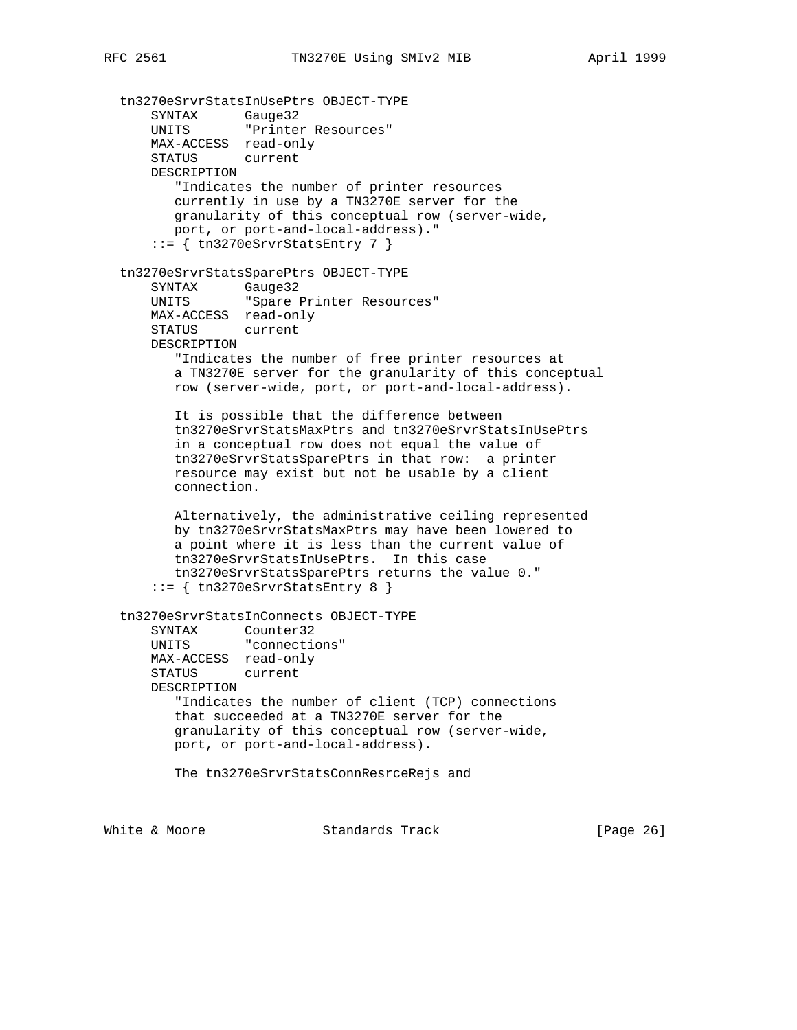tn3270eSrvrStatsInUsePtrs OBJECT-TYPE SYNTAX Gauge32 UNITS "Printer Resources" MAX-ACCESS read-only STATUS current DESCRIPTION "Indicates the number of printer resources currently in use by a TN3270E server for the granularity of this conceptual row (server-wide, port, or port-and-local-address)."  $::=$  { tn3270eSrvrStatsEntry 7 } tn3270eSrvrStatsSparePtrs OBJECT-TYPE SYNTAX Gauge32 UNITS "Spare Printer Resources" MAX-ACCESS read-only STATUS current DESCRIPTION "Indicates the number of free printer resources at a TN3270E server for the granularity of this conceptual row (server-wide, port, or port-and-local-address). It is possible that the difference between tn3270eSrvrStatsMaxPtrs and tn3270eSrvrStatsInUsePtrs in a conceptual row does not equal the value of tn3270eSrvrStatsSparePtrs in that row: a printer resource may exist but not be usable by a client connection. Alternatively, the administrative ceiling represented by tn3270eSrvrStatsMaxPtrs may have been lowered to a point where it is less than the current value of tn3270eSrvrStatsInUsePtrs. In this case tn3270eSrvrStatsSparePtrs returns the value 0."  $::=$  { tn3270eSrvrStatsEntry 8 } tn3270eSrvrStatsInConnects OBJECT-TYPE SYNTAX Counter32 UNITS "connections" MAX-ACCESS read-only STATUS current DESCRIPTION "Indicates the number of client (TCP) connections that succeeded at a TN3270E server for the granularity of this conceptual row (server-wide, port, or port-and-local-address). The tn3270eSrvrStatsConnResrceRejs and

White & Moore **Standards Track** [Page 26]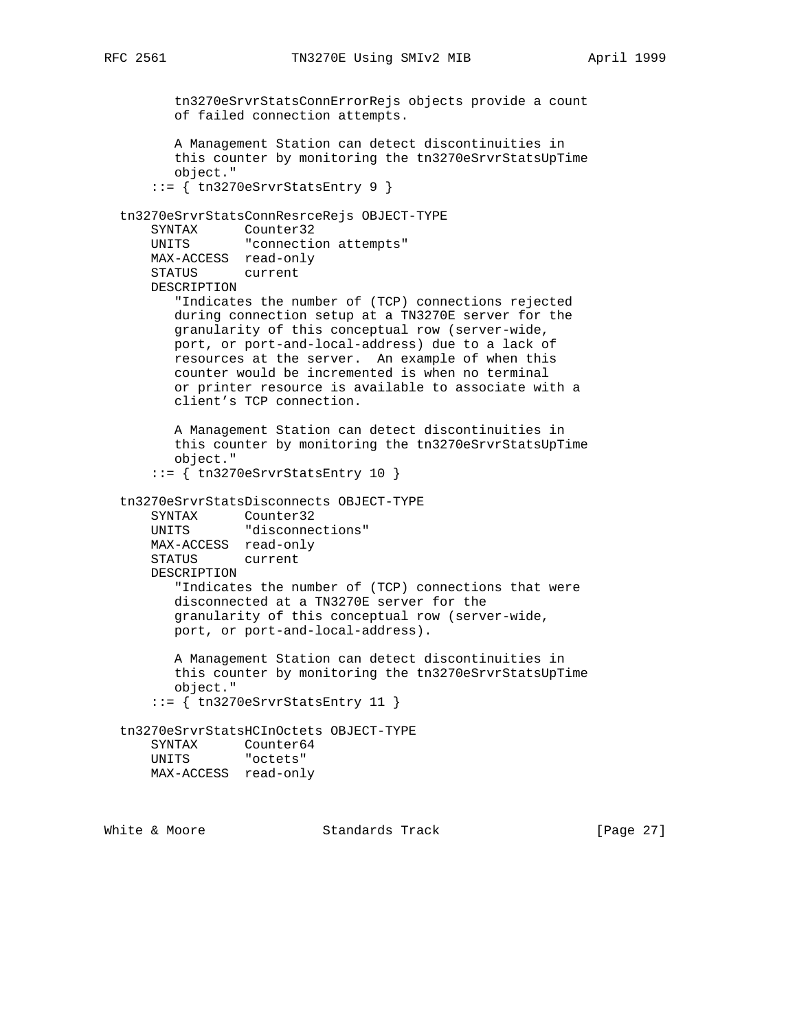tn3270eSrvrStatsConnErrorRejs objects provide a count of failed connection attempts. A Management Station can detect discontinuities in this counter by monitoring the tn3270eSrvrStatsUpTime object." ::= { tn3270eSrvrStatsEntry 9 } tn3270eSrvrStatsConnResrceRejs OBJECT-TYPE SYNTAX Counter32 UNITS "connection attempts" MAX-ACCESS read-only STATUS current DESCRIPTION "Indicates the number of (TCP) connections rejected during connection setup at a TN3270E server for the granularity of this conceptual row (server-wide, port, or port-and-local-address) due to a lack of resources at the server. An example of when this counter would be incremented is when no terminal or printer resource is available to associate with a client's TCP connection. A Management Station can detect discontinuities in this counter by monitoring the tn3270eSrvrStatsUpTime object." ::= { tn3270eSrvrStatsEntry 10 } tn3270eSrvrStatsDisconnects OBJECT-TYPE SYNTAX Counter32 UNITS "disconnections" MAX-ACCESS read-only STATUS current DESCRIPTION "Indicates the number of (TCP) connections that were disconnected at a TN3270E server for the granularity of this conceptual row (server-wide, port, or port-and-local-address). A Management Station can detect discontinuities in this counter by monitoring the tn3270eSrvrStatsUpTime object." ::= { tn3270eSrvrStatsEntry 11 } tn3270eSrvrStatsHCInOctets OBJECT-TYPE SYNTAX Counter64 UNITS "octets" MAX-ACCESS read-only

White & Moore **Standards Track** [Page 27]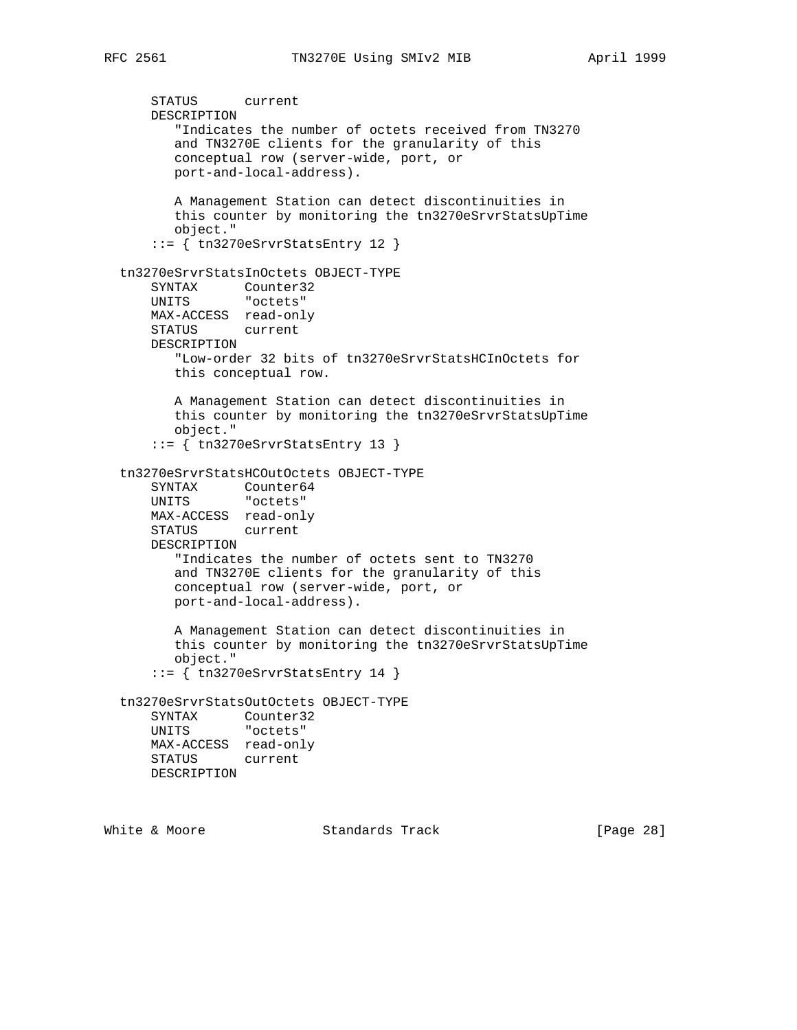STATUS current DESCRIPTION "Indicates the number of octets received from TN3270 and TN3270E clients for the granularity of this conceptual row (server-wide, port, or port-and-local-address). A Management Station can detect discontinuities in this counter by monitoring the tn3270eSrvrStatsUpTime object." ::= { tn3270eSrvrStatsEntry 12 } tn3270eSrvrStatsInOctets OBJECT-TYPE SYNTAX Counter32 UNITS "octets" MAX-ACCESS read-only STATUS current DESCRIPTION "Low-order 32 bits of tn3270eSrvrStatsHCInOctets for this conceptual row. A Management Station can detect discontinuities in this counter by monitoring the tn3270eSrvrStatsUpTime object." ::= { tn3270eSrvrStatsEntry 13 } tn3270eSrvrStatsHCOutOctets OBJECT-TYPE SYNTAX Counter64 UNITS "octets" MAX-ACCESS read-only STATUS current DESCRIPTION "Indicates the number of octets sent to TN3270 and TN3270E clients for the granularity of this conceptual row (server-wide, port, or port-and-local-address). A Management Station can detect discontinuities in this counter by monitoring the tn3270eSrvrStatsUpTime object." ::= { tn3270eSrvrStatsEntry 14 } tn3270eSrvrStatsOutOctets OBJECT-TYPE SYNTAX Counter32 UNITS "octets" MAX-ACCESS read-only STATUS current DESCRIPTION

White & Moore **Standards Track** [Page 28]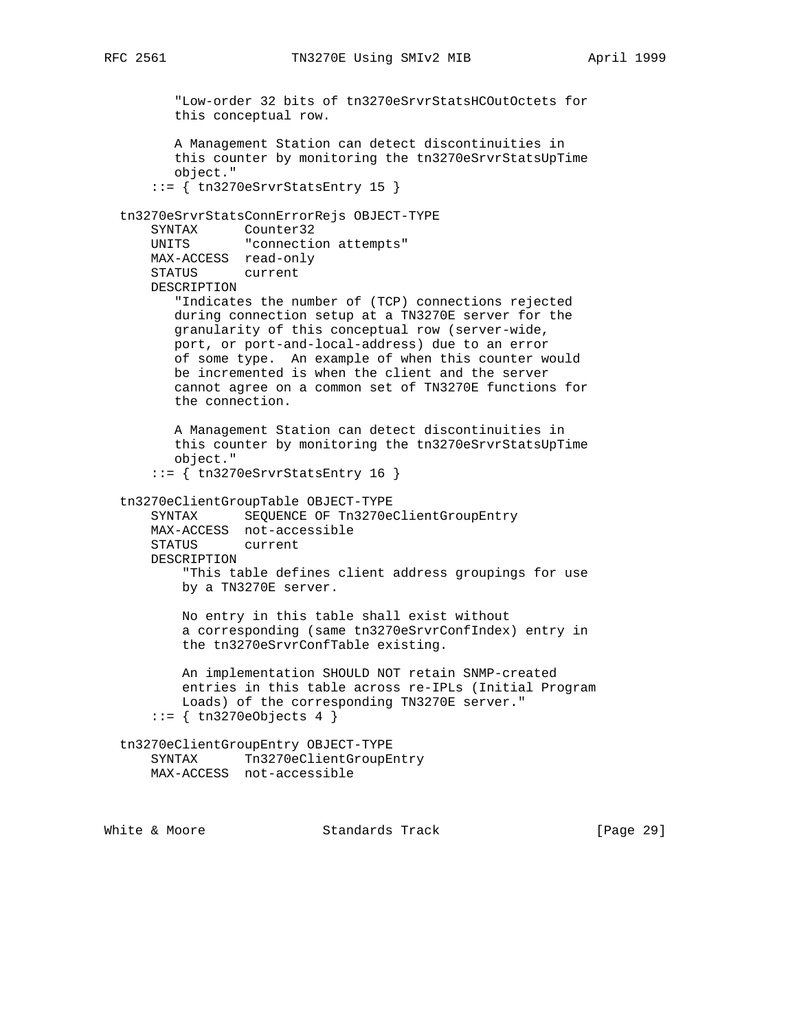"Low-order 32 bits of tn3270eSrvrStatsHCOutOctets for this conceptual row. A Management Station can detect discontinuities in this counter by monitoring the tn3270eSrvrStatsUpTime object." ::= { tn3270eSrvrStatsEntry 15 } tn3270eSrvrStatsConnErrorRejs OBJECT-TYPE SYNTAX Counter32 UNITS "connection attempts" MAX-ACCESS read-only STATUS current DESCRIPTION "Indicates the number of (TCP) connections rejected during connection setup at a TN3270E server for the granularity of this conceptual row (server-wide, port, or port-and-local-address) due to an error of some type. An example of when this counter would be incremented is when the client and the server cannot agree on a common set of TN3270E functions for the connection. A Management Station can detect discontinuities in this counter by monitoring the tn3270eSrvrStatsUpTime object." ::= { tn3270eSrvrStatsEntry 16 } tn3270eClientGroupTable OBJECT-TYPE SYNTAX SEQUENCE OF Tn3270eClientGroupEntry MAX-ACCESS not-accessible STATUS current DESCRIPTION "This table defines client address groupings for use by a TN3270E server. No entry in this table shall exist without a corresponding (same tn3270eSrvrConfIndex) entry in the tn3270eSrvrConfTable existing. An implementation SHOULD NOT retain SNMP-created entries in this table across re-IPLs (Initial Program Loads) of the corresponding TN3270E server."  $::=$  { tn3270eObjects 4 } tn3270eClientGroupEntry OBJECT-TYPE SYNTAX Tn3270eClientGroupEntry MAX-ACCESS not-accessible

White & Moore **Standards Track** [Page 29]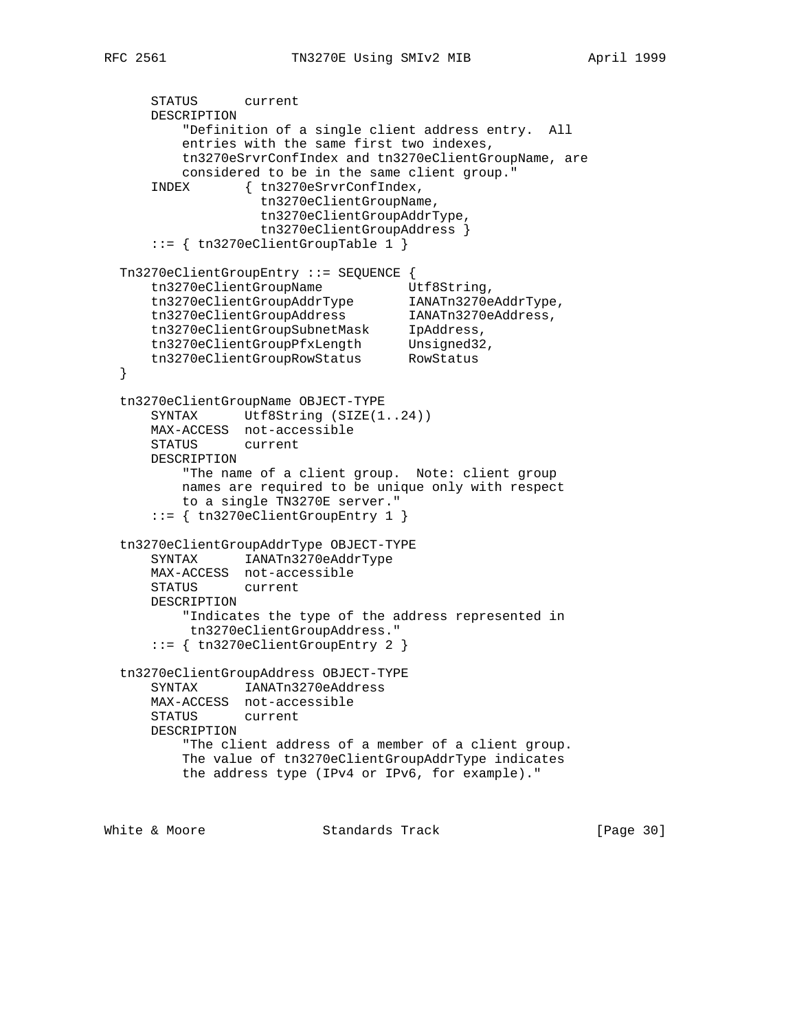STATUS current DESCRIPTION "Definition of a single client address entry. All entries with the same first two indexes, tn3270eSrvrConfIndex and tn3270eClientGroupName, are considered to be in the same client group." INDEX { tn3270eSrvrConfIndex, tn3270eClientGroupName, tn3270eClientGroupAddrType, tn3270eClientGroupAddress } ::= { tn3270eClientGroupTable 1 } Tn3270eClientGroupEntry ::= SEQUENCE { tn3270eClientGroupName Utf8String, tn3270eClientGroupAddrType IANATn3270eAddrType, tn3270eClientGroupAddress IANATn3270eAddress, tn3270eClientGroupSubnetMask IpAddress, tn3270eClientGroupPfxLength Unsigned32, tn3270eClientGroupRowStatus RowStatus } tn3270eClientGroupName OBJECT-TYPE SYNTAX Utf8String (SIZE(1..24)) MAX-ACCESS not-accessible STATUS current DESCRIPTION "The name of a client group. Note: client group names are required to be unique only with respect to a single TN3270E server." ::= { tn3270eClientGroupEntry 1 } tn3270eClientGroupAddrType OBJECT-TYPE SYNTAX IANATn3270eAddrType MAX-ACCESS not-accessible STATUS current DESCRIPTION "Indicates the type of the address represented in tn3270eClientGroupAddress." ::= { tn3270eClientGroupEntry 2 } tn3270eClientGroupAddress OBJECT-TYPE SYNTAX IANATn3270eAddress MAX-ACCESS not-accessible STATUS current DESCRIPTION "The client address of a member of a client group. The value of tn3270eClientGroupAddrType indicates the address type (IPv4 or IPv6, for example)."

White & Moore **Standards Track** [Page 30]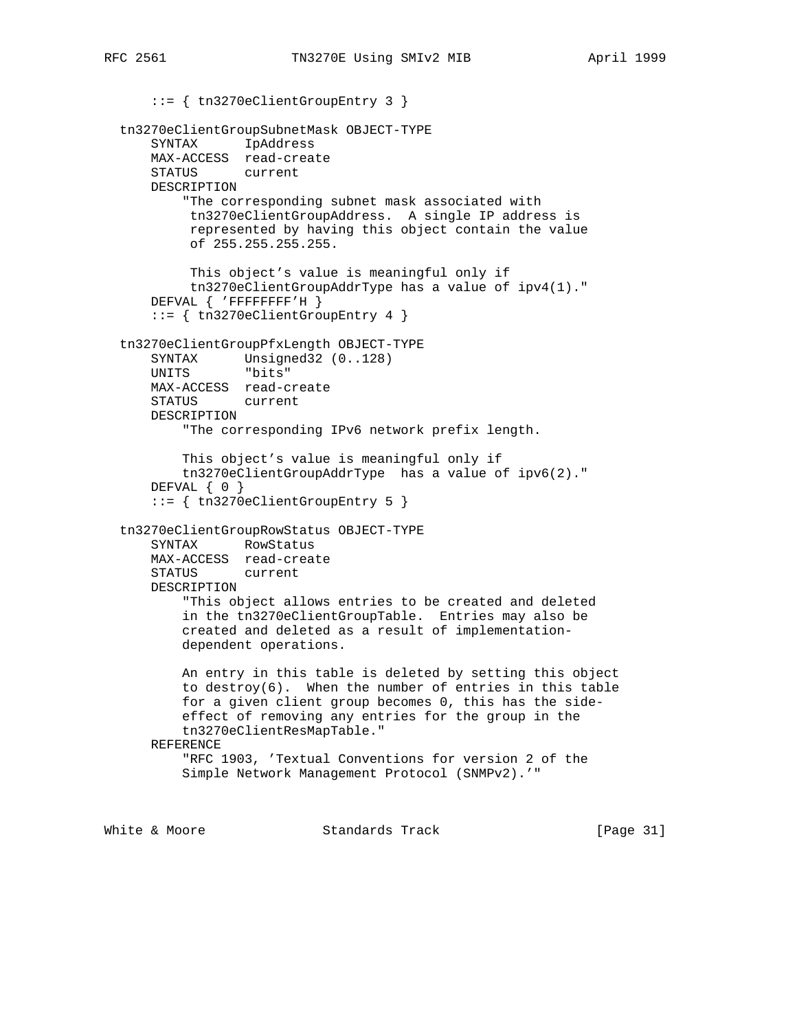::= { tn3270eClientGroupEntry 3 } tn3270eClientGroupSubnetMask OBJECT-TYPE SYNTAX IpAddress MAX-ACCESS read-create STATUS current DESCRIPTION "The corresponding subnet mask associated with tn3270eClientGroupAddress. A single IP address is represented by having this object contain the value of 255.255.255.255. This object's value is meaningful only if tn3270eClientGroupAddrType has a value of ipv4(1)." DEFVAL { 'FFFFFFFF'H } ::= { tn3270eClientGroupEntry 4 } tn3270eClientGroupPfxLength OBJECT-TYPE SYNTAX Unsigned32 (0..128) UNITS "bits" MAX-ACCESS read-create STATUS current DESCRIPTION "The corresponding IPv6 network prefix length. This object's value is meaningful only if tn3270eClientGroupAddrType has a value of ipv6(2)." DEFVAL { 0 } ::= { tn3270eClientGroupEntry 5 } tn3270eClientGroupRowStatus OBJECT-TYPE SYNTAX RowStatus MAX-ACCESS read-create STATUS current DESCRIPTION "This object allows entries to be created and deleted in the tn3270eClientGroupTable. Entries may also be created and deleted as a result of implementation dependent operations. An entry in this table is deleted by setting this object to destroy(6). When the number of entries in this table for a given client group becomes 0, this has the side effect of removing any entries for the group in the tn3270eClientResMapTable." REFERENCE "RFC 1903, 'Textual Conventions for version 2 of the Simple Network Management Protocol (SNMPv2).'"

White & Moore **Standards Track** [Page 31]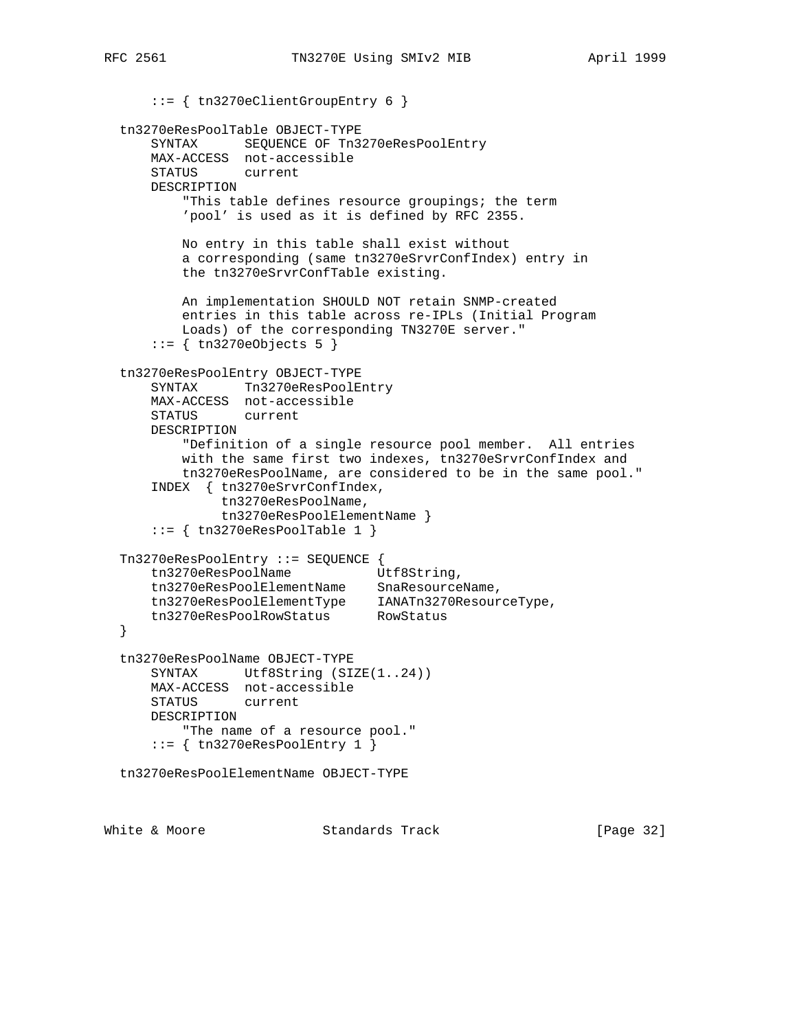::= { tn3270eClientGroupEntry 6 } tn3270eResPoolTable OBJECT-TYPE SYNTAX SEQUENCE OF Tn3270eResPoolEntry MAX-ACCESS not-accessible STATUS current DESCRIPTION "This table defines resource groupings; the term 'pool' is used as it is defined by RFC 2355. No entry in this table shall exist without a corresponding (same tn3270eSrvrConfIndex) entry in the tn3270eSrvrConfTable existing. An implementation SHOULD NOT retain SNMP-created entries in this table across re-IPLs (Initial Program Loads) of the corresponding TN3270E server." ::= { tn3270eObjects 5 } tn3270eResPoolEntry OBJECT-TYPE SYNTAX Tn3270eResPoolEntry MAX-ACCESS not-accessible STATUS current DESCRIPTION "Definition of a single resource pool member. All entries with the same first two indexes, tn3270eSrvrConfIndex and tn3270eResPoolName, are considered to be in the same pool." INDEX { tn3270eSrvrConfIndex, tn3270eResPoolName, tn3270eResPoolElementName }  $::=$  { tn3270eResPoolTable 1 } Tn3270eResPoolEntry ::= SEQUENCE { tn3270eResPoolName Utf8String, tn3270eResPoolElementName SnaResourceName, tn3270eResPoolElementType IANATn3270ResourceType, tn3270eResPoolRowStatus RowStatus } tn3270eResPoolName OBJECT-TYPE SYNTAX Utf8String (SIZE(1..24)) MAX-ACCESS not-accessible STATUS current DESCRIPTION "The name of a resource pool." ::= { tn3270eResPoolEntry 1 } tn3270eResPoolElementName OBJECT-TYPE

White & Moore **Standards Track** [Page 32]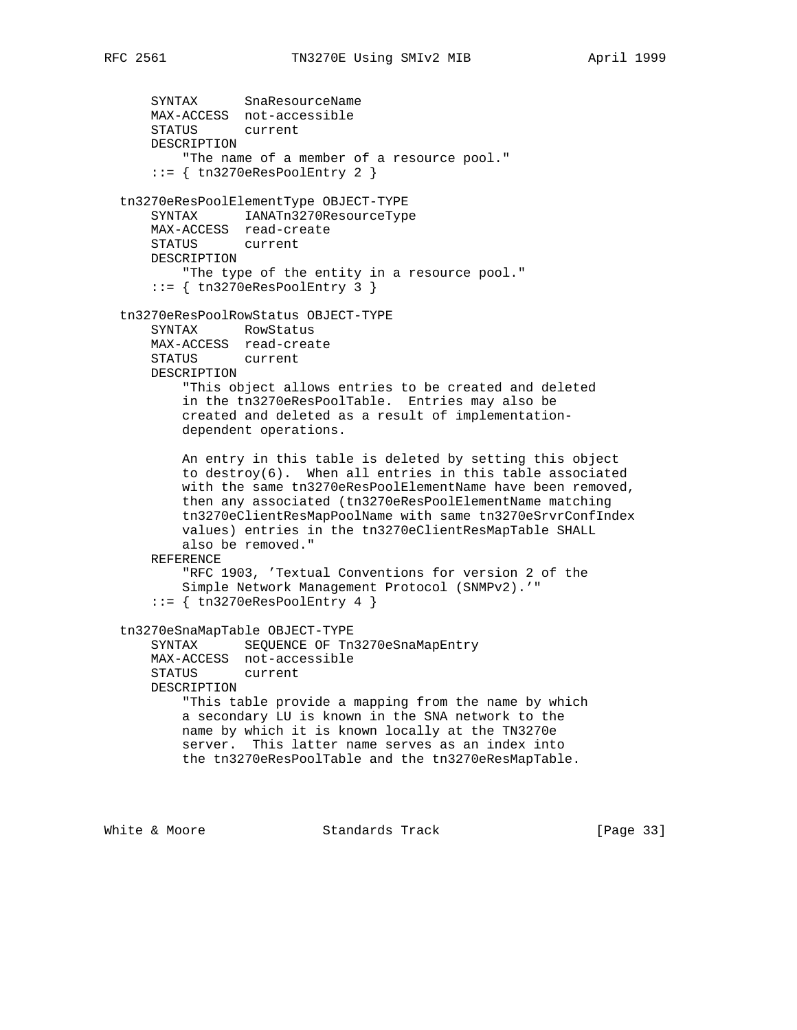```
 SYNTAX SnaResourceName
    MAX-ACCESS not-accessible
    STATUS current
    DESCRIPTION
         "The name of a member of a resource pool."
     ::= { tn3270eResPoolEntry 2 }
 tn3270eResPoolElementType OBJECT-TYPE
     SYNTAX IANATn3270ResourceType
    MAX-ACCESS read-create
    STATUS current
    DESCRIPTION
        "The type of the entity in a resource pool."
     ::= { tn3270eResPoolEntry 3 }
 tn3270eResPoolRowStatus OBJECT-TYPE
    SYNTAX RowStatus
    MAX-ACCESS read-create
    STATUS current
    DESCRIPTION
        "This object allows entries to be created and deleted
        in the tn3270eResPoolTable. Entries may also be
        created and deleted as a result of implementation-
        dependent operations.
        An entry in this table is deleted by setting this object
        to destroy(6). When all entries in this table associated
        with the same tn3270eResPoolElementName have been removed,
        then any associated (tn3270eResPoolElementName matching
        tn3270eClientResMapPoolName with same tn3270eSrvrConfIndex
        values) entries in the tn3270eClientResMapTable SHALL
        also be removed."
    REFERENCE
        "RFC 1903, 'Textual Conventions for version 2 of the
        Simple Network Management Protocol (SNMPv2).'"
     ::= { tn3270eResPoolEntry 4 }
 tn3270eSnaMapTable OBJECT-TYPE
     SYNTAX SEQUENCE OF Tn3270eSnaMapEntry
    MAX-ACCESS not-accessible
     STATUS current
    DESCRIPTION
        "This table provide a mapping from the name by which
        a secondary LU is known in the SNA network to the
        name by which it is known locally at the TN3270e
        server. This latter name serves as an index into
        the tn3270eResPoolTable and the tn3270eResMapTable.
```
White & Moore **Standards Track** [Page 33]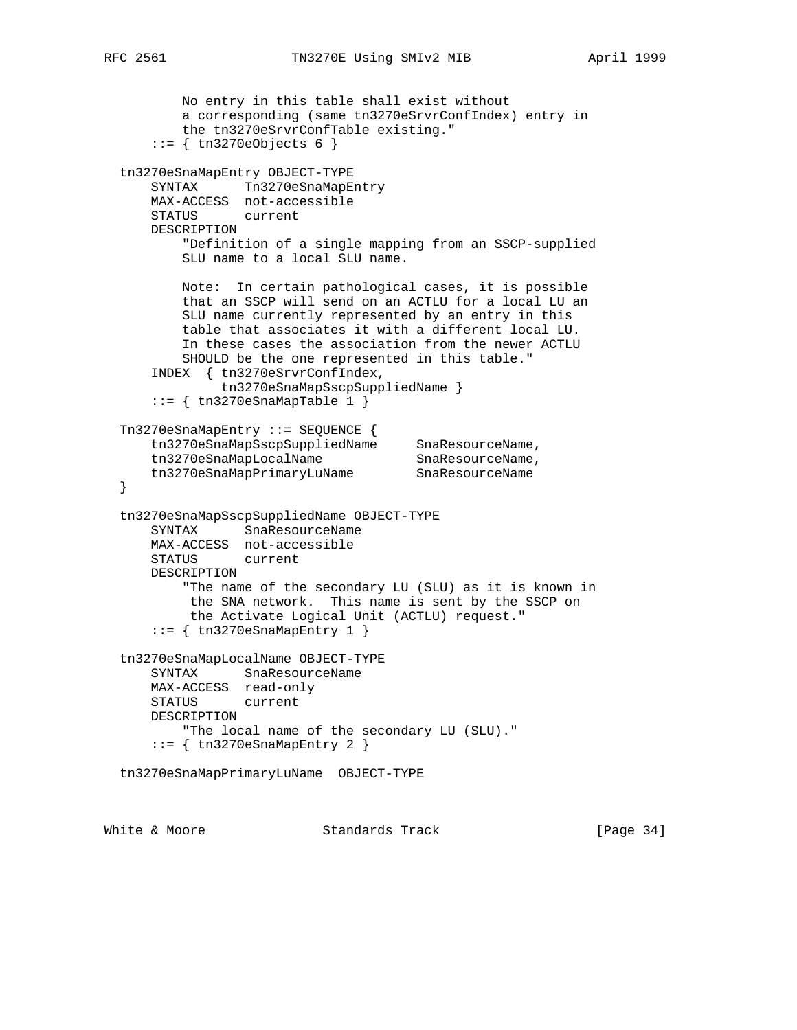```
 No entry in this table shall exist without
          a corresponding (same tn3270eSrvrConfIndex) entry in
          the tn3270eSrvrConfTable existing."
      ::= { tn3270eObjects 6 }
  tn3270eSnaMapEntry OBJECT-TYPE
     SYNTAX Tn3270eSnaMapEntry
      MAX-ACCESS not-accessible
      STATUS current
      DESCRIPTION
          "Definition of a single mapping from an SSCP-supplied
          SLU name to a local SLU name.
          Note: In certain pathological cases, it is possible
          that an SSCP will send on an ACTLU for a local LU an
          SLU name currently represented by an entry in this
          table that associates it with a different local LU.
          In these cases the association from the newer ACTLU
          SHOULD be the one represented in this table."
      INDEX { tn3270eSrvrConfIndex,
              tn3270eSnaMapSscpSuppliedName }
     ::= { tn3270eSnaMapTable 1 }
  Tn3270eSnaMapEntry ::= SEQUENCE {
 tn3270eSnaMapSscpSuppliedName SnaResourceName,
tn3270eSnaMapLocalName SnaResourceName,
 tn3270eSnaMapPrimaryLuName SnaResourceName
  }
  tn3270eSnaMapSscpSuppliedName OBJECT-TYPE
      SYNTAX SnaResourceName
      MAX-ACCESS not-accessible
      STATUS current
      DESCRIPTION
          "The name of the secondary LU (SLU) as it is known in
           the SNA network. This name is sent by the SSCP on
           the Activate Logical Unit (ACTLU) request."
     ::= { tn3270eSnaMapEntry 1 }
  tn3270eSnaMapLocalName OBJECT-TYPE
      SYNTAX SnaResourceName
      MAX-ACCESS read-only
      STATUS current
      DESCRIPTION
          "The local name of the secondary LU (SLU)."
      ::= { tn3270eSnaMapEntry 2 }
  tn3270eSnaMapPrimaryLuName OBJECT-TYPE
```
White & Moore Standards Track [Page 34]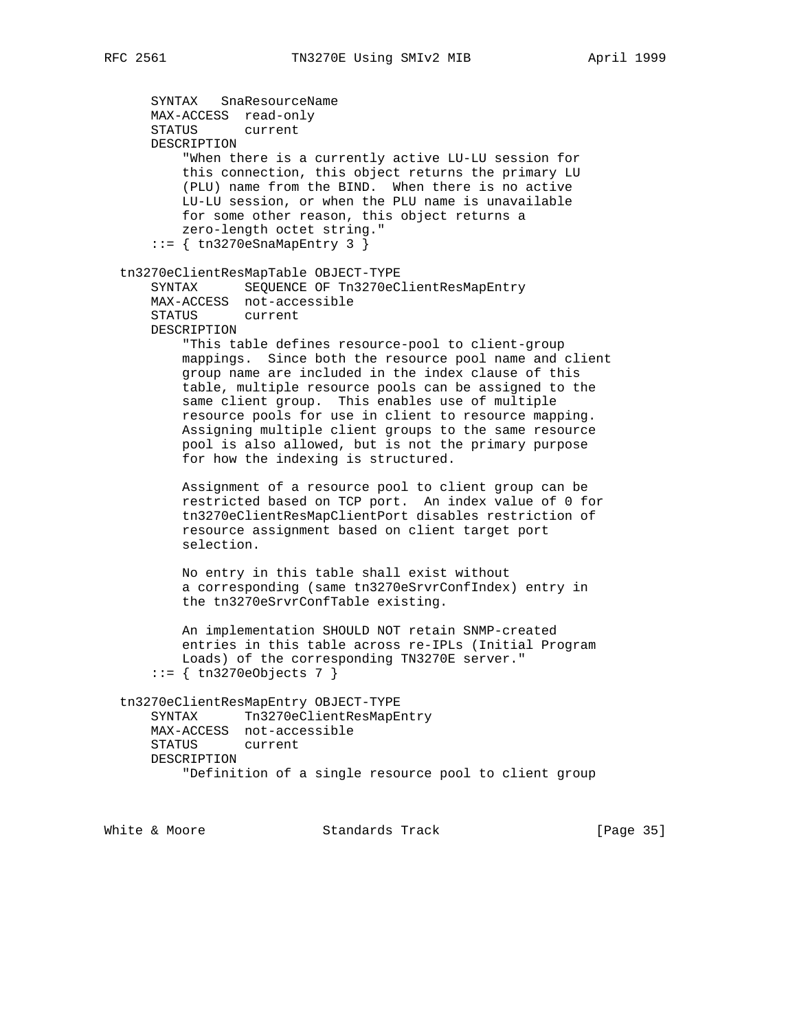```
 SYNTAX SnaResourceName
      MAX-ACCESS read-only
      STATUS current
      DESCRIPTION
           "When there is a currently active LU-LU session for
          this connection, this object returns the primary LU
          (PLU) name from the BIND. When there is no active
          LU-LU session, or when the PLU name is unavailable
          for some other reason, this object returns a
          zero-length octet string."
      ::= { tn3270eSnaMapEntry 3 }
  tn3270eClientResMapTable OBJECT-TYPE
      SYNTAX SEQUENCE OF Tn3270eClientResMapEntry
      MAX-ACCESS not-accessible
      STATUS current
      DESCRIPTION
          "This table defines resource-pool to client-group
          mappings. Since both the resource pool name and client
          group name are included in the index clause of this
          table, multiple resource pools can be assigned to the
          same client group. This enables use of multiple
          resource pools for use in client to resource mapping.
          Assigning multiple client groups to the same resource
          pool is also allowed, but is not the primary purpose
          for how the indexing is structured.
          Assignment of a resource pool to client group can be
          restricted based on TCP port. An index value of 0 for
          tn3270eClientResMapClientPort disables restriction of
          resource assignment based on client target port
          selection.
          No entry in this table shall exist without
          a corresponding (same tn3270eSrvrConfIndex) entry in
          the tn3270eSrvrConfTable existing.
          An implementation SHOULD NOT retain SNMP-created
          entries in this table across re-IPLs (Initial Program
          Loads) of the corresponding TN3270E server."
       ::= { tn3270eObjects 7 }
  tn3270eClientResMapEntry OBJECT-TYPE
     SYNTAX Tn3270eClientResMapEntry
      MAX-ACCESS not-accessible
      STATUS current
      DESCRIPTION
           "Definition of a single resource pool to client group
White & Moore Standards Track [Page 35]
```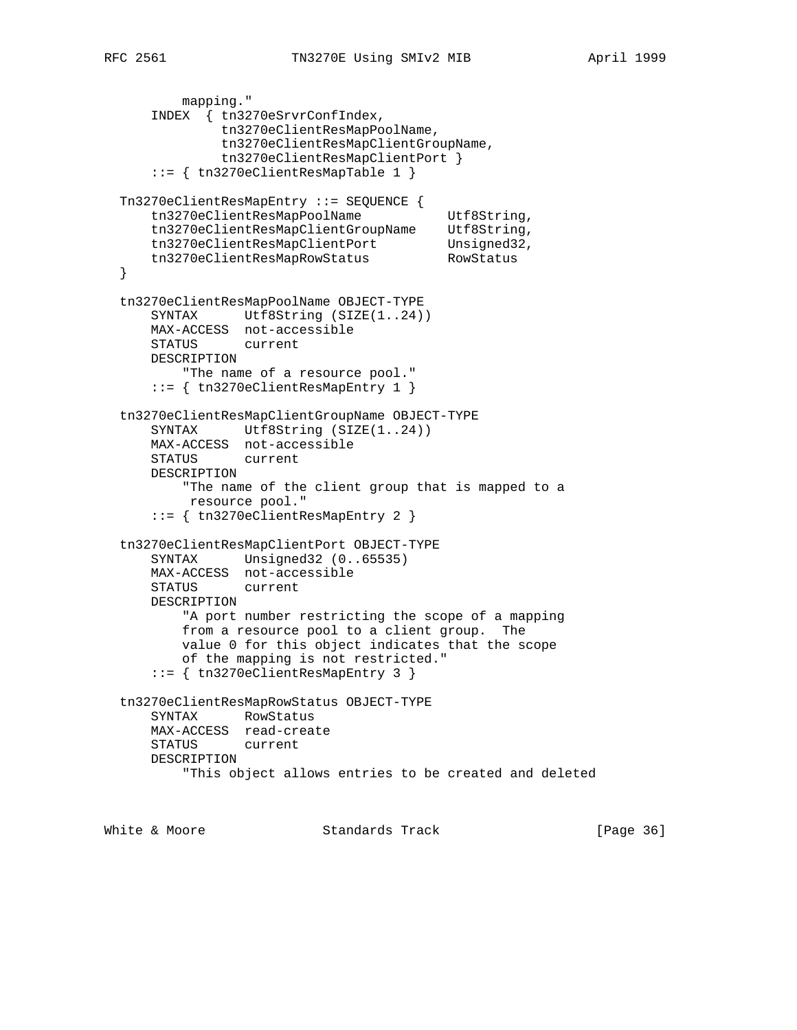```
 mapping."
      INDEX { tn3270eSrvrConfIndex,
               tn3270eClientResMapPoolName,
               tn3270eClientResMapClientGroupName,
               tn3270eClientResMapClientPort }
      ::= { tn3270eClientResMapTable 1 }
  Tn3270eClientResMapEntry ::= SEQUENCE {
     tn3270eClientResMapPoolName Utf8String,
 tn3270eClientResMapClientGroupName Utf8String,
tn3270eClientResMapClientPort Unsigned32,
 tn3270eClientResMapRowStatus RowStatus
  }
  tn3270eClientResMapPoolName OBJECT-TYPE
     SYNTAX Utf8String (SIZE(1..24))
      MAX-ACCESS not-accessible
      STATUS current
      DESCRIPTION
         "The name of a resource pool."
      ::= { tn3270eClientResMapEntry 1 }
  tn3270eClientResMapClientGroupName OBJECT-TYPE
     SYNTAX Utf8String (SIZE(1..24))
      MAX-ACCESS not-accessible
      STATUS current
      DESCRIPTION
          "The name of the client group that is mapped to a
           resource pool."
      ::= { tn3270eClientResMapEntry 2 }
  tn3270eClientResMapClientPort OBJECT-TYPE
      SYNTAX Unsigned32 (0..65535)
      MAX-ACCESS not-accessible
      STATUS current
      DESCRIPTION
          "A port number restricting the scope of a mapping
          from a resource pool to a client group. The
          value 0 for this object indicates that the scope
          of the mapping is not restricted."
      ::= { tn3270eClientResMapEntry 3 }
  tn3270eClientResMapRowStatus OBJECT-TYPE
      SYNTAX RowStatus
      MAX-ACCESS read-create
      STATUS current
      DESCRIPTION
          "This object allows entries to be created and deleted
```
White & Moore **Standards Track** [Page 36]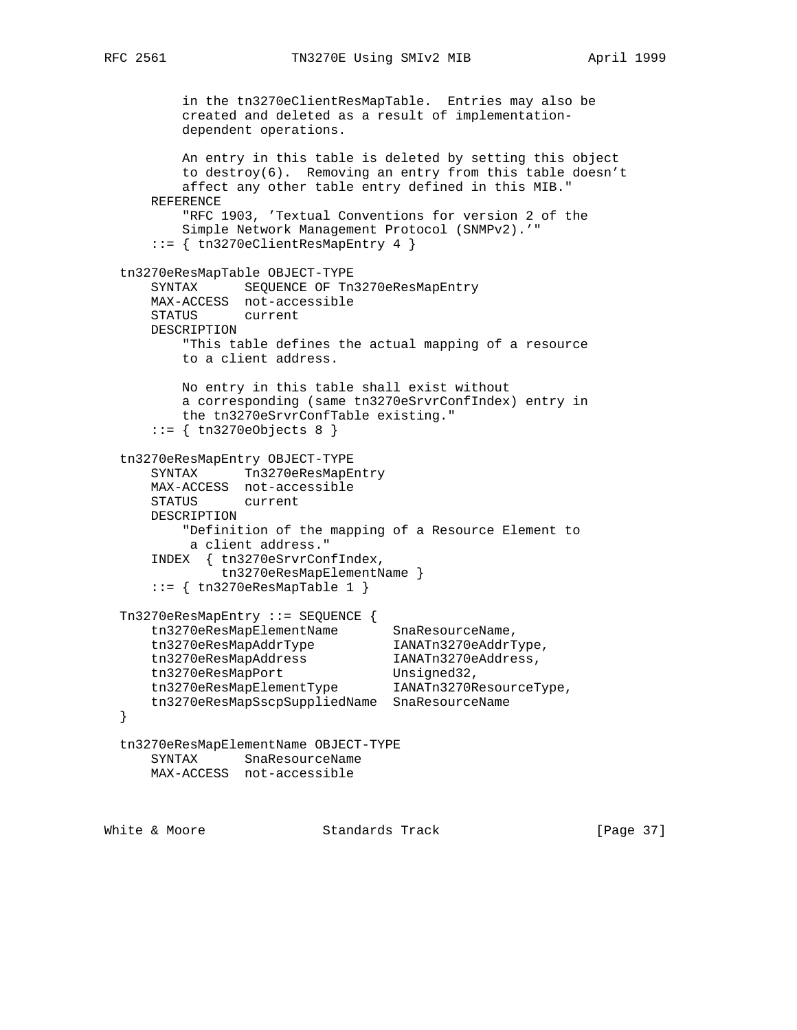```
 in the tn3270eClientResMapTable. Entries may also be
          created and deleted as a result of implementation-
          dependent operations.
          An entry in this table is deleted by setting this object
          to destroy(6). Removing an entry from this table doesn't
          affect any other table entry defined in this MIB."
      REFERENCE
          "RFC 1903, 'Textual Conventions for version 2 of the
          Simple Network Management Protocol (SNMPv2).'"
      ::= { tn3270eClientResMapEntry 4 }
  tn3270eResMapTable OBJECT-TYPE
      SYNTAX SEQUENCE OF Tn3270eResMapEntry
      MAX-ACCESS not-accessible
      STATUS current
      DESCRIPTION
          "This table defines the actual mapping of a resource
          to a client address.
          No entry in this table shall exist without
          a corresponding (same tn3270eSrvrConfIndex) entry in
          the tn3270eSrvrConfTable existing."
     ::= { tn3270eObjects 8 }
  tn3270eResMapEntry OBJECT-TYPE
     SYNTAX Tn3270eResMapEntry
      MAX-ACCESS not-accessible
      STATUS current
      DESCRIPTION
          "Definition of the mapping of a Resource Element to
          a client address."
      INDEX { tn3270eSrvrConfIndex,
              tn3270eResMapElementName }
      ::= { tn3270eResMapTable 1 }
  Tn3270eResMapEntry ::= SEQUENCE {
tn3270eResMapElementName SnaResourceName,
 tn3270eResMapAddrType IANATn3270eAddrType,
 tn3270eResMapAddress IANATn3270eAddress,
tn3270eResMapPort Unsigned32,
 tn3270eResMapElementType IANATn3270ResourceType,
      tn3270eResMapSscpSuppliedName SnaResourceName
  }
  tn3270eResMapElementName OBJECT-TYPE
      SYNTAX SnaResourceName
      MAX-ACCESS not-accessible
```
White & Moore **Standards Track** [Page 37]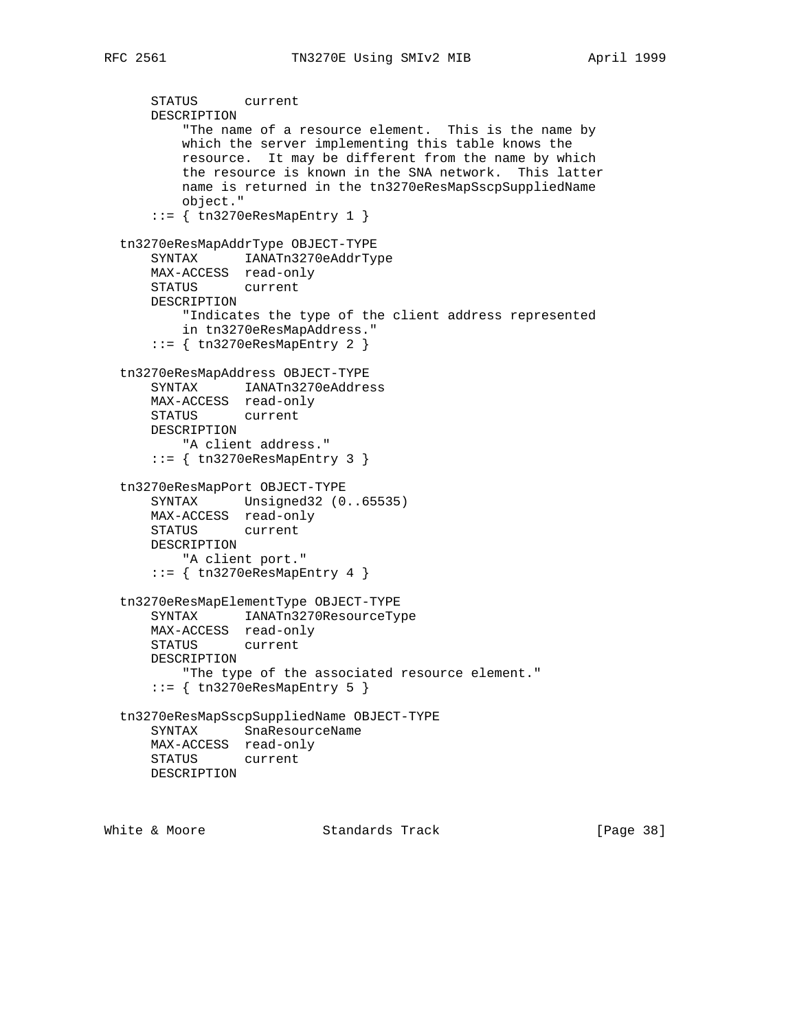```
 STATUS current
      DESCRIPTION
          "The name of a resource element. This is the name by
          which the server implementing this table knows the
          resource. It may be different from the name by which
          the resource is known in the SNA network. This latter
          name is returned in the tn3270eResMapSscpSuppliedName
          object."
      ::= { tn3270eResMapEntry 1 }
  tn3270eResMapAddrType OBJECT-TYPE
      SYNTAX IANATn3270eAddrType
      MAX-ACCESS read-only
      STATUS current
      DESCRIPTION
          "Indicates the type of the client address represented
          in tn3270eResMapAddress."
      ::= { tn3270eResMapEntry 2 }
  tn3270eResMapAddress OBJECT-TYPE
      SYNTAX IANATn3270eAddress
      MAX-ACCESS read-only
      STATUS current
      DESCRIPTION
          "A client address."
      ::= { tn3270eResMapEntry 3 }
  tn3270eResMapPort OBJECT-TYPE
 SYNTAX Unsigned32 (0..65535)
 MAX-ACCESS read-only
      STATUS current
      DESCRIPTION
          "A client port."
     ::= { tn3270eResMapEntry 4 }
  tn3270eResMapElementType OBJECT-TYPE
      SYNTAX IANATn3270ResourceType
      MAX-ACCESS read-only
      STATUS current
      DESCRIPTION
          "The type of the associated resource element."
      ::= { tn3270eResMapEntry 5 }
  tn3270eResMapSscpSuppliedName OBJECT-TYPE
      SYNTAX SnaResourceName
      MAX-ACCESS read-only
      STATUS current
      DESCRIPTION
```
White & Moore **Standards Track** [Page 38]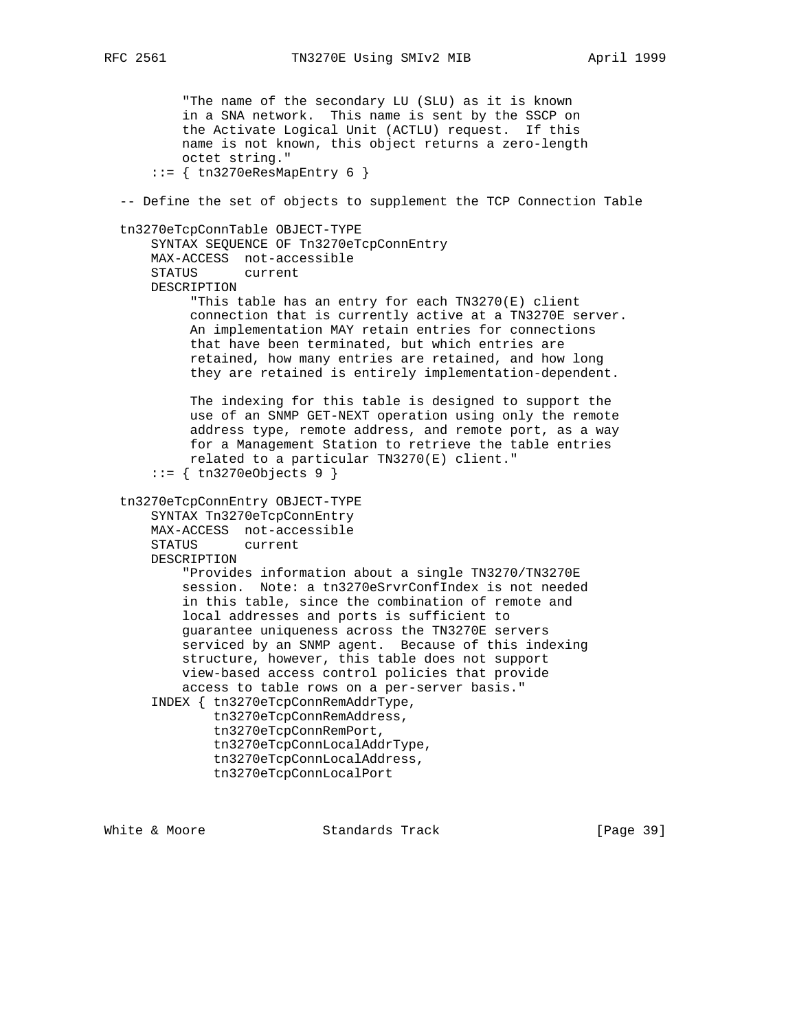"The name of the secondary LU (SLU) as it is known in a SNA network. This name is sent by the SSCP on the Activate Logical Unit (ACTLU) request. If this name is not known, this object returns a zero-length octet string."  $::=$  { tn3270eResMapEntry 6 } -- Define the set of objects to supplement the TCP Connection Table tn3270eTcpConnTable OBJECT-TYPE SYNTAX SEQUENCE OF Tn3270eTcpConnEntry MAX-ACCESS not-accessible STATUS current DESCRIPTION "This table has an entry for each TN3270(E) client connection that is currently active at a TN3270E server. An implementation MAY retain entries for connections that have been terminated, but which entries are retained, how many entries are retained, and how long they are retained is entirely implementation-dependent. The indexing for this table is designed to support the use of an SNMP GET-NEXT operation using only the remote address type, remote address, and remote port, as a way for a Management Station to retrieve the table entries related to a particular TN3270(E) client." ::= { tn3270eObjects 9 } tn3270eTcpConnEntry OBJECT-TYPE SYNTAX Tn3270eTcpConnEntry MAX-ACCESS not-accessible STATUS current DESCRIPTION "Provides information about a single TN3270/TN3270E session. Note: a tn3270eSrvrConfIndex is not needed in this table, since the combination of remote and local addresses and ports is sufficient to guarantee uniqueness across the TN3270E servers serviced by an SNMP agent. Because of this indexing structure, however, this table does not support view-based access control policies that provide access to table rows on a per-server basis." INDEX { tn3270eTcpConnRemAddrType, tn3270eTcpConnRemAddress, tn3270eTcpConnRemPort, tn3270eTcpConnLocalAddrType, tn3270eTcpConnLocalAddress, tn3270eTcpConnLocalPort

White & Moore **Standards Track** [Page 39]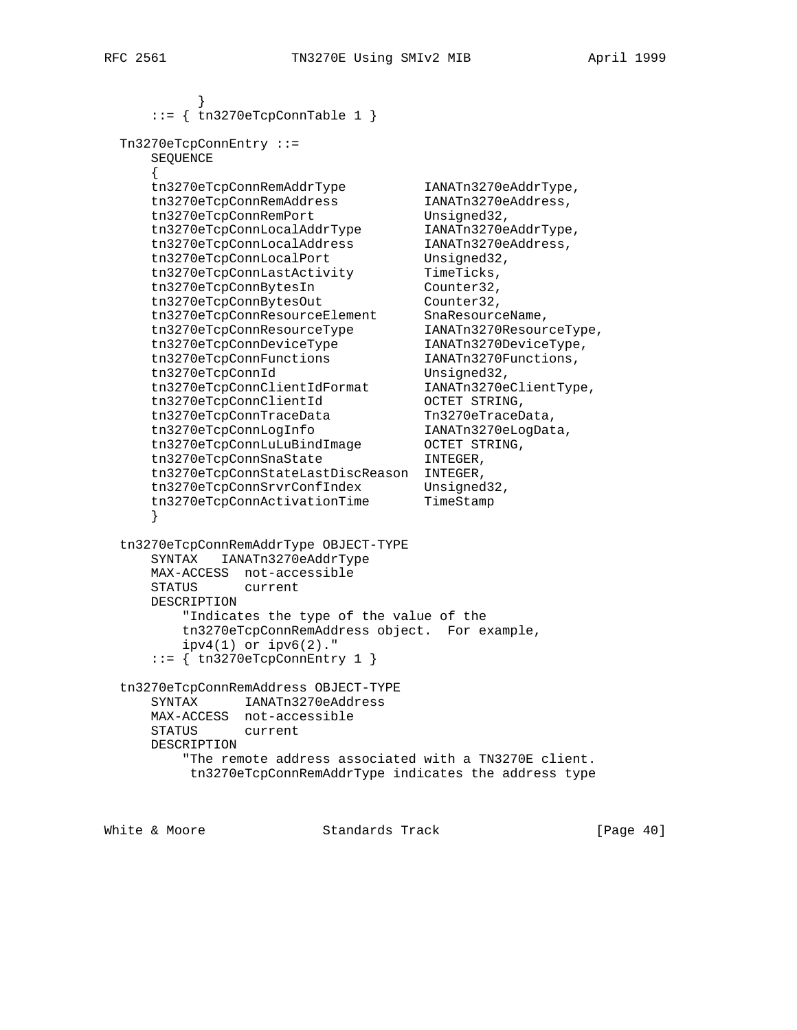```
 }
    ::= { tn3270eTcpConnTable 1 }
  Tn3270eTcpConnEntry ::=
     SEQUENCE
\{ tn3270eTcpConnRemAddrType IANATn3270eAddrType,
 tn3270eTcpConnRemAddress IANATn3270eAddress,
tn3270eTcpConnRemPort Unsigned32,
 tn3270eTcpConnLocalAddrType IANATn3270eAddrType,
 tn3270eTcpConnLocalAddress IANATn3270eAddress,
tn3270eTcpConnLocalPort Unsigned32,
tn3270eTcpConnLastActivity TimeTicks,
tn3270eTcpConnBytesIn Counter32,
tn3270eTcpConnBytesOut Counter32,
 tn3270eTcpConnResourceElement SnaResourceName,
 tn3270eTcpConnResourceType IANATn3270ResourceType,
 tn3270eTcpConnDeviceType IANATn3270DeviceType,
 tn3270eTcpConnFunctions IANATn3270Functions,
tn3270eTcpConnId Unsigned32,
 tn3270eTcpConnClientIdFormat IANATn3270eClientType,
 tn3270eTcpConnClientId OCTET STRING,
tn3270eTcpConnTraceData Tn3270eTraceData,
 tn3270eTcpConnLogInfo IANATn3270eLogData,
tn3270eTcpConnLuLuBindImage OCTET STRING,
tn3270eTcpConnSnaState INTEGER,
 tn3270eTcpConnStateLastDiscReason INTEGER,
tn3270eTcpConnSrvrConfIndex Unsigned32,
 tn3270eTcpConnActivationTime TimeStamp
     }
  tn3270eTcpConnRemAddrType OBJECT-TYPE
     SYNTAX IANATn3270eAddrType
     MAX-ACCESS not-accessible
     STATUS current
     DESCRIPTION
        "Indicates the type of the value of the
        tn3270eTcpConnRemAddress object. For example,
       ipv4(1) or ipv6(2)."
     ::= { tn3270eTcpConnEntry 1 }
  tn3270eTcpConnRemAddress OBJECT-TYPE
     SYNTAX IANATn3270eAddress
     MAX-ACCESS not-accessible
     STATUS current
     DESCRIPTION
         "The remote address associated with a TN3270E client.
         tn3270eTcpConnRemAddrType indicates the address type
```
White & Moore **Standards Track** [Page 40]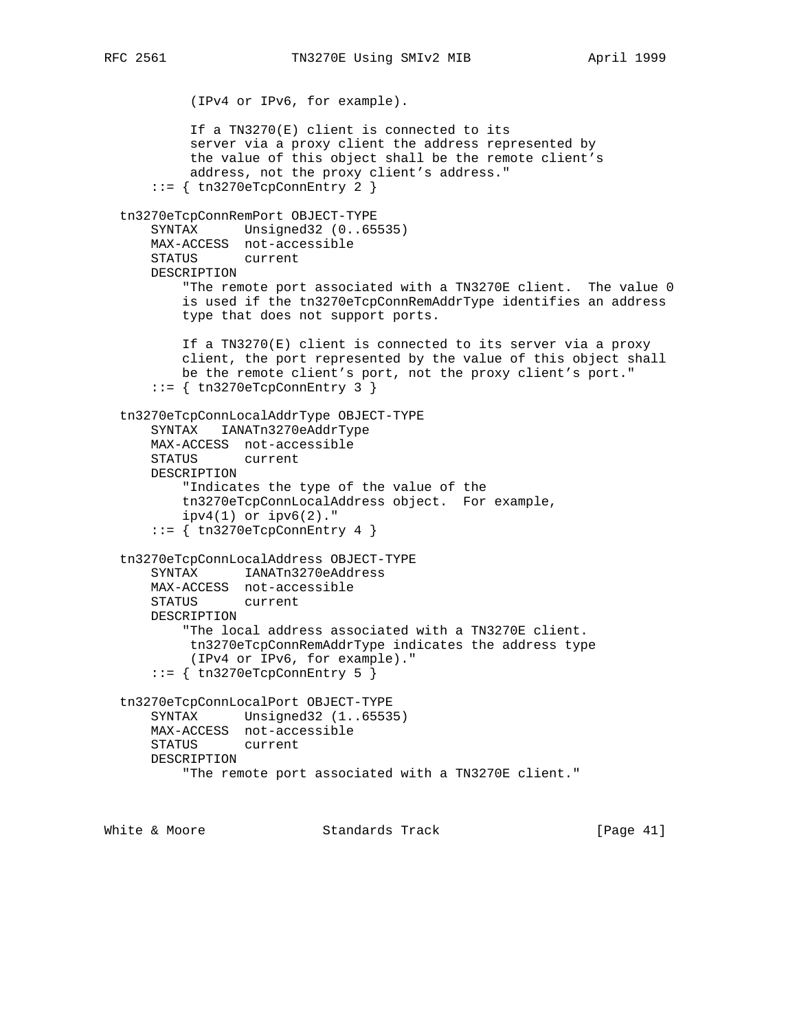(IPv4 or IPv6, for example). If a TN3270(E) client is connected to its server via a proxy client the address represented by the value of this object shall be the remote client's address, not the proxy client's address." ::= { tn3270eTcpConnEntry 2 } tn3270eTcpConnRemPort OBJECT-TYPE SYNTAX Unsigned32 (0..65535) MAX-ACCESS not-accessible STATUS current DESCRIPTION "The remote port associated with a TN3270E client. The value 0 is used if the tn3270eTcpConnRemAddrType identifies an address type that does not support ports. If a TN3270(E) client is connected to its server via a proxy client, the port represented by the value of this object shall be the remote client's port, not the proxy client's port."  $::=$  { tn3270eTcpConnEntry 3 } tn3270eTcpConnLocalAddrType OBJECT-TYPE SYNTAX IANATn3270eAddrType MAX-ACCESS not-accessible STATUS current DESCRIPTION "Indicates the type of the value of the tn3270eTcpConnLocalAddress object. For example, ipv4(1) or ipv6(2)." ::= { tn3270eTcpConnEntry 4 } tn3270eTcpConnLocalAddress OBJECT-TYPE SYNTAX IANATn3270eAddress MAX-ACCESS not-accessible STATUS current DESCRIPTION "The local address associated with a TN3270E client. tn3270eTcpConnRemAddrType indicates the address type (IPv4 or IPv6, for example)." ::= { tn3270eTcpConnEntry 5 } tn3270eTcpConnLocalPort OBJECT-TYPE SYNTAX Unsigned32 (1..65535) MAX-ACCESS not-accessible STATUS current DESCRIPTION "The remote port associated with a TN3270E client."

White & Moore **Standards Track** [Page 41]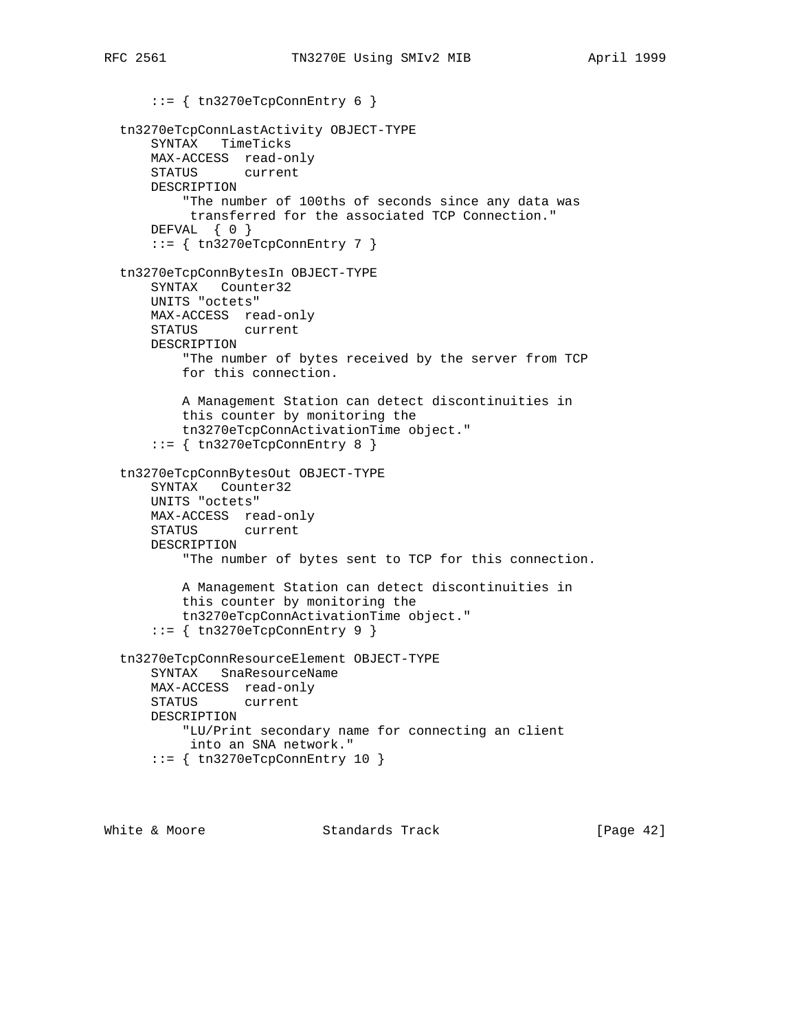```
 ::= { tn3270eTcpConnEntry 6 }
 tn3270eTcpConnLastActivity OBJECT-TYPE
    SYNTAX TimeTicks
    MAX-ACCESS read-only
    STATUS current
    DESCRIPTION
         "The number of 100ths of seconds since any data was
         transferred for the associated TCP Connection."
    DEFVAL { 0 }
     ::= { tn3270eTcpConnEntry 7 }
 tn3270eTcpConnBytesIn OBJECT-TYPE
    SYNTAX Counter32
    UNITS "octets"
    MAX-ACCESS read-only
    STATUS current
    DESCRIPTION
        "The number of bytes received by the server from TCP
        for this connection.
        A Management Station can detect discontinuities in
        this counter by monitoring the
        tn3270eTcpConnActivationTime object."
     ::= { tn3270eTcpConnEntry 8 }
 tn3270eTcpConnBytesOut OBJECT-TYPE
     SYNTAX Counter32
    UNITS "octets"
    MAX-ACCESS read-only
    STATUS current
    DESCRIPTION
         "The number of bytes sent to TCP for this connection.
        A Management Station can detect discontinuities in
        this counter by monitoring the
        tn3270eTcpConnActivationTime object."
     ::= { tn3270eTcpConnEntry 9 }
 tn3270eTcpConnResourceElement OBJECT-TYPE
     SYNTAX SnaResourceName
    MAX-ACCESS read-only
    STATUS current
    DESCRIPTION
         "LU/Print secondary name for connecting an client
         into an SNA network."
     ::= { tn3270eTcpConnEntry 10 }
```
White & Moore **Standards Track** [Page 42]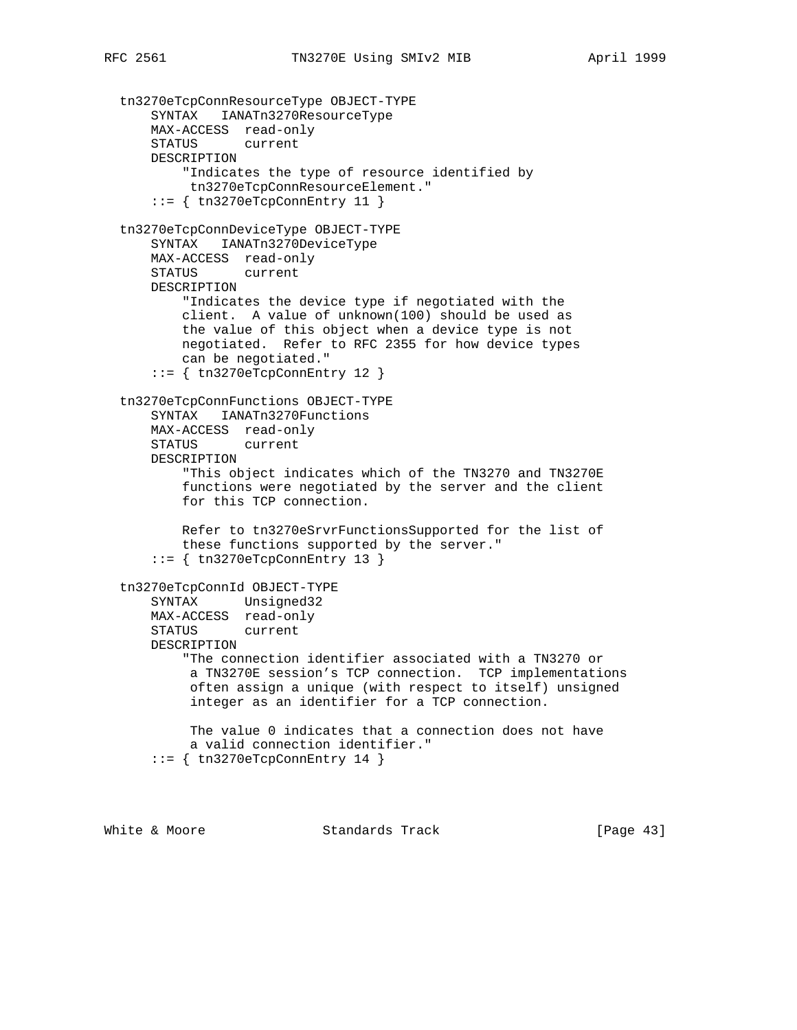tn3270eTcpConnResourceType OBJECT-TYPE SYNTAX IANATn3270ResourceType MAX-ACCESS read-only STATUS current DESCRIPTION "Indicates the type of resource identified by tn3270eTcpConnResourceElement."  $::=$  { tn3270eTcpConnEntry 11 } tn3270eTcpConnDeviceType OBJECT-TYPE SYNTAX IANATn3270DeviceType MAX-ACCESS read-only STATUS current DESCRIPTION "Indicates the device type if negotiated with the client. A value of unknown(100) should be used as the value of this object when a device type is not negotiated. Refer to RFC 2355 for how device types can be negotiated."  $::=$  { tn3270eTcpConnEntry 12 } tn3270eTcpConnFunctions OBJECT-TYPE SYNTAX IANATn3270Functions MAX-ACCESS read-only STATUS current DESCRIPTION "This object indicates which of the TN3270 and TN3270E functions were negotiated by the server and the client for this TCP connection. Refer to tn3270eSrvrFunctionsSupported for the list of these functions supported by the server."  $::=$  { tn3270eTcpConnEntry 13 } tn3270eTcpConnId OBJECT-TYPE SYNTAX Unsigned32 MAX-ACCESS read-only STATUS current DESCRIPTION "The connection identifier associated with a TN3270 or a TN3270E session's TCP connection. TCP implementations often assign a unique (with respect to itself) unsigned integer as an identifier for a TCP connection. The value 0 indicates that a connection does not have a valid connection identifier."  $::=$  { tn3270eTcpConnEntry 14 }

White & Moore **Standards Track** [Page 43]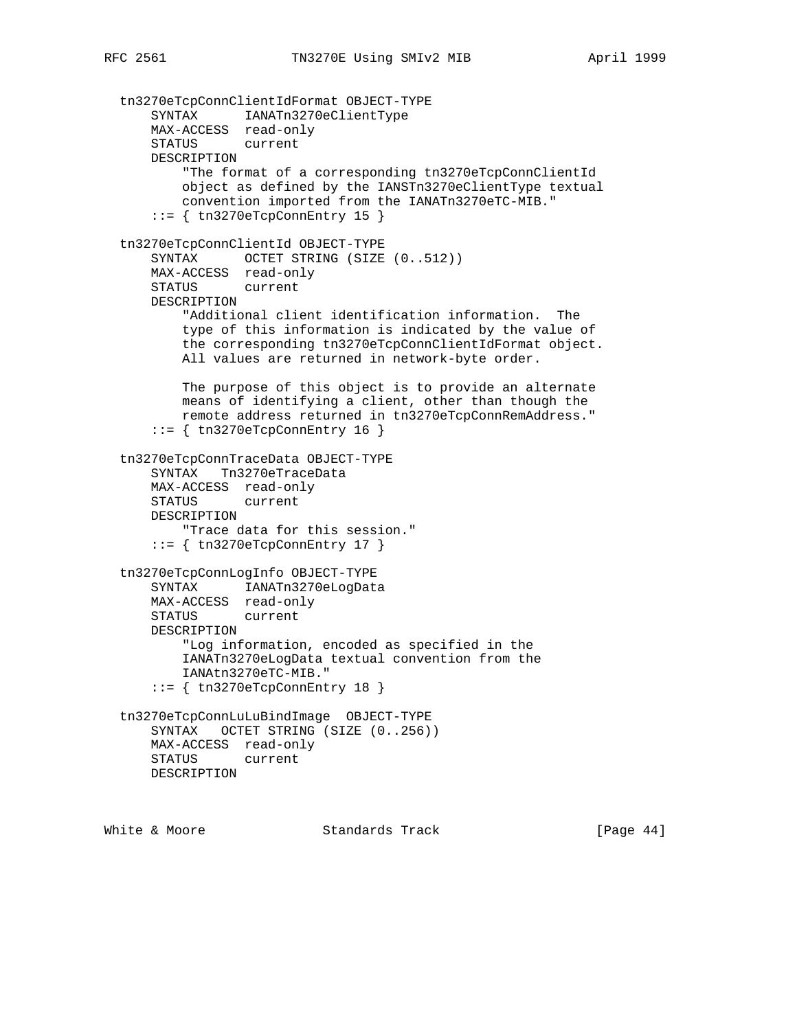```
 tn3270eTcpConnClientIdFormat OBJECT-TYPE
 SYNTAX IANATn3270eClientType
 MAX-ACCESS read-only
      STATUS current
      DESCRIPTION
          "The format of a corresponding tn3270eTcpConnClientId
          object as defined by the IANSTn3270eClientType textual
          convention imported from the IANATn3270eTC-MIB."
      ::= { tn3270eTcpConnEntry 15 }
  tn3270eTcpConnClientId OBJECT-TYPE
     SYNTAX OCTET STRING (SIZE (0..512))
      MAX-ACCESS read-only
      STATUS current
      DESCRIPTION
          "Additional client identification information. The
          type of this information is indicated by the value of
          the corresponding tn3270eTcpConnClientIdFormat object.
          All values are returned in network-byte order.
          The purpose of this object is to provide an alternate
          means of identifying a client, other than though the
          remote address returned in tn3270eTcpConnRemAddress."
      ::= { tn3270eTcpConnEntry 16 }
  tn3270eTcpConnTraceData OBJECT-TYPE
      SYNTAX Tn3270eTraceData
      MAX-ACCESS read-only
      STATUS current
      DESCRIPTION
          "Trace data for this session."
     ::= { tn3270eTcpConnEntry 17 }
  tn3270eTcpConnLogInfo OBJECT-TYPE
      SYNTAX IANATn3270eLogData
      MAX-ACCESS read-only
      STATUS current
      DESCRIPTION
          "Log information, encoded as specified in the
          IANATn3270eLogData textual convention from the
          IANAtn3270eTC-MIB."
      ::= { tn3270eTcpConnEntry 18 }
  tn3270eTcpConnLuLuBindImage OBJECT-TYPE
      SYNTAX OCTET STRING (SIZE (0..256))
      MAX-ACCESS read-only
      STATUS current
      DESCRIPTION
```
White & Moore **Standards Track** [Page 44]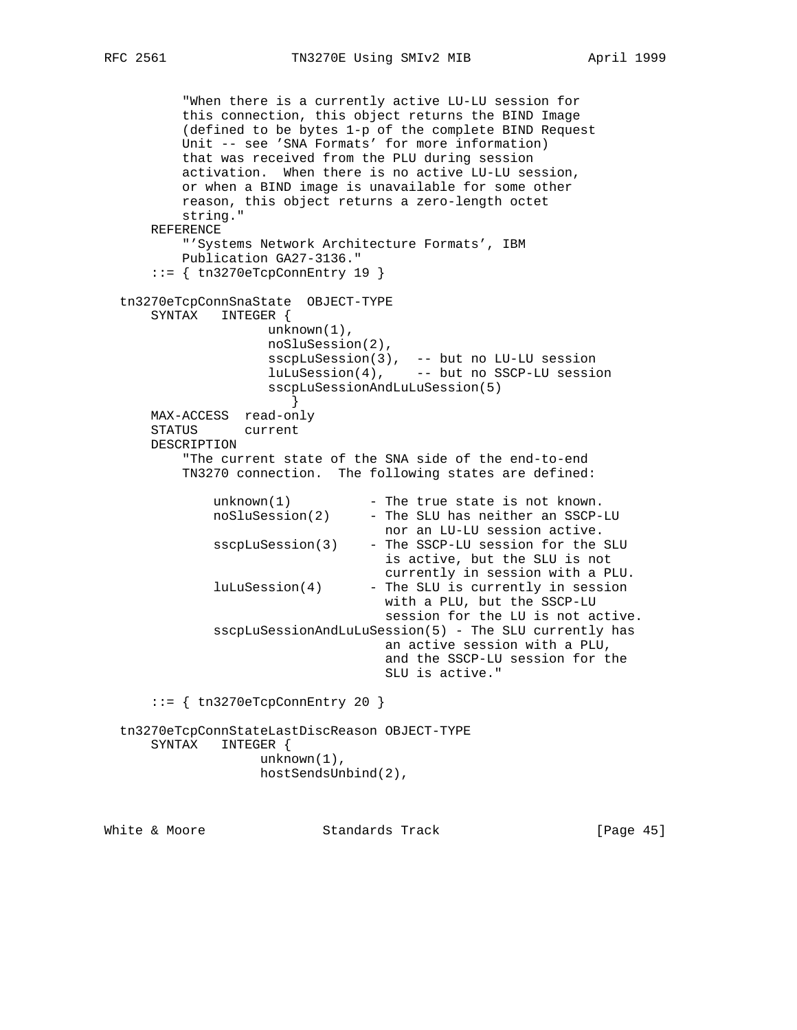"When there is a currently active LU-LU session for this connection, this object returns the BIND Image (defined to be bytes 1-p of the complete BIND Request Unit -- see 'SNA Formats' for more information) that was received from the PLU during session activation. When there is no active LU-LU session, or when a BIND image is unavailable for some other reason, this object returns a zero-length octet string." REFERENCE "'Systems Network Architecture Formats', IBM Publication GA27-3136." ::= { tn3270eTcpConnEntry 19 } tn3270eTcpConnSnaState OBJECT-TYPE SYNTAX INTEGER { unknown(1), noSluSession(2), sscpLuSession(3), -- but no LU-LU session luLuSession(4), -- but no SSCP-LU session sscpLuSessionAndLuLuSession(5) } MAX-ACCESS read-only STATUS current DESCRIPTION "The current state of the SNA side of the end-to-end TN3270 connection. The following states are defined:  $unknown(1)$  - The true state is not known. noSluSession(2) - The SLU has neither an SSCP-LU nor an LU-LU session active. sscpLuSession(3) - The SSCP-LU session for the SLU is active, but the SLU is not currently in session with a PLU.  $l$ uLuSession $(4)$  - The SLU is currently in session with a PLU, but the SSCP-LU session for the LU is not active. sscpLuSessionAndLuLuSession(5) - The SLU currently has an active session with a PLU, and the SSCP-LU session for the SLU is active." ::= { tn3270eTcpConnEntry 20 } tn3270eTcpConnStateLastDiscReason OBJECT-TYPE SYNTAX INTEGER { unknown(1), hostSendsUnbind(2),

White & Moore Standards Track [Page 45]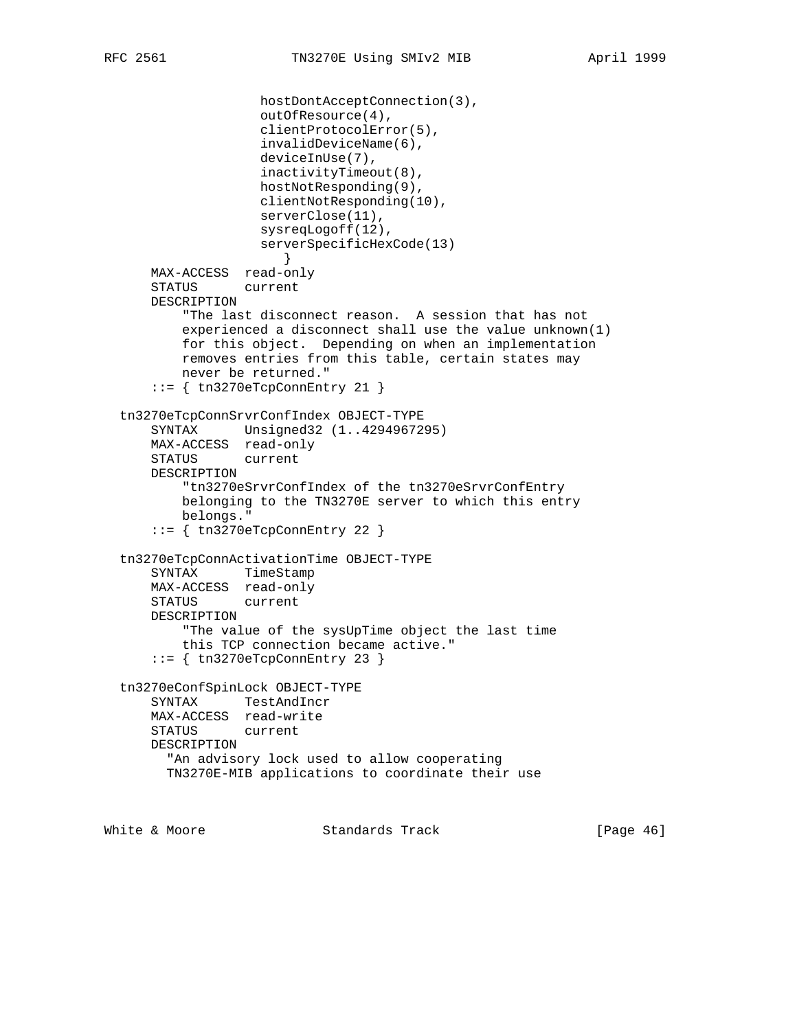```
 hostDontAcceptConnection(3),
                    outOfResource(4),
                    clientProtocolError(5),
                    invalidDeviceName(6),
                    deviceInUse(7),
                    inactivityTimeout(8),
                    hostNotResponding(9),
                    clientNotResponding(10),
                    serverClose(11),
                    sysreqLogoff(12),
                    serverSpecificHexCode(13)
 }
      MAX-ACCESS read-only
      STATUS current
      DESCRIPTION
          "The last disconnect reason. A session that has not
          experienced a disconnect shall use the value unknown(1)
          for this object. Depending on when an implementation
          removes entries from this table, certain states may
          never be returned."
      ::= { tn3270eTcpConnEntry 21 }
  tn3270eTcpConnSrvrConfIndex OBJECT-TYPE
      SYNTAX Unsigned32 (1..4294967295)
      MAX-ACCESS read-only
      STATUS current
      DESCRIPTION
           "tn3270eSrvrConfIndex of the tn3270eSrvrConfEntry
          belonging to the TN3270E server to which this entry
          belongs."
      ::= { tn3270eTcpConnEntry 22 }
  tn3270eTcpConnActivationTime OBJECT-TYPE
      SYNTAX TimeStamp
      MAX-ACCESS read-only
      STATUS current
      DESCRIPTION
          "The value of the sysUpTime object the last time
          this TCP connection became active."
      ::= { tn3270eTcpConnEntry 23 }
  tn3270eConfSpinLock OBJECT-TYPE
      SYNTAX TestAndIncr
      MAX-ACCESS read-write
      STATUS current
      DESCRIPTION
        "An advisory lock used to allow cooperating
        TN3270E-MIB applications to coordinate their use
```
White & Moore **Standards Track** [Page 46]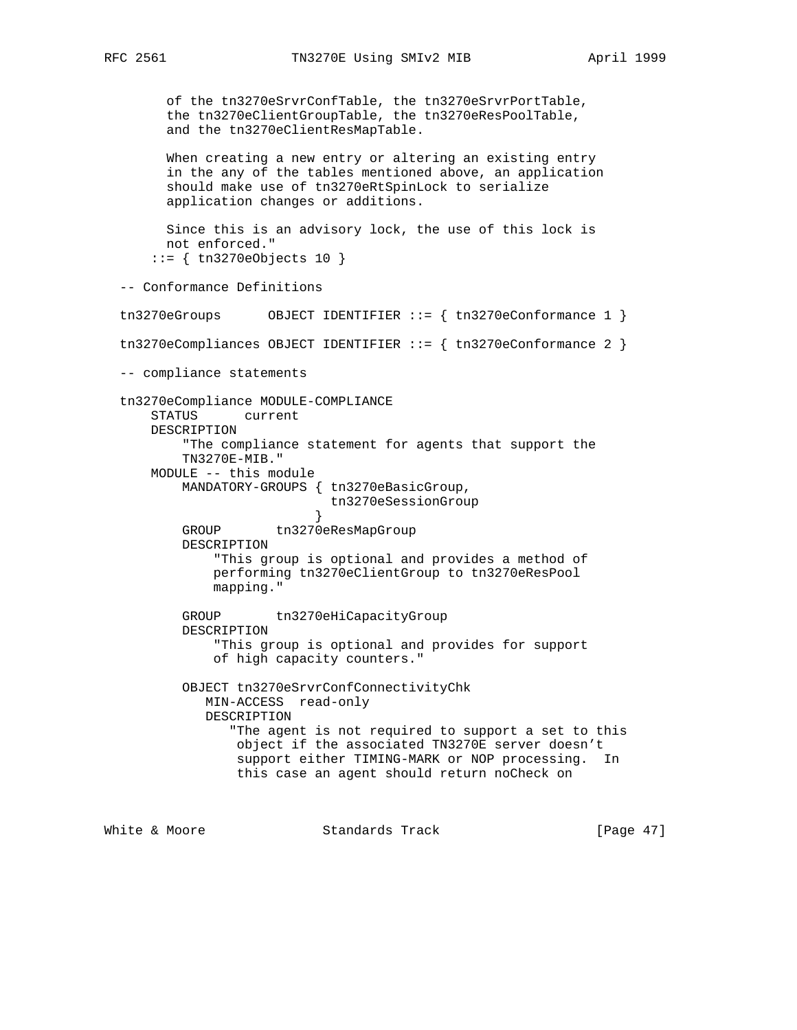of the tn3270eSrvrConfTable, the tn3270eSrvrPortTable, the tn3270eClientGroupTable, the tn3270eResPoolTable, and the tn3270eClientResMapTable. When creating a new entry or altering an existing entry in the any of the tables mentioned above, an application should make use of tn3270eRtSpinLock to serialize application changes or additions. Since this is an advisory lock, the use of this lock is not enforced." ::= { tn3270eObjects 10 } -- Conformance Definitions tn3270eGroups 0BJECT IDENTIFIER ::= { tn3270eConformance 1 } tn3270eCompliances OBJECT IDENTIFIER ::= { tn3270eConformance 2 } -- compliance statements tn3270eCompliance MODULE-COMPLIANCE STATUS current DESCRIPTION "The compliance statement for agents that support the TN3270E-MIB." MODULE -- this module MANDATORY-GROUPS { tn3270eBasicGroup, tn3270eSessionGroup } GROUP tn3270eResMapGroup DESCRIPTION "This group is optional and provides a method of performing tn3270eClientGroup to tn3270eResPool mapping." GROUP tn3270eHiCapacityGroup DESCRIPTION "This group is optional and provides for support of high capacity counters." OBJECT tn3270eSrvrConfConnectivityChk MIN-ACCESS read-only DESCRIPTION "The agent is not required to support a set to this object if the associated TN3270E server doesn't support either TIMING-MARK or NOP processing. In this case an agent should return noCheck on

White & Moore **Standards Track** [Page 47]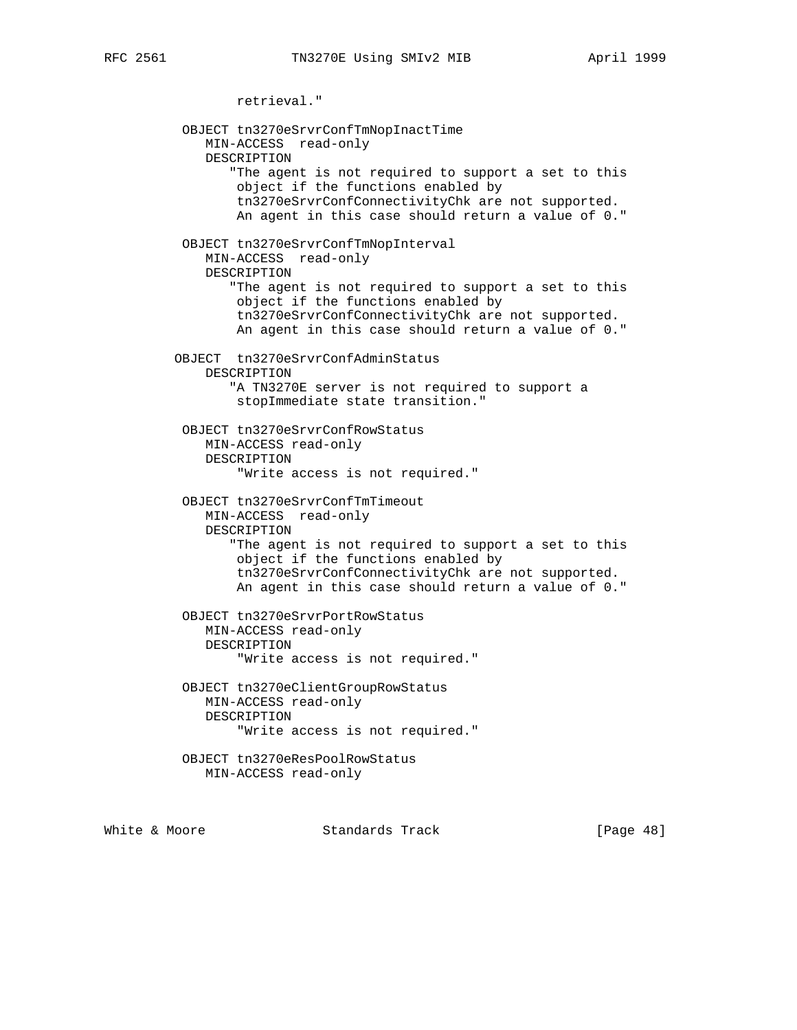retrieval." OBJECT tn3270eSrvrConfTmNopInactTime MIN-ACCESS read-only DESCRIPTION "The agent is not required to support a set to this object if the functions enabled by tn3270eSrvrConfConnectivityChk are not supported. An agent in this case should return a value of 0." OBJECT tn3270eSrvrConfTmNopInterval MIN-ACCESS read-only DESCRIPTION "The agent is not required to support a set to this object if the functions enabled by tn3270eSrvrConfConnectivityChk are not supported. An agent in this case should return a value of 0." OBJECT tn3270eSrvrConfAdminStatus DESCRIPTION "A TN3270E server is not required to support a stopImmediate state transition." OBJECT tn3270eSrvrConfRowStatus MIN-ACCESS read-only DESCRIPTION "Write access is not required." OBJECT tn3270eSrvrConfTmTimeout MIN-ACCESS read-only DESCRIPTION "The agent is not required to support a set to this object if the functions enabled by tn3270eSrvrConfConnectivityChk are not supported. An agent in this case should return a value of 0." OBJECT tn3270eSrvrPortRowStatus MIN-ACCESS read-only DESCRIPTION "Write access is not required." OBJECT tn3270eClientGroupRowStatus MIN-ACCESS read-only DESCRIPTION "Write access is not required." OBJECT tn3270eResPoolRowStatus MIN-ACCESS read-only

White & Moore **Standards Track** [Page 48]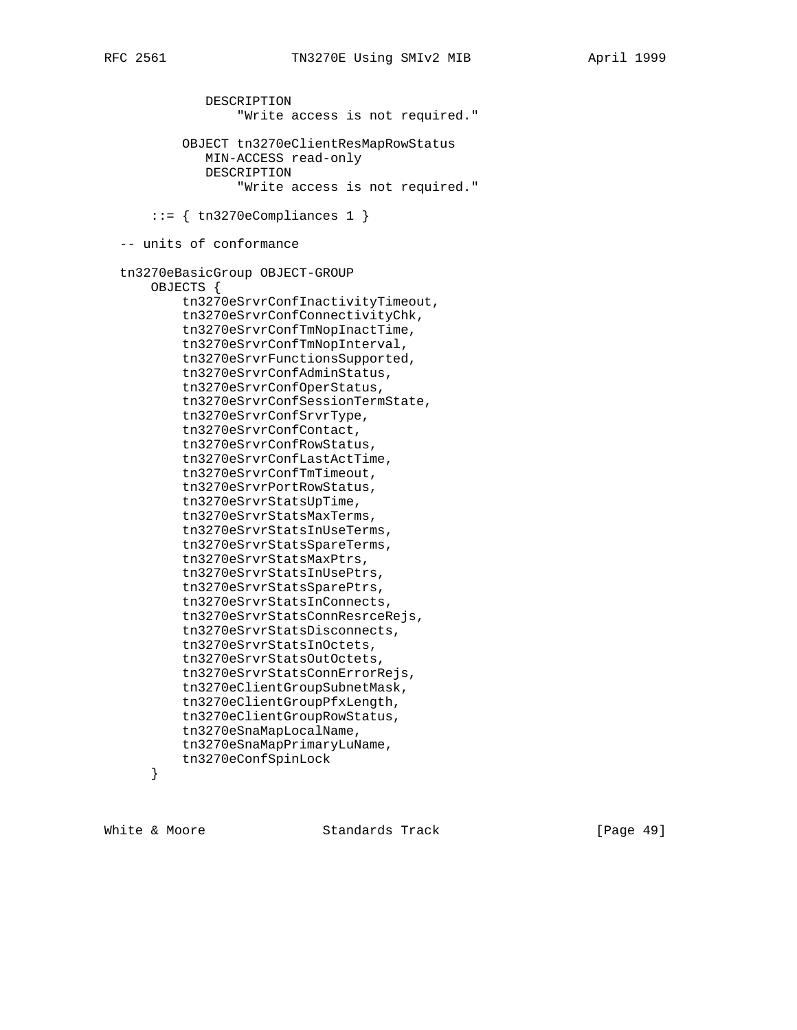```
 DESCRIPTION
                 "Write access is not required."
         OBJECT tn3270eClientResMapRowStatus
            MIN-ACCESS read-only
            DESCRIPTION
                 "Write access is not required."
    ::= { tn3270eCompliances 1 }
 -- units of conformance
 tn3270eBasicGroup OBJECT-GROUP
    OBJECTS {
         tn3270eSrvrConfInactivityTimeout,
         tn3270eSrvrConfConnectivityChk,
         tn3270eSrvrConfTmNopInactTime,
         tn3270eSrvrConfTmNopInterval,
         tn3270eSrvrFunctionsSupported,
         tn3270eSrvrConfAdminStatus,
         tn3270eSrvrConfOperStatus,
         tn3270eSrvrConfSessionTermState,
         tn3270eSrvrConfSrvrType,
         tn3270eSrvrConfContact,
         tn3270eSrvrConfRowStatus,
         tn3270eSrvrConfLastActTime,
         tn3270eSrvrConfTmTimeout,
         tn3270eSrvrPortRowStatus,
         tn3270eSrvrStatsUpTime,
         tn3270eSrvrStatsMaxTerms,
         tn3270eSrvrStatsInUseTerms,
         tn3270eSrvrStatsSpareTerms,
         tn3270eSrvrStatsMaxPtrs,
         tn3270eSrvrStatsInUsePtrs,
         tn3270eSrvrStatsSparePtrs,
         tn3270eSrvrStatsInConnects,
         tn3270eSrvrStatsConnResrceRejs,
         tn3270eSrvrStatsDisconnects,
         tn3270eSrvrStatsInOctets,
         tn3270eSrvrStatsOutOctets,
         tn3270eSrvrStatsConnErrorRejs,
         tn3270eClientGroupSubnetMask,
         tn3270eClientGroupPfxLength,
         tn3270eClientGroupRowStatus,
         tn3270eSnaMapLocalName,
        tn3270eSnaMapPrimaryLuName,
        tn3270eConfSpinLock
     }
```
White & Moore **Standards Track** [Page 49]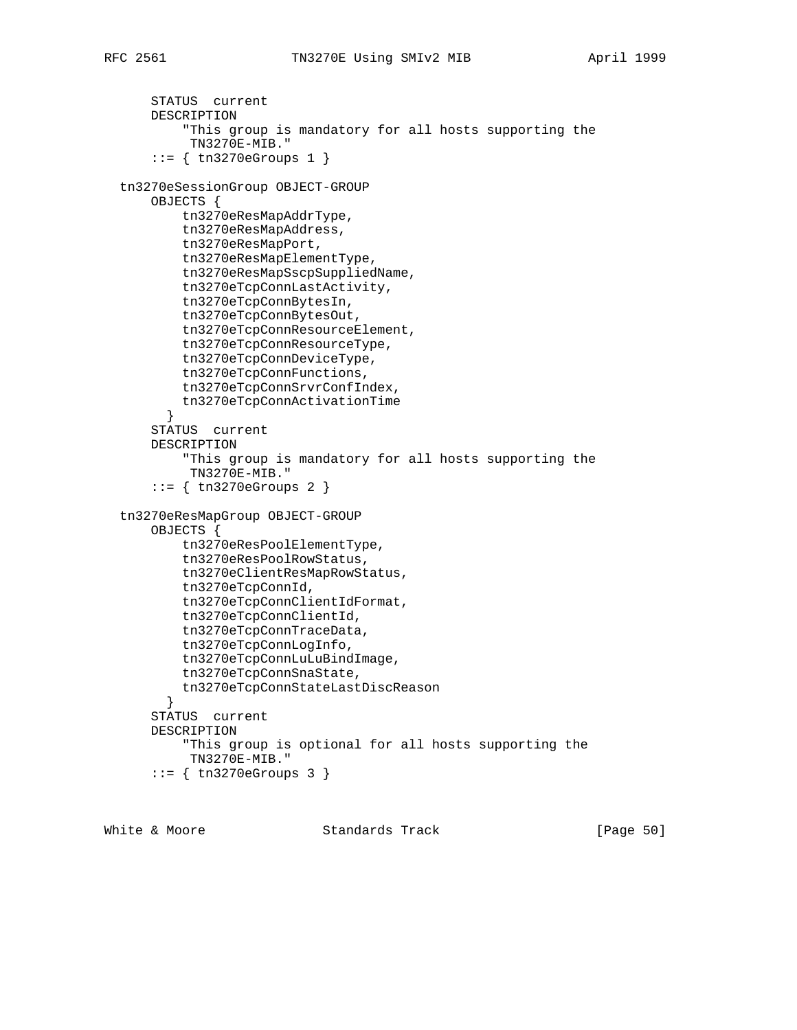```
 STATUS current
     DESCRIPTION
         "This group is mandatory for all hosts supporting the
          TN3270E-MIB."
    ::= { tn3270eGroups 1 }
 tn3270eSessionGroup OBJECT-GROUP
     OBJECTS {
         tn3270eResMapAddrType,
         tn3270eResMapAddress,
         tn3270eResMapPort,
         tn3270eResMapElementType,
         tn3270eResMapSscpSuppliedName,
         tn3270eTcpConnLastActivity,
         tn3270eTcpConnBytesIn,
         tn3270eTcpConnBytesOut,
         tn3270eTcpConnResourceElement,
         tn3270eTcpConnResourceType,
         tn3270eTcpConnDeviceType,
         tn3270eTcpConnFunctions,
         tn3270eTcpConnSrvrConfIndex,
        tn3270eTcpConnActivationTime
       }
     STATUS current
     DESCRIPTION
         "This group is mandatory for all hosts supporting the
          TN3270E-MIB."
     ::= { tn3270eGroups 2 }
 tn3270eResMapGroup OBJECT-GROUP
     OBJECTS {
         tn3270eResPoolElementType,
         tn3270eResPoolRowStatus,
         tn3270eClientResMapRowStatus,
         tn3270eTcpConnId,
         tn3270eTcpConnClientIdFormat,
         tn3270eTcpConnClientId,
         tn3270eTcpConnTraceData,
         tn3270eTcpConnLogInfo,
         tn3270eTcpConnLuLuBindImage,
         tn3270eTcpConnSnaState,
        tn3270eTcpConnStateLastDiscReason
      }
     STATUS current
     DESCRIPTION
         "This group is optional for all hosts supporting the
          TN3270E-MIB."
     ::= { tn3270eGroups 3 }
```
White & Moore **Standards Track** [Page 50]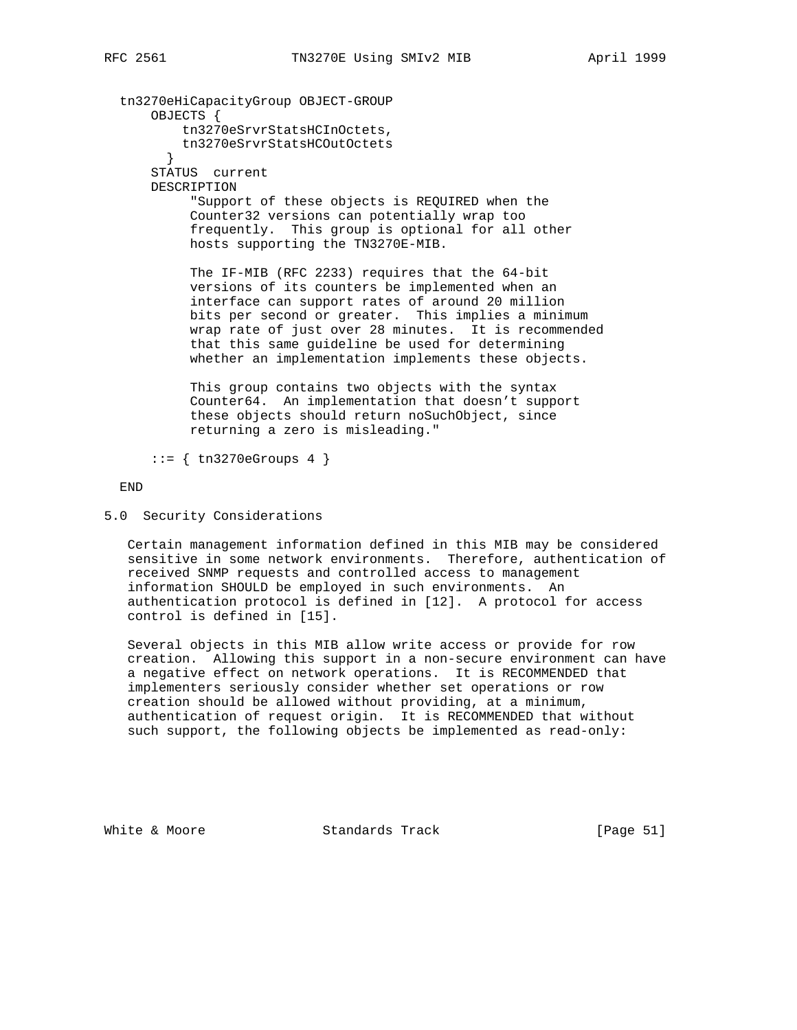tn3270eHiCapacityGroup OBJECT-GROUP OBJECTS { tn3270eSrvrStatsHCInOctets, tn3270eSrvrStatsHCOutOctets } STATUS current DESCRIPTION "Support of these objects is REQUIRED when the Counter32 versions can potentially wrap too frequently. This group is optional for all other hosts supporting the TN3270E-MIB. The IF-MIB (RFC 2233) requires that the 64-bit versions of its counters be implemented when an interface can support rates of around 20 million bits per second or greater. This implies a minimum wrap rate of just over 28 minutes. It is recommended that this same guideline be used for determining

> This group contains two objects with the syntax Counter64. An implementation that doesn't support these objects should return noSuchObject, since returning a zero is misleading."

whether an implementation implements these objects.

 $::=$  { tn3270eGroups 4 }

END

5.0 Security Considerations

 Certain management information defined in this MIB may be considered sensitive in some network environments. Therefore, authentication of received SNMP requests and controlled access to management information SHOULD be employed in such environments. An authentication protocol is defined in [12]. A protocol for access control is defined in [15].

 Several objects in this MIB allow write access or provide for row creation. Allowing this support in a non-secure environment can have a negative effect on network operations. It is RECOMMENDED that implementers seriously consider whether set operations or row creation should be allowed without providing, at a minimum, authentication of request origin. It is RECOMMENDED that without such support, the following objects be implemented as read-only:

White & Moore Standards Track [Page 51]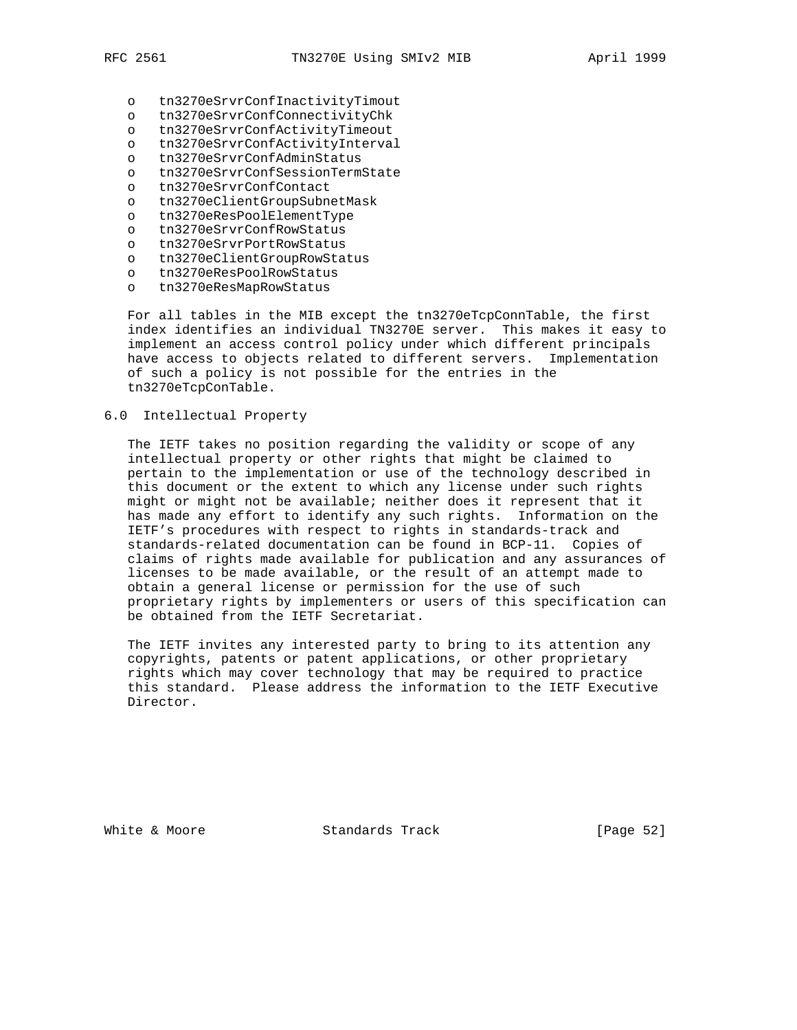- - o tn3270eSrvrConfInactivityTimout
	- o tn3270eSrvrConfConnectivityChk
	- o tn3270eSrvrConfActivityTimeout
	- o tn3270eSrvrConfActivityInterval
	- o tn3270eSrvrConfAdminStatus
	- o tn3270eSrvrConfSessionTermState
	- o tn3270eSrvrConfContact
	- o tn3270eClientGroupSubnetMask
	- o tn3270eResPoolElementType
	- o tn3270eSrvrConfRowStatus
	- o tn3270eSrvrPortRowStatus
	- o tn3270eClientGroupRowStatus
	- o tn3270eResPoolRowStatus
	- o tn3270eResMapRowStatus

 For all tables in the MIB except the tn3270eTcpConnTable, the first index identifies an individual TN3270E server. This makes it easy to implement an access control policy under which different principals have access to objects related to different servers. Implementation of such a policy is not possible for the entries in the tn3270eTcpConTable.

#### 6.0 Intellectual Property

 The IETF takes no position regarding the validity or scope of any intellectual property or other rights that might be claimed to pertain to the implementation or use of the technology described in this document or the extent to which any license under such rights might or might not be available; neither does it represent that it has made any effort to identify any such rights. Information on the IETF's procedures with respect to rights in standards-track and standards-related documentation can be found in BCP-11. Copies of claims of rights made available for publication and any assurances of licenses to be made available, or the result of an attempt made to obtain a general license or permission for the use of such proprietary rights by implementers or users of this specification can be obtained from the IETF Secretariat.

 The IETF invites any interested party to bring to its attention any copyrights, patents or patent applications, or other proprietary rights which may cover technology that may be required to practice this standard. Please address the information to the IETF Executive Director.

White & Moore Standards Track [Page 52]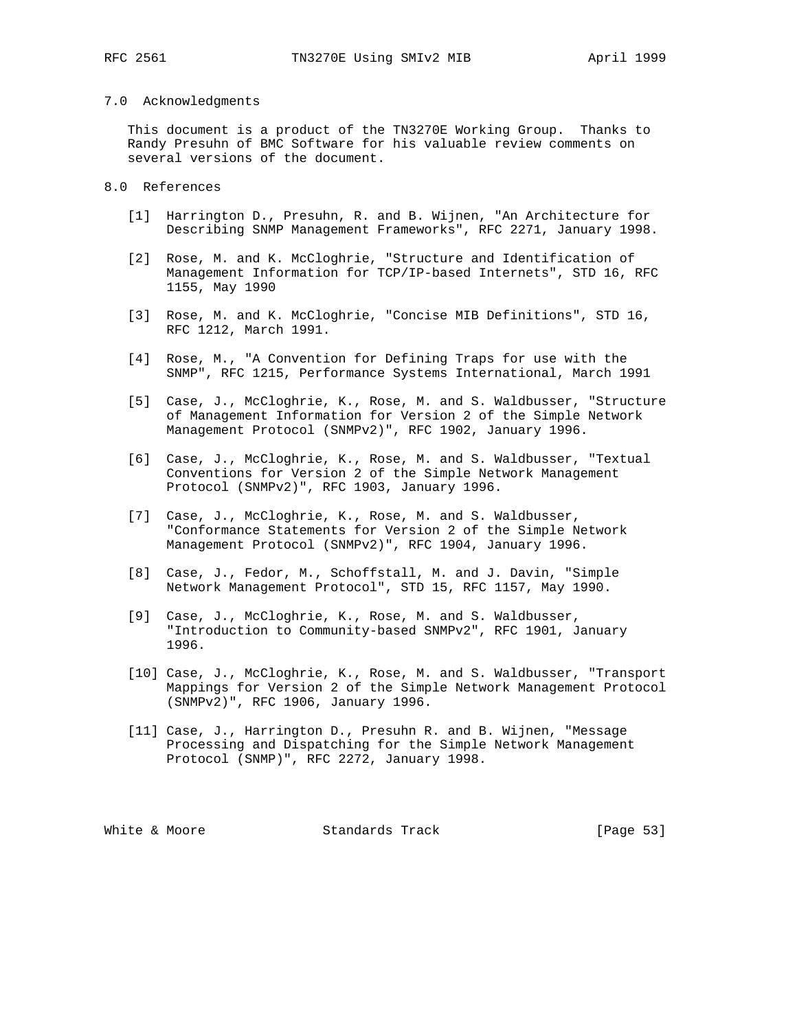#### 7.0 Acknowledgments

 This document is a product of the TN3270E Working Group. Thanks to Randy Presuhn of BMC Software for his valuable review comments on several versions of the document.

#### 8.0 References

- [1] Harrington D., Presuhn, R. and B. Wijnen, "An Architecture for Describing SNMP Management Frameworks", RFC 2271, January 1998.
- [2] Rose, M. and K. McCloghrie, "Structure and Identification of Management Information for TCP/IP-based Internets", STD 16, RFC 1155, May 1990
- [3] Rose, M. and K. McCloghrie, "Concise MIB Definitions", STD 16, RFC 1212, March 1991.
- [4] Rose, M., "A Convention for Defining Traps for use with the SNMP", RFC 1215, Performance Systems International, March 1991
- [5] Case, J., McCloghrie, K., Rose, M. and S. Waldbusser, "Structure of Management Information for Version 2 of the Simple Network Management Protocol (SNMPv2)", RFC 1902, January 1996.
- [6] Case, J., McCloghrie, K., Rose, M. and S. Waldbusser, "Textual Conventions for Version 2 of the Simple Network Management Protocol (SNMPv2)", RFC 1903, January 1996.
- [7] Case, J., McCloghrie, K., Rose, M. and S. Waldbusser, "Conformance Statements for Version 2 of the Simple Network Management Protocol (SNMPv2)", RFC 1904, January 1996.
- [8] Case, J., Fedor, M., Schoffstall, M. and J. Davin, "Simple Network Management Protocol", STD 15, RFC 1157, May 1990.
- [9] Case, J., McCloghrie, K., Rose, M. and S. Waldbusser, "Introduction to Community-based SNMPv2", RFC 1901, January 1996.
- [10] Case, J., McCloghrie, K., Rose, M. and S. Waldbusser, "Transport Mappings for Version 2 of the Simple Network Management Protocol (SNMPv2)", RFC 1906, January 1996.
- [11] Case, J., Harrington D., Presuhn R. and B. Wijnen, "Message Processing and Dispatching for the Simple Network Management Protocol (SNMP)", RFC 2272, January 1998.

White & Moore **Standards Track** [Page 53]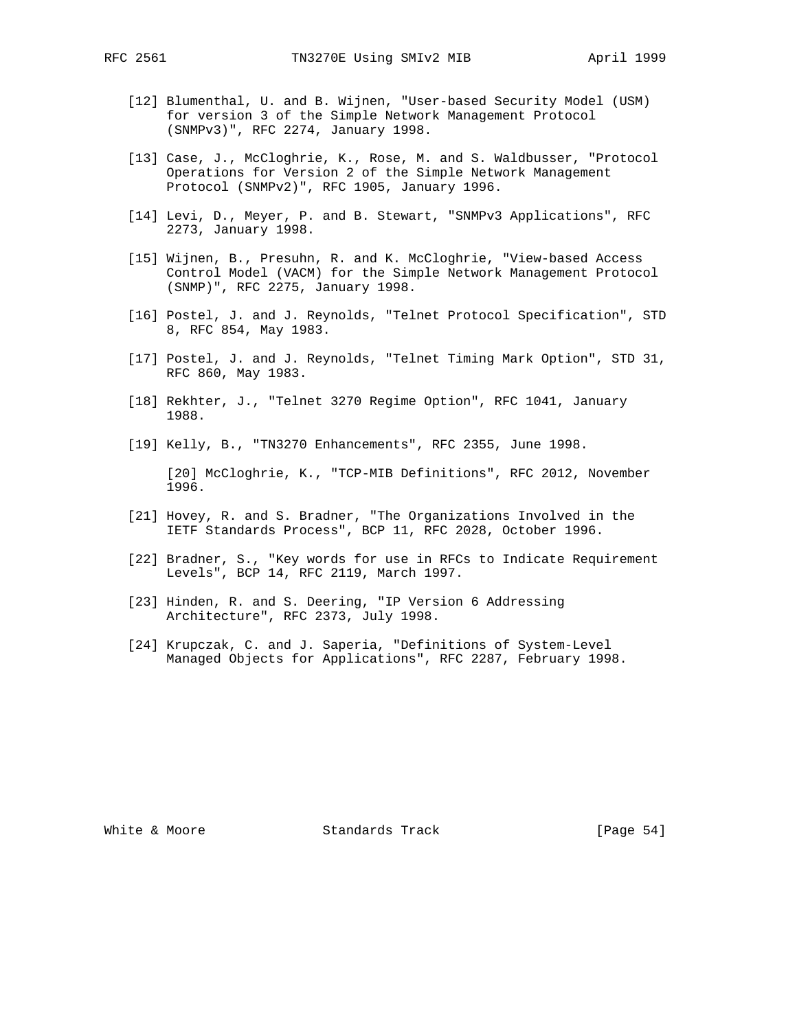- [12] Blumenthal, U. and B. Wijnen, "User-based Security Model (USM) for version 3 of the Simple Network Management Protocol (SNMPv3)", RFC 2274, January 1998.
- [13] Case, J., McCloghrie, K., Rose, M. and S. Waldbusser, "Protocol Operations for Version 2 of the Simple Network Management Protocol (SNMPv2)", RFC 1905, January 1996.
- [14] Levi, D., Meyer, P. and B. Stewart, "SNMPv3 Applications", RFC 2273, January 1998.
- [15] Wijnen, B., Presuhn, R. and K. McCloghrie, "View-based Access Control Model (VACM) for the Simple Network Management Protocol (SNMP)", RFC 2275, January 1998.
- [16] Postel, J. and J. Reynolds, "Telnet Protocol Specification", STD 8, RFC 854, May 1983.
- [17] Postel, J. and J. Reynolds, "Telnet Timing Mark Option", STD 31, RFC 860, May 1983.
- [18] Rekhter, J., "Telnet 3270 Regime Option", RFC 1041, January 1988.
- [19] Kelly, B., "TN3270 Enhancements", RFC 2355, June 1998.

 [20] McCloghrie, K., "TCP-MIB Definitions", RFC 2012, November 1996.

- [21] Hovey, R. and S. Bradner, "The Organizations Involved in the IETF Standards Process", BCP 11, RFC 2028, October 1996.
- [22] Bradner, S., "Key words for use in RFCs to Indicate Requirement Levels", BCP 14, RFC 2119, March 1997.
- [23] Hinden, R. and S. Deering, "IP Version 6 Addressing Architecture", RFC 2373, July 1998.
- [24] Krupczak, C. and J. Saperia, "Definitions of System-Level Managed Objects for Applications", RFC 2287, February 1998.

White & Moore Standards Track [Page 54]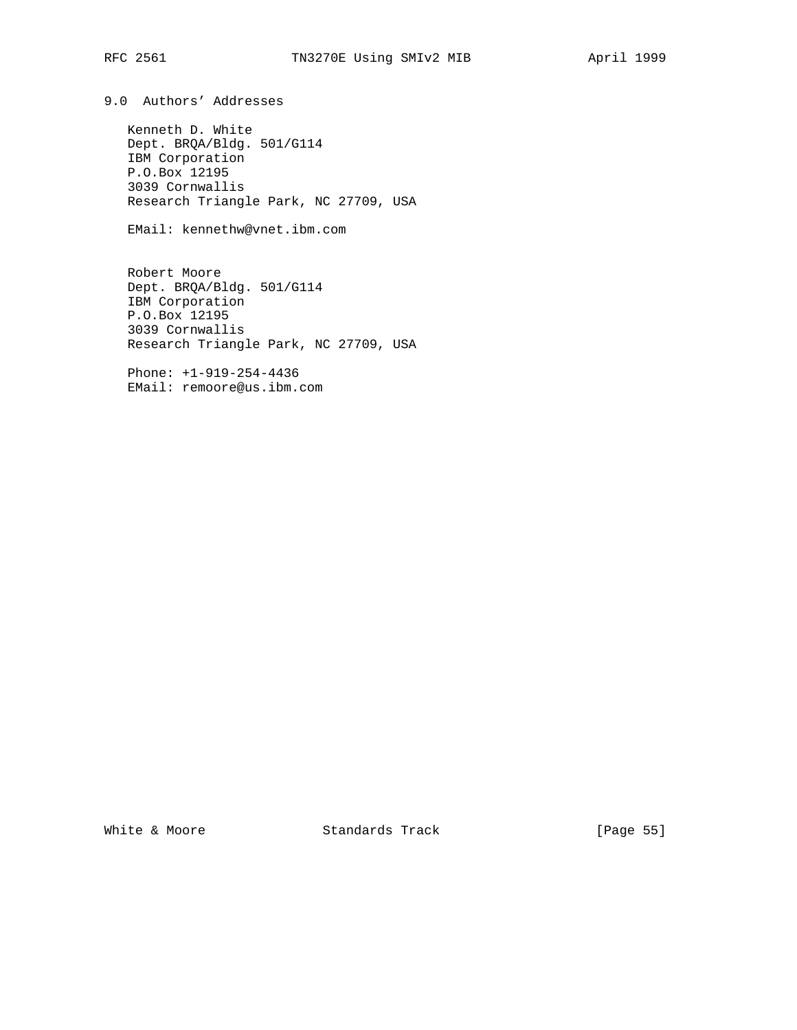9.0 Authors' Addresses

 Kenneth D. White Dept. BRQA/Bldg. 501/G114 IBM Corporation P.O.Box 12195 3039 Cornwallis Research Triangle Park, NC 27709, USA

EMail: kennethw@vnet.ibm.com

 Robert Moore Dept. BRQA/Bldg. 501/G114 IBM Corporation P.O.Box 12195 3039 Cornwallis Research Triangle Park, NC 27709, USA

 Phone: +1-919-254-4436 EMail: remoore@us.ibm.com

White & Moore **Standards Track** [Page 55]